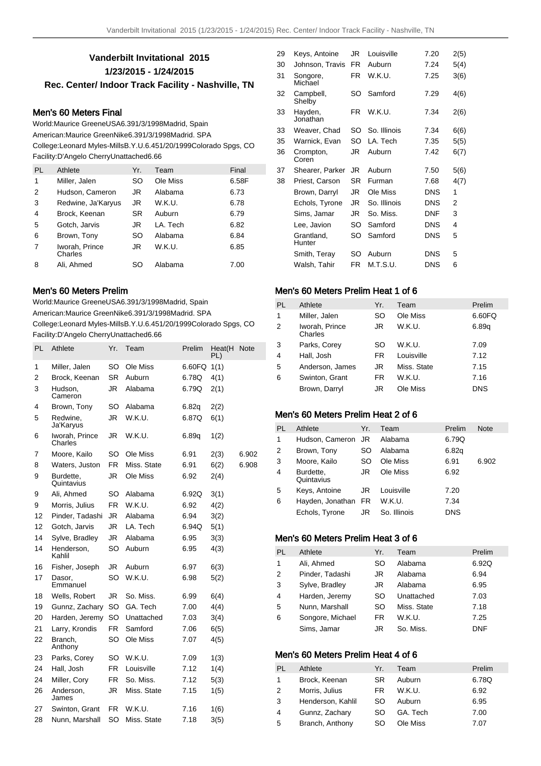# **Vanderbilt Invitational 2015 1/23/2015 - 1/24/2015 Rec. Center/ Indoor Track Facility - Nashville, TN**

### Men's 60 Meters Final

World: Maurice Greene USA 6.39 1/3/1998 Madrid, Spain American: Maurice Green Nike 6.39 1/3/1998 Madrid. SPA College: Leonard Myles-Mills B.Y.U. 6.45 1/20/1999 Colorado Spgs, CO Facility: D'Angelo Cherry Unattached 6.66

| PI. | Athlete                   | Yr. | Team     | Final |
|-----|---------------------------|-----|----------|-------|
| 1   | Miller, Jalen             | SO  | Ole Miss | 6.58F |
| 2   | Hudson, Cameron           | JR  | Alabama  | 6.73  |
| 3   | Redwine, Ja'Karyus        | JR  | W.K.U.   | 6.78  |
| 4   | Brock, Keenan             | SR  | Auburn   | 6.79  |
| 5   | Gotch, Jarvis             | JR  | LA. Tech | 6.82  |
| 6   | Brown, Tony               | SO  | Alabama  | 6.84  |
| 7   | Iworah, Prince<br>Charles | JR  | W.K.U.   | 6.85  |
| 8   | Ali. Ahmed                | SΩ  | Alabama  | 7.00  |

### Men's 60 Meters Prelim

World: Maurice Greene USA 6.39 1/3/1998 Madrid, Spain American: Maurice Green Nike 6.39 1/3/1998 Madrid. SPA

College: Leonard Myles-Mills B.Y.U. 6.45 1/20/1999 Colorado Spgs, CO Facility: D'Angelo Cherry Unattached 6.66

| PL | Athlete                   | Yr.       | Team        | Prelim | Heat(H<br>PL) | <b>Note</b> |
|----|---------------------------|-----------|-------------|--------|---------------|-------------|
| 1  | Miller, Jalen             | SO        | Ole Miss    | 6.60FQ | 1(1)          |             |
| 2  | Brock. Keenan             | SR        | Auburn      | 6.78Q  | 4(1)          |             |
| 3  | Hudson.<br>Cameron        | JR.       | Alabama     | 6.79Q  | 2(1)          |             |
| 4  | Brown, Tony               | SO        | Alabama     | 6.82q  | 2(2)          |             |
| 5  | Redwine,<br>Ja'Karyus     | JR        | W.K.U.      | 6.87Q  | 6(1)          |             |
| 6  | Iworah, Prince<br>Charles | JR        | W.K.U.      | 6.89a  | 1(2)          |             |
| 7  | Moore, Kailo              | SO        | Ole Miss    | 6.91   | 2(3)          | 6.902       |
| 8  | Waters, Juston            | <b>FR</b> | Miss. State | 6.91   | 6(2)          | 6.908       |
| 9  | Burdette,<br>Quintavius   | JR        | Ole Miss    | 6.92   | 2(4)          |             |
| 9  | Ali, Ahmed                | SO        | Alabama     | 6.92Q  | 3(1)          |             |
| 9  | Morris, Julius            | <b>FR</b> | W.K.U.      | 6.92   | 4(2)          |             |
| 12 | Pinder, Tadashi           | JR        | Alabama     | 6.94   | 3(2)          |             |
| 12 | Gotch, Jarvis             | JR        | LA. Tech    | 6.94Q  | 5(1)          |             |
| 14 | Sylve, Bradley            | JR        | Alabama     | 6.95   | 3(3)          |             |
| 14 | Henderson,<br>Kahlil      | SO        | Auburn      | 6.95   | 4(3)          |             |
| 16 | Fisher, Joseph            | JR        | Auburn      | 6.97   | 6(3)          |             |
| 17 | Dasor.<br>Emmanuel        | SO        | W.K.U.      | 6.98   | 5(2)          |             |
| 18 | Wells, Robert             | JR        | So. Miss.   | 6.99   | 6(4)          |             |
| 19 | Gunnz, Zachary            | SO        | GA. Tech    | 7.00   | 4(4)          |             |
| 20 | Harden, Jeremy            | SO        | Unattached  | 7.03   | 3(4)          |             |
| 21 | Larry, Krondis            | FR        | Samford     | 7.06   | 6(5)          |             |
| 22 | Branch,<br>Anthony        | SO        | Ole Miss    | 7.07   | 4(5)          |             |
| 23 | Parks, Corey              | SO        | W.K.U.      | 7.09   | 1(3)          |             |
| 24 | Hall, Josh                | <b>FR</b> | Louisville  | 7.12   | 1(4)          |             |
| 24 | Miller, Cory              | <b>FR</b> | So. Miss.   | 7.12   | 5(3)          |             |
| 26 | Anderson,<br>James        | JR        | Miss. State | 7.15   | 1(5)          |             |
| 27 | Swinton, Grant            | FR.       | W.K.U.      | 7.16   | 1(6)          |             |
| 28 | Nunn, Marshall            | SO        | Miss. State | 7.18   | 3(5)          |             |
|    |                           |           |             |        |               |             |

| Keys, Antoine        | JR  | Louisville   | 7.20       | 2(5)           |
|----------------------|-----|--------------|------------|----------------|
| Johnson, Travis      | FR. | Auburn       | 7.24       | 5(4)           |
| Songore,<br>Michael  | FR. | W.K.U.       | 7.25       | 3(6)           |
| Campbell,<br>Shelby  | SΟ  | Samford      | 7.29       | 4(6)           |
| Hayden,<br>Jonathan  | FR. | W.K.U.       | 7.34       | 2(6)           |
| Weaver, Chad         | SO  | So. Illinois | 7.34       | 6(6)           |
| Warnick, Evan        | SO  | LA. Tech     | 7.35       | 5(5)           |
| Crompton,<br>Coren   | JR  | Auburn       | 7.42       | 6(7)           |
| Shearer, Parker      | JR. | Auburn       | 7.50       | 5(6)           |
| Priest, Carson       | SR  | Furman       | 7.68       | 4(7)           |
| Brown, Darryl        | JR  | Ole Miss     | <b>DNS</b> | 1              |
| Echols, Tyrone       | JR  | So. Illinois | <b>DNS</b> | 2              |
| Sims, Jamar          | JR  | So. Miss.    | <b>DNF</b> | 3              |
| Lee, Javion          | SO  | Samford      | <b>DNS</b> | $\overline{4}$ |
| Grantland,<br>Hunter | SO  | Samford      | <b>DNS</b> | 5              |
| Smith, Teray         | SO  | Auburn       | <b>DNS</b> | 5              |
| Walsh, Tahir         | FR. | M.T.S.U.     | <b>DNS</b> | 6              |
|                      |     |              |            |                |

## Men's 60 Meters Prelim Heat 1 of 6

| PL             | Athlete                   | Yr.       | Team        | Prelim     |
|----------------|---------------------------|-----------|-------------|------------|
| 1              | Miller, Jalen             | SO        | Ole Miss    | 6.60FQ     |
| $\overline{2}$ | Iworah, Prince<br>Charles | JR.       | W.K.U.      | 6.89q      |
| 3              | Parks, Corey              | SO        | W.K.U.      | 7.09       |
| 4              | Hall, Josh                | <b>FR</b> | Louisville  | 7.12       |
| 5              | Anderson, James           | JR.       | Miss. State | 7.15       |
| 6              | Swinton, Grant            | FR.       | W.K.U.      | 7.16       |
|                | Brown, Darryl             | JR        | Ole Miss    | <b>DNS</b> |
|                |                           |           |             |            |

## Men's 60 Meters Prelim Heat 2 of 6

| PL | Athlete                 | Yr. | Team         | Prelim     | <b>Note</b> |
|----|-------------------------|-----|--------------|------------|-------------|
| 1  | Hudson, Cameron JR      |     | Alabama      | 6.79Q      |             |
| 2  | Brown, Tony             | SO  | Alabama      | 6.82q      |             |
| 3  | Moore, Kailo            | SO. | Ole Miss     | 6.91       | 6.902       |
| 4  | Burdette,<br>Quintavius | JR  | Ole Miss     | 6.92       |             |
| 5  | Keys, Antoine           | JR  | Louisville   | 7.20       |             |
| 6  | Hayden, Jonathan FR     |     | W.K.U.       | 7.34       |             |
|    | Echols, Tyrone          | JR  | So. Illinois | <b>DNS</b> |             |

## Men's 60 Meters Prelim Heat 3 of 6

| PI.            | Athlete          | Yr. | Team        | Prelim     |
|----------------|------------------|-----|-------------|------------|
| 1              | Ali, Ahmed       | SO  | Alabama     | 6.92Q      |
| 2              | Pinder, Tadashi  | JR  | Alabama     | 6.94       |
| 3              | Sylve, Bradley   | JR  | Alabama     | 6.95       |
| $\overline{4}$ | Harden, Jeremy   | SO  | Unattached  | 7.03       |
| 5              | Nunn, Marshall   | SO  | Miss. State | 7.18       |
| 6              | Songore, Michael | FR. | W.K.U.      | 7.25       |
|                | Sims, Jamar      | JR  | So. Miss.   | <b>DNF</b> |

## Men's 60 Meters Prelim Heat 4 of 6

| PL | Athlete           | Yr. | Team     | Prelim |
|----|-------------------|-----|----------|--------|
| 1  | Brock, Keenan     | SR. | Auburn   | 6.78Q  |
| 2  | Morris, Julius    | FR  | W.K.U.   | 6.92   |
| 3  | Henderson, Kahlil | SO. | Auburn   | 6.95   |
| 4  | Gunnz, Zachary    | SO  | GA. Tech | 7.00   |
| 5  | Branch, Anthony   | SO. | Ole Miss | 7.07   |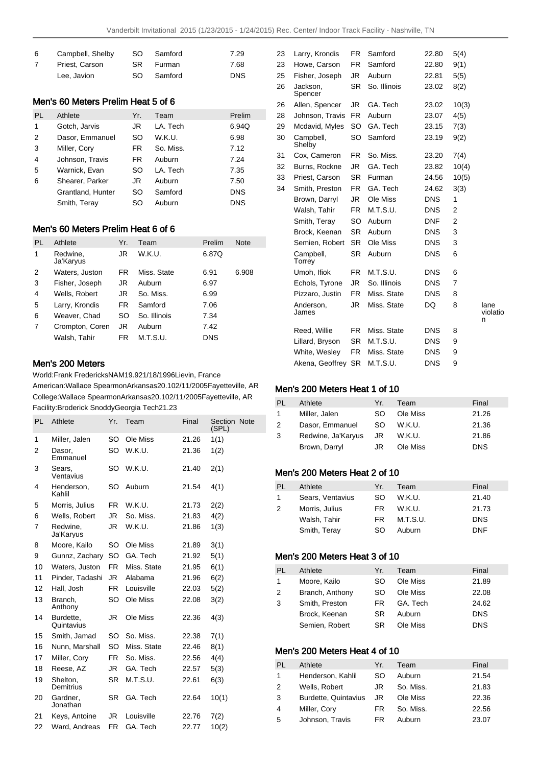| -6             | Campbell, Shelby |     | SO Samford    | 7.29       |
|----------------|------------------|-----|---------------|------------|
| $\overline{7}$ | Priest. Carson   | SR. | <b>Furman</b> | 7.68       |
|                | Lee, Javion      | SO. | Samford       | <b>DNS</b> |

#### Men's 60 Meters Prelim Heat 5 of 6

| PL | Athlete           | Yr. | Team      | Prelim     |
|----|-------------------|-----|-----------|------------|
| 1  | Gotch, Jarvis     | JR  | LA. Tech  | 6.94Q      |
| 2  | Dasor, Emmanuel   | SO  | W.K.U.    | 6.98       |
| 3  | Miller, Cory      | FR. | So. Miss. | 7.12       |
| 4  | Johnson, Travis   | FR. | Auburn    | 7.24       |
| 5  | Warnick, Evan     | SO  | LA. Tech  | 7.35       |
| 6  | Shearer, Parker   | JR  | Auburn    | 7.50       |
|    | Grantland, Hunter | SO  | Samford   | <b>DNS</b> |
|    | Smith, Teray      | SO  | Auburn    | <b>DNS</b> |

### Men's 60 Meters Prelim Heat 6 of 6

| PL             | Athlete               | Yr. | Team         | Prelim     | <b>Note</b> |
|----------------|-----------------------|-----|--------------|------------|-------------|
| 1              | Redwine,<br>Ja'Karyus | JR  | W.K.U.       | 6.87Q      |             |
| 2              | Waters, Juston        | FR  | Miss. State  | 6.91       | 6.908       |
| 3              | Fisher, Joseph        | JR  | Auburn       | 6.97       |             |
| 4              | Wells, Robert         | JR  | So. Miss.    | 6.99       |             |
| 5              | Larry, Krondis        | FR  | Samford      | 7.06       |             |
| 6              | Weaver, Chad          | SO  | So. Illinois | 7.34       |             |
| $\overline{7}$ | Crompton, Coren       | JR  | Auburn       | 7.42       |             |
|                | Walsh, Tahir          | FR  | M.T.S.U.     | <b>DNS</b> |             |

#### 23 Howe, Carson FR Samford 22.80 9(1) 25 Fisher, Joseph JR Auburn 22.81 5(5) 26 Jackson, Spencer SR So. Illinois 23.02 8(2) 26 Allen, Spencer JR GA. Tech 23.02 10(3) 28 Johnson, Travis FR Auburn 23.07 4(5) 29 Mcdavid, Myles SO GA. Tech 23.15 7(3) 30 Campbell, Shelby SO Samford 23.19 9(2) 31 Cox, Cameron FR So. Miss. 23.20 7(4) 32 Burns, Rockne JR GA. Tech 23.82 10(4) 33 Priest, Carson SR Furman 24.56 10(5) 34 Smith, Preston FR GA. Tech 24.62 3(3) Brown, Darryl JR Ole Miss DNS 1 Walsh, Tahir FR M.T.S.U. DNS 2 Smith, Teray SO Auburn DNF 2 Brock, Keenan SR Auburn DNS 3 Semien, Robert SR Ole Miss DNS 3 Campbell, **Torrey** SR Auburn DNS 6 Umoh, Ifiok FR M.T.S.U. DNS 6 Echols, Tyrone JR So. Illinois DNS 7 Pizzaro, Justin FR Miss. State DNS 8 Anderson, James JR Miss. State DQ 8 lane violatio n Reed, Willie FR Miss. State DNS 8 Lillard, Bryson SR M.T.S.U. DNS 9 White, Wesley FR Miss. State DNS 9 Akena, Geoffrey SR M.T.S.U. DNS 9

23 Larry, Krondis FR Samford 22.80 5(4)

## Men's 200 Meters

World: Frank Fredericks NAM 19.92 1/18/1996 Lievin, France

American: Wallace Spearmon Arkansas 20.10 2/11/2005 Fayetteville, AR College: Wallace Spearmon Arkansas 20.10 2/11/2005 Fayetteville, AR Facility: Broderick Snoddy Georgia Tech 21.23

| <b>PL</b> | Athlete                 | Yr.       | Team        | Final | Section Note<br>(SPL) |
|-----------|-------------------------|-----------|-------------|-------|-----------------------|
| 1         | Miller, Jalen           | SO        | Ole Miss    | 21.26 | 1(1)                  |
| 2         | Dasor,<br>Emmanuel      | SO        | W.K.U.      | 21.36 | 1(2)                  |
| 3         | Sears.<br>Ventavius     | SO        | W.K.U.      | 21.40 | 2(1)                  |
| 4         | Henderson,<br>Kahlil    | SO        | Auburn      | 21.54 | 4(1)                  |
| 5         | Morris, Julius          | <b>FR</b> | W.K.U.      | 21.73 | 2(2)                  |
| 6         | Wells, Robert           | JR        | So. Miss.   | 21.83 | 4(2)                  |
| 7         | Redwine.<br>Ja'Karyus   | JR.       | W.K.U.      | 21.86 | 1(3)                  |
| 8         | Moore, Kailo            | SO        | Ole Miss    | 21.89 | 3(1)                  |
| 9         | Gunnz, Zachary          | SO        | GA. Tech    | 21.92 | 5(1)                  |
| 10        | Waters, Juston          | FR.       | Miss. State | 21.95 | 6(1)                  |
| 11        | Pinder, Tadashi         | JR        | Alabama     | 21.96 | 6(2)                  |
| 12        | Hall, Josh              | <b>FR</b> | Louisville  | 22.03 | 5(2)                  |
| 13        | Branch,<br>Anthony      | SO        | Ole Miss    | 22.08 | 3(2)                  |
| 14        | Burdette,<br>Quintavius | JR        | Ole Miss    | 22.36 | 4(3)                  |
| 15        | Smith, Jamad            | SO        | So. Miss.   | 22.38 | 7(1)                  |
| 16        | Nunn, Marshall          | SO.       | Miss. State | 22.46 | 8(1)                  |
| 17        | Miller, Cory            | FR        | So. Miss.   | 22.56 | 4(4)                  |
| 18        | Reese, AZ               | JR        | GA. Tech    | 22.57 | 5(3)                  |
| 19        | Shelton,<br>Demitrius   | <b>SR</b> | M.T.S.U.    | 22.61 | 6(3)                  |
| 20        | Gardner,<br>Jonathan    | SR        | GA. Tech    | 22.64 | 10(1)                 |
| 21        | Keys, Antoine           | JR        | Louisville  | 22.76 | 7(2)                  |
| 22        | Ward, Andreas           | <b>FR</b> | GA. Tech    | 22.77 | 10(2)                 |

#### Men's 200 Meters Heat 1 of 10

| PL.          | Athlete            | Yr. | Team     | Final      |
|--------------|--------------------|-----|----------|------------|
| $\mathbf{1}$ | Miller, Jalen      | SO. | Ole Miss | 21.26      |
| 2            | Dasor, Emmanuel    | SO. | W.K.U.   | 21.36      |
| 3            | Redwine, Ja'Karyus | JR  | W.K.U.   | 21.86      |
|              | Brown, Darryl      | JR  | Ole Miss | <b>DNS</b> |

### Men's 200 Meters Heat 2 of 10

| Athlete          | Yr. | Team     | Final      |
|------------------|-----|----------|------------|
| Sears, Ventavius | SO. | W.K.U.   | 21.40      |
| Morris, Julius   | FR. | W.K.U.   | 21.73      |
| Walsh, Tahir     | FR. | M.T.S.U. | <b>DNS</b> |
| Smith, Teray     | SO. | Auburn   | <b>DNF</b> |
|                  |     |          |            |

#### Men's 200 Meters Heat 3 of 10

| <b>PL</b>   | Athlete         | Yr. | Team     | Final      |
|-------------|-----------------|-----|----------|------------|
| $\mathbf 1$ | Moore, Kailo    | SO. | Ole Miss | 21.89      |
| 2           | Branch, Anthony | SO. | Ole Miss | 22.08      |
| 3           | Smith, Preston  | FR. | GA. Tech | 24.62      |
|             | Brock, Keenan   | SR. | Auburn   | <b>DNS</b> |
|             | Semien, Robert  | SR. | Ole Miss | <b>DNS</b> |

### Men's 200 Meters Heat 4 of 10

| <b>PL</b>      | Athlete              | Yr. | Team      | Final |
|----------------|----------------------|-----|-----------|-------|
| $\mathbf{1}$   | Henderson, Kahlil    | SO  | Auburn    | 21.54 |
| $\overline{2}$ | Wells, Robert        | JR. | So. Miss. | 21.83 |
| 3              | Burdette, Quintavius | JR. | Ole Miss  | 22.36 |
| 4              | Miller, Cory         | FR. | So. Miss. | 22.56 |
| 5              | Johnson, Travis      | FR. | Auburn    | 23.07 |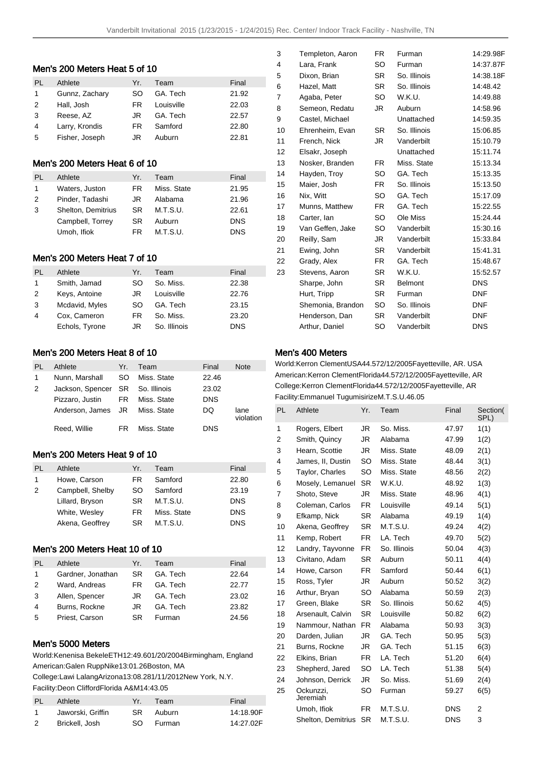#### Men's 200 Meters Heat 5 of 10

| PI.           | Athlete        | Yr. | Team       | Final |
|---------------|----------------|-----|------------|-------|
| 1             | Gunnz, Zachary | SO. | GA. Tech   | 21.92 |
| $\mathcal{P}$ | Hall, Josh     | FR. | Louisville | 22.03 |
| 3             | Reese, AZ      | JR. | GA. Tech   | 22.57 |
| 4             | Larry, Krondis | FR. | Samford    | 22.80 |
| 5             | Fisher, Joseph | JR  | Auburn     | 22.81 |

### Men's 200 Meters Heat 6 of 10

| PL            | Athlete            | Yr. | Team        | Final      |
|---------------|--------------------|-----|-------------|------------|
| 1             | Waters, Juston     | FR  | Miss. State | 21.95      |
| $\mathcal{P}$ | Pinder, Tadashi    | JR. | Alabama     | 21.96      |
| 3             | Shelton, Demitrius | SR. | M.T.S.U.    | 22.61      |
|               | Campbell, Torrey   | SR. | Auburn      | <b>DNS</b> |
|               | Umoh, Ifiok        | FR. | M.T.S.U.    | <b>DNS</b> |

### Men's 200 Meters Heat 7 of 10

| PL | Athlete        | Yr. | Team         | Final      |
|----|----------------|-----|--------------|------------|
| 1  | Smith, Jamad   | SO  | So. Miss.    | 22.38      |
| 2  | Keys, Antoine  | JR  | Louisville   | 22.76      |
| 3  | Mcdavid, Myles | SO  | GA. Tech     | 23.15      |
| 4  | Cox, Cameron   | FR. | So. Miss.    | 23.20      |
|    | Echols, Tyrone | JR  | So. Illinois | <b>DNS</b> |

## Men's 200 Meters Heat 8 of 10

| Athlete         | Yr. | Team        | Final                                                                      | <b>Note</b>       |
|-----------------|-----|-------------|----------------------------------------------------------------------------|-------------------|
| Nunn, Marshall  | SO. | Miss. State | 22.46                                                                      |                   |
|                 |     |             | 23.02                                                                      |                   |
| Pizzaro, Justin |     | Miss. State | <b>DNS</b>                                                                 |                   |
|                 |     |             | DQ                                                                         | lane<br>violation |
| Reed, Willie    | FR. | Miss. State | DNS                                                                        |                   |
|                 |     |             | Jackson, Spencer SR So. Illinois<br>FR 1<br>Anderson, James JR Miss. State |                   |

## Men's 200 Meters Heat 9 of 10

| PI. | Athlete          | Yr. | Team        | Final      |
|-----|------------------|-----|-------------|------------|
|     | Howe, Carson     | FR. | Samford     | 22.80      |
| 2   | Campbell, Shelby | SO. | Samford     | 23.19      |
|     | Lillard, Bryson  | SR. | M.T.S.U.    | <b>DNS</b> |
|     | White, Wesley    | FR. | Miss. State | <b>DNS</b> |
|     | Akena, Geoffrey  | SR. | M.T.S.U.    | <b>DNS</b> |

### Men's 200 Meters Heat 10 of 10

| PI. | Athlete           | Yr. | Team     | Final |
|-----|-------------------|-----|----------|-------|
| 1   | Gardner, Jonathan | SR. | GA. Tech | 22.64 |
| 2   | Ward, Andreas     | FR. | GA Tech  | 22.77 |
| 3   | Allen, Spencer    | JR. | GA. Tech | 23.02 |
| 4   | Burns, Rockne     | JR. | GA. Tech | 23.82 |
| 5   | Priest, Carson    | SR. | Furman   | 24.56 |

## Men's 5000 Meters

World: Kenenisa Bekele ETH 12:49.60 1/20/2004 Birmingham, England American: Galen Rupp Nike 13:01.26 Boston, MA

College: Lawi Lalang Arizona 13:08.28 1/11/2012 New York, N.Y. Facility: Deon Clifford Florida A&M 14:43.05

| PL. | Athlete           | Yr. | Team      | Final     |
|-----|-------------------|-----|-----------|-----------|
|     | Jaworski, Griffin | SR. | Auburn    | 14:18.90F |
| -2  | Brickell, Josh    |     | SO Furman | 14:27.02F |

| 3  | Templeton, Aaron  | FR        | Furman         | 14:29.98F  |
|----|-------------------|-----------|----------------|------------|
| 4  | Lara, Frank       | SO        | Furman         | 14:37.87F  |
| 5  | Dixon, Brian      | <b>SR</b> | So. Illinois   | 14:38.18F  |
| 6  | Hazel, Matt       | <b>SR</b> | So. Illinois   | 14:48.42   |
| 7  | Agaba, Peter      | SO        | W.K.U.         | 14:49.88   |
| 8  | Semeon, Redatu    | JR        | Auburn         | 14:58.96   |
| 9  | Castel, Michael   |           | Unattached     | 14:59.35   |
| 10 | Ehrenheim, Evan   | SR.       | So. Illinois   | 15:06.85   |
| 11 | French, Nick      | JR        | Vanderbilt     | 15:10.79   |
| 12 | Elsakr, Joseph    |           | Unattached     | 15:11.74   |
| 13 | Nosker, Branden   | FR.       | Miss. State    | 15:13.34   |
| 14 | Hayden, Troy      | SO.       | GA. Tech       | 15:13.35   |
| 15 | Maier, Josh       | FR.       | So. Illinois   | 15:13.50   |
| 16 | Nix, Witt         | SO        | GA. Tech       | 15:17.09   |
| 17 | Munns, Matthew    | FR.       | GA. Tech       | 15:22.55   |
| 18 | Carter, Ian       | SO        | Ole Miss       | 15:24.44   |
| 19 | Van Geffen, Jake  | SO.       | Vanderbilt     | 15:30.16   |
| 20 | Reilly, Sam       | JR        | Vanderbilt     | 15:33.84   |
| 21 | Ewing, John       | SR        | Vanderbilt     | 15:41.31   |
| 22 | Grady, Alex       | FR.       | GA. Tech       | 15:48.67   |
| 23 | Stevens, Aaron    | SR        | W.K.U.         | 15:52.57   |
|    | Sharpe, John      | SR.       | <b>Belmont</b> | <b>DNS</b> |
|    | Hurt, Tripp       | <b>SR</b> | Furman         | <b>DNF</b> |
|    | Shemonia, Brandon | SO        | So. Illinois   | <b>DNF</b> |
|    | Henderson, Dan    | SR.       | Vanderbilt     | <b>DNF</b> |
|    | Arthur, Daniel    | SO        | Vanderbilt     | <b>DNS</b> |

### Men's 400 Meters

World: Kerron Clement USA 44.57 2/12/2005 Fayetteville, AR. USA American: Kerron Clement Florida 44.57 2/12/2005 Fayetteville, AR College: Kerron Clement Florida 44.57 2/12/2005 Fayetteville, AR Facility: Emmanuel Tugumisirize M.T.S.U. 46.05

| PL             | Athlete                | Yr.       | Team         | Final      | Section(<br>SPL) |
|----------------|------------------------|-----------|--------------|------------|------------------|
| 1              | Rogers, Elbert         | JR.       | So. Miss.    | 47.97      | 1(1)             |
| $\overline{2}$ | Smith, Quincy          | JR        | Alabama      | 47.99      | 1(2)             |
| 3              | Hearn, Scottie         | JR.       | Miss. State  | 48.09      | 2(1)             |
| 4              | James, II, Dustin      | SO        | Miss. State  | 48.44      | 3(1)             |
| 5              | <b>Taylor, Charles</b> | <b>SO</b> | Miss. State  | 48.56      | 2(2)             |
| 6              | Mosely, Lemanuel       | <b>SR</b> | W.K.U.       | 48.92      | 1(3)             |
| 7              | Shoto, Steve           | JR.       | Miss. State  | 48.96      | 4(1)             |
| 8              | Coleman, Carlos        | FR.       | Louisville   | 49.14      | 5(1)             |
| 9              | Efkamp, Nick           | <b>SR</b> | Alabama      | 49.19      | 1(4)             |
| 10             | Akena, Geoffrey        | SR.       | M.T.S.U.     | 49.24      | 4(2)             |
| 11             | Kemp, Robert           | FR.       | LA. Tech     | 49.70      | 5(2)             |
| 12             | Landry, Tayvonne       | FR.       | So. Illinois | 50.04      | 4(3)             |
| 13             | Civitano, Adam         | <b>SR</b> | Auburn       | 50.11      | 4(4)             |
| 14             | Howe, Carson           | FR.       | Samford      | 50.44      | 6(1)             |
| 15             | Ross, Tyler            | JR        | Auburn       | 50.52      | 3(2)             |
| 16             | Arthur, Bryan          | <b>SO</b> | Alabama      | 50.59      | 2(3)             |
| 17             | Green, Blake           | <b>SR</b> | So. Illinois | 50.62      | 4(5)             |
| 18             | Arsenault, Calvin      | <b>SR</b> | Louisville   | 50.82      | 6(2)             |
| 19             | Nammour, Nathan        | <b>FR</b> | Alabama      | 50.93      | 3(3)             |
| 20             | Darden, Julian         | JR.       | GA. Tech     | 50.95      | 5(3)             |
| 21             | Burns, Rockne          | JR        | GA. Tech     | 51.15      | 6(3)             |
| 22             | Elkins, Brian          | FR.       | LA. Tech     | 51.20      | 6(4)             |
| 23             | Shepherd, Jared        | SO        | LA. Tech     | 51.38      | 5(4)             |
| 24             | Johnson, Derrick       | JR.       | So. Miss.    | 51.69      | 2(4)             |
| 25             | Ockunzzi.<br>Jeremiah  | SO        | Furman       | 59.27      | 6(5)             |
|                | Umoh, Ifiok            | FR.       | M.T.S.U.     | <b>DNS</b> | 2                |
|                | Shelton, Demitrius     | <b>SR</b> | M.T.S.U.     | <b>DNS</b> | 3                |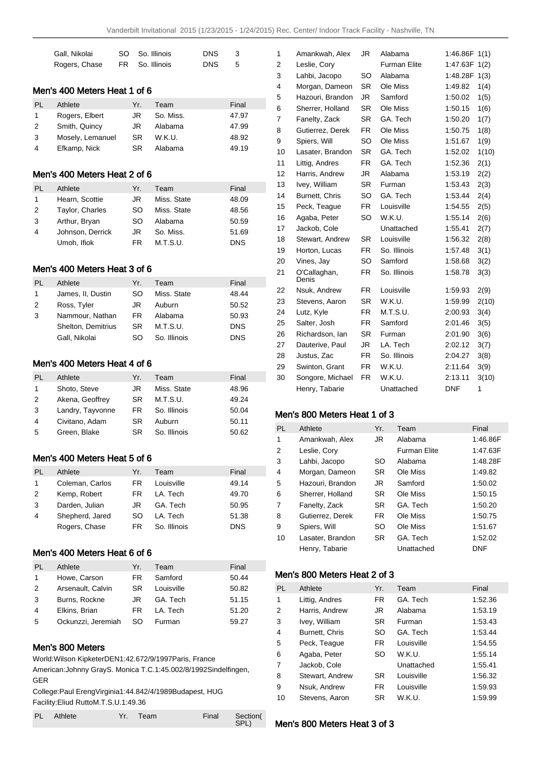| Gall, Nikolai | SO So. Illinois | DNS. | -3 |
|---------------|-----------------|------|----|
| Rogers, Chase | FR So. Illinois | DNS. | -5 |

## Men's 400 Meters Heat 1 of 6

| PL | Athlete          | Yr.       | Team      | Final |
|----|------------------|-----------|-----------|-------|
| 1  | Rogers, Elbert   | JR.       | So. Miss. | 47.97 |
| 2  | Smith, Quincy    | JR.       | Alabama   | 47.99 |
| 3  | Mosely, Lemanuel | <b>SR</b> | W.K.U.    | 48.92 |
| 4  | Efkamp, Nick     | SR.       | Alabama   | 49.19 |

### Men's 400 Meters Heat 2 of 6

| PI. | Athlete          | Yr. | Team        | Final      |
|-----|------------------|-----|-------------|------------|
|     | Hearn, Scottie   | JR  | Miss. State | 48.09      |
| 2   | Taylor, Charles  | SO  | Miss. State | 48.56      |
| 3   | Arthur, Bryan    | SO  | Alabama     | 50.59      |
| 4   | Johnson, Derrick | JR  | So. Miss.   | 51.69      |
|     | Umoh, Ifiok      | FR  | M.T.S.U.    | <b>DNS</b> |

### Men's 400 Meters Heat 3 of 6

| PI. | Athlete            | Yr. | Team         | Final      |
|-----|--------------------|-----|--------------|------------|
| 1   | James, II, Dustin  | SO  | Miss. State  | 48.44      |
| 2   | Ross, Tyler        | JR. | Auburn       | 50.52      |
| 3   | Nammour, Nathan    | FR. | Alabama      | 50.93      |
|     | Shelton, Demitrius | SR. | M.T.S.U.     | <b>DNS</b> |
|     | Gall, Nikolai      | SO  | So. Illinois | <b>DNS</b> |

## Men's 400 Meters Heat 4 of 6

| PL | Athlete          | Yr. | Team         | Final |
|----|------------------|-----|--------------|-------|
| 1  | Shoto, Steve     | JR  | Miss. State  | 48.96 |
| 2  | Akena, Geoffrey  | SR  | M.T.S.U.     | 49.24 |
| 3  | Landry, Tayvonne | FR. | So. Illinois | 50.04 |
| 4  | Civitano, Adam   | SR  | Auburn       | 50.11 |
| 5  | Green, Blake     | SR  | So. Illinois | 50.62 |

## Men's 400 Meters Heat 5 of 6

| PI.            | Athlete         | Yr. | Team         | Final      |
|----------------|-----------------|-----|--------------|------------|
| 1              | Coleman, Carlos | FR  | Louisville   | 49.14      |
| 2              | Kemp, Robert    | FR. | LA. Tech     | 49.70      |
| 3              | Darden, Julian  | JR. | GA. Tech     | 50.95      |
| $\overline{4}$ | Shepherd, Jared | SO  | I A. Tech    | 51.38      |
|                | Rogers, Chase   | FR. | So. Illinois | <b>DNS</b> |

# Men's 400 Meters Heat 6 of 6

| PI.            | Athlete            | Yr. | Team       | Final |
|----------------|--------------------|-----|------------|-------|
| 1              | Howe, Carson       | FR. | Samford    | 50.44 |
| 2              | Arsenault, Calvin  | SR. | Louisville | 50.82 |
| 3              | Burns, Rockne      | JR. | GA. Tech   | 51.15 |
| $\overline{4}$ | Elkins, Brian      | FR. | LA. Tech   | 51.20 |
| 5              | Ockunzzi, Jeremiah | SO  | Furman     | 59.27 |

## Men's 800 Meters

World: Wilson Kipketer DEN 1:42.67 2/9/1997 Paris, France

American: Johnny Gray S. Monica T.C. 1:45.00 2/8/1992 Sindelfingen, GER

College: Paul Ereng Virginia 1:44.84 2/4/1989 Budapest, HUG Facility: Eliud Rutto M.T.S.U. 1:49.36

| PL Athlete | Yr. Team | Final Section( |      |
|------------|----------|----------------|------|
|            |          |                | SPL) |

| 1              | Amankwah, Alex        | JR        | Alabama             | 1:46.86F   | 1(1)  |
|----------------|-----------------------|-----------|---------------------|------------|-------|
| $\overline{2}$ | Leslie, Cory          |           | <b>Furman Elite</b> | 1:47.63F   | 1(2)  |
| 3              | Lahbi, Jacopo         | SO        | Alabama             | 1:48.28F   | 1(3)  |
| 4              | Morgan, Dameon        | <b>SR</b> | Ole Miss            | 1:49.82    | 1(4)  |
| 5              | Hazouri, Brandon      | JR        | Samford             | 1:50.02    | 1(5)  |
| 6              | Sherrer, Holland      | <b>SR</b> | Ole Miss            | 1:50.15    | 1(6)  |
| 7              | Fanelty, Zack         | <b>SR</b> | GA. Tech            | 1:50.20    | 1(7)  |
| 8              | Gutierrez, Derek      | FR.       | Ole Miss            | 1:50.75    | 1(8)  |
| 9              | Spiers, Will          | SO        | Ole Miss            | 1:51.67    | 1(9)  |
| 10             | Lasater, Brandon      | <b>SR</b> | GA. Tech            | 1:52.02    | 1(10) |
| 11             | Littig, Andres        | <b>FR</b> | GA. Tech            | 1:52.36    | 2(1)  |
| 12             | Harris, Andrew        | JR.       | Alabama             | 1:53.19    | 2(2)  |
| 13             | Ivey, William         | SR        | Furman              | 1:53.43    | 2(3)  |
| 14             | Burnett, Chris        | SO        | GA. Tech            | 1:53.44    | 2(4)  |
| 15             | Peck, Teague          | <b>FR</b> | Louisville          | 1:54.55    | 2(5)  |
| 16             | Agaba, Peter          | SO        | W.K.U.              | 1:55.14    | 2(6)  |
| 17             | Jackob, Cole          |           | Unattached          | 1:55.41    | 2(7)  |
| 18             | Stewart, Andrew       | <b>SR</b> | Louisville          | 1:56.32    | 2(8)  |
| 19             | Horton, Lucas         | FR.       | So. Illinois        | 1:57.48    | 3(1)  |
| 20             | Vines, Jay            | SO        | Samford             | 1:58.68    | 3(2)  |
| 21             | O'Callaghan,<br>Denis | FR        | So. Illinois        | 1:58.78    | 3(3)  |
| 22             | Nsuk, Andrew          | <b>FR</b> | Louisville          | 1:59.93    | 2(9)  |
| 23             | Stevens, Aaron        | <b>SR</b> | W.K.U.              | 1:59.99    | 2(10) |
| 24             | Lutz, Kyle            | <b>FR</b> | M.T.S.U.            | 2:00.93    | 3(4)  |
| 25             | Salter, Josh          | <b>FR</b> | Samford             | 2:01.46    | 3(5)  |
| 26             | Richardson, Ian       | SR        | Furman              | 2:01.90    | 3(6)  |
| 27             | Dauterive, Paul       | JR.       | LA. Tech            | 2:02.12    | 3(7)  |
| 28             | Justus, Zac           | FR        | So. Illinois        | 2:04.27    | 3(8)  |
| 29             | Swinton, Grant        | FR.       | W.K.U.              | 2:11.64    | 3(9)  |
| 30             | Songore, Michael      | <b>FR</b> | W.K.U.              | 2:13.11    | 3(10) |
|                | Henry, Tabarie        |           | Unattached          | <b>DNF</b> | 1     |
|                |                       |           |                     |            |       |

## Men's 800 Meters Heat 1 of 3

| <b>PL</b>      | Athlete          | Yr.       | Team                | Final      |
|----------------|------------------|-----------|---------------------|------------|
| 1              | Amankwah, Alex   | JR.       | Alabama             | 1:46.86F   |
| 2              | Leslie, Cory     |           | <b>Furman Elite</b> | 1:47.63F   |
| 3              | Lahbi, Jacopo    | SO        | Alabama             | 1:48.28F   |
| $\overline{4}$ | Morgan, Dameon   | <b>SR</b> | Ole Miss            | 1:49.82    |
| 5              | Hazouri, Brandon | JR.       | Samford             | 1:50.02    |
| 6              | Sherrer, Holland | <b>SR</b> | Ole Miss            | 1:50.15    |
| 7              | Fanelty, Zack    | <b>SR</b> | GA. Tech            | 1:50.20    |
| 8              | Gutierrez, Derek | FR.       | Ole Miss            | 1:50.75    |
| 9              | Spiers, Will     | SO        | Ole Miss            | 1:51.67    |
| 10             | Lasater, Brandon | <b>SR</b> | GA. Tech            | 1:52.02    |
|                | Henry, Tabarie   |           | Unattached          | <b>DNF</b> |

#### Men's 800 Meters Heat 2 of 3

| <b>PL</b> | Athlete         | Yr.       | Team       | Final   |
|-----------|-----------------|-----------|------------|---------|
| 1         | Littig, Andres  | <b>FR</b> | GA. Tech   | 1:52.36 |
| 2         | Harris, Andrew  | JR.       | Alabama    | 1:53.19 |
| 3         | Ivey, William   | <b>SR</b> | Furman     | 1:53.43 |
| 4         | Burnett, Chris  | SO        | GA. Tech   | 1:53.44 |
| 5         | Peck, Teaque    | <b>FR</b> | Louisville | 1:54.55 |
| 6         | Agaba, Peter    | SO        | W.K.U.     | 1:55.14 |
| 7         | Jackob, Cole    |           | Unattached | 1:55.41 |
| 8         | Stewart, Andrew | <b>SR</b> | Louisville | 1:56.32 |
| 9         | Nsuk, Andrew    | FR.       | Louisville | 1:59.93 |
| 10        | Stevens, Aaron  | <b>SR</b> | W.K.U.     | 1:59.99 |

Men's 800 Meters Heat 3 of 3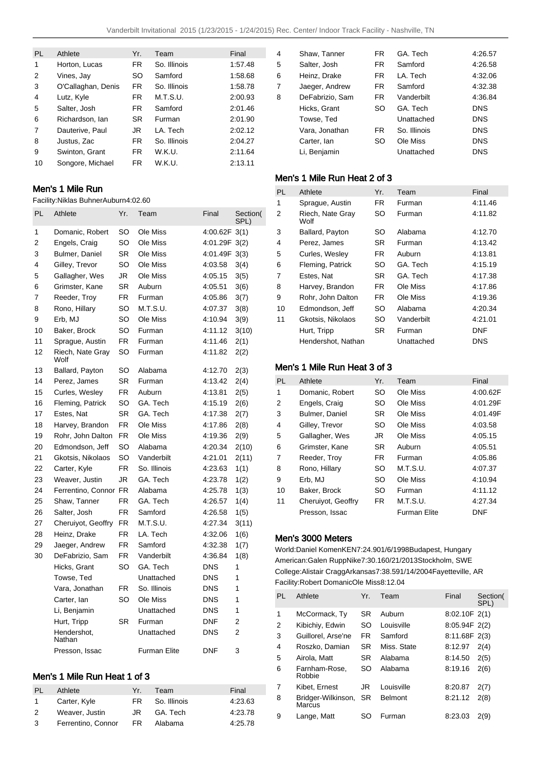| PL | Athlete            | Yr. | Team         | Final   |
|----|--------------------|-----|--------------|---------|
| 1  | Horton, Lucas      | FR. | So. Illinois | 1:57.48 |
| 2  | Vines, Jay         | SO  | Samford      | 1:58.68 |
| 3  | O'Callaghan, Denis | FR. | So. Illinois | 1:58.78 |
| 4  | Lutz, Kyle         | FR. | M.T.S.U.     | 2:00.93 |
| 5  | Salter, Josh       | FR. | Samford      | 2:01.46 |
| 6  | Richardson, Ian    | SR. | Furman       | 2:01.90 |
| 7  | Dauterive, Paul    | JR  | I A. Tech    | 2:02.12 |
| 8  | Justus, Zac        | FR. | So. Illinois | 2:04.27 |
| 9  | Swinton, Grant     | FR. | W.K.U.       | 2:11.64 |
| 10 | Songore, Michael   | FR. | W.K.U.       | 2:13.11 |

## Men's 1 Mile Run

Facility: Niklas Buhner Auburn 4:02.60

| PL             | Athlete                  | Yr.       | Team         | Final         | Section(<br>SPL) |
|----------------|--------------------------|-----------|--------------|---------------|------------------|
| 1              | Domanic, Robert          | SO        | Ole Miss     | 4:00.62F 3(1) |                  |
| $\overline{2}$ | Engels, Craig            | SO        | Ole Miss     | 4:01.29F      | 3(2)             |
| 3              | <b>Bulmer, Daniel</b>    | <b>SR</b> | Ole Miss     | 4:01.49F 3(3) |                  |
| 4              | Gilley, Trevor           | SO        | Ole Miss     | 4:03.58       | 3(4)             |
| 5              | Gallagher, Wes           | JR        | Ole Miss     | 4:05.15       | 3(5)             |
| 6              | Grimster, Kane           | SR        | Auburn       | 4:05.51       | 3(6)             |
| 7              | Reeder, Troy             | FR.       | Furman       | 4:05.86       | 3(7)             |
| 8              | Rono, Hillary            | SO        | M.T.S.U.     | 4:07.37       | 3(8)             |
| 9              | Erb, MJ                  | SO        | Ole Miss     | 4:10.94       | 3(9)             |
| 10             | Baker, Brock             | SO        | Furman       | 4:11.12       | 3(10)            |
| 11             | Sprague, Austin          | FR        | Furman       | 4:11.46       | 2(1)             |
| 12             | Riech, Nate Gray<br>Wolf | SO        | Furman       | 4:11.82       | 2(2)             |
| 13             | Ballard, Payton          | SO        | Alabama      | 4:12.70       | 2(3)             |
| 14             | Perez, James             | <b>SR</b> | Furman       | 4:13.42       | 2(4)             |
| 15             | Curles, Wesley           | FR        | Auburn       | 4:13.81       | 2(5)             |
| 16             | Fleming, Patrick         | SO        | GA. Tech     | 4:15.19       | 2(6)             |
| 17             | Estes, Nat               | SR.       | GA. Tech     | 4:17.38       | 2(7)             |
| 18             | Harvey, Brandon          | FR.       | Ole Miss     | 4:17.86       | 2(8)             |
| 19             | Rohr, John Dalton        | <b>FR</b> | Ole Miss     | 4:19.36       | 2(9)             |
| 20             | Edmondson, Jeff          | SO        | Alabama      | 4:20.34       | 2(10)            |
| 21             | Gkotsis, Nikolaos        | SO        | Vanderbilt   | 4:21.01       | 2(11)            |
| 22             | Carter, Kyle             | FR.       | So. Illinois | 4:23.63       | 1(1)             |
| 23             | Weaver, Justin           | JR        | GA. Tech     | 4:23.78       | 1(2)             |
| 24             | Ferrentino, Connor FR    |           | Alabama      | 4:25.78       | 1(3)             |
| 25             | Shaw, Tanner             | FR.       | GA. Tech     | 4:26.57       | 1(4)             |
| 26             | Salter, Josh             | <b>FR</b> | Samford      | 4:26.58       | 1(5)             |
| 27             | Cheruiyot, Geoffry       | <b>FR</b> | M.T.S.U.     | 4:27.34       | 3(11)            |
| 28             | Heinz, Drake             | <b>FR</b> | LA. Tech     | 4:32.06       | 1(6)             |
| 29             | Jaeger, Andrew           | FR.       | Samford      | 4:32.38       | 1(7)             |
| 30             | DeFabrizio, Sam          | FR.       | Vanderbilt   | 4:36.84       | 1(8)             |
|                | Hicks, Grant             | SO        | GA. Tech     | <b>DNS</b>    | 1                |
|                | Towse, Ted               |           | Unattached   | <b>DNS</b>    | 1                |
|                | Vara, Jonathan           | FR.       | So. Illinois | <b>DNS</b>    | 1                |
|                | Carter, lan              | SO        | Ole Miss     | <b>DNS</b>    | 1                |
|                | Li, Benjamin             |           | Unattached   | <b>DNS</b>    | 1                |
|                | Hurt, Tripp              | SR        | Furman       | <b>DNF</b>    | 2                |
|                | Hendershot,<br>Nathan    |           | Unattached   | <b>DNS</b>    | $\overline{2}$   |
|                | Presson, Issac           |           | Furman Elite | <b>DNF</b>    | 3                |

## Men's 1 Mile Run Heat 1 of 3

| PL           | Athlete            | Yr. | Team         | Final   |
|--------------|--------------------|-----|--------------|---------|
| $\mathbf{1}$ | Carter, Kyle       | FR. | So. Illinois | 4.23.63 |
| 2            | Weaver, Justin     | JR. | GA. Tech     | 4:23.78 |
| -3           | Ferrentino, Connor | FR. | Alabama      | 4:25.78 |

| 4 | Shaw, Tanner    | FR. | GA. Tech     | 4:26.57    |
|---|-----------------|-----|--------------|------------|
| 5 | Salter, Josh    | FR. | Samford      | 4:26.58    |
| 6 | Heinz, Drake    | FR. | LA. Tech     | 4:32.06    |
| 7 | Jaeger, Andrew  | FR. | Samford      | 4:32.38    |
| 8 | DeFabrizio, Sam | FR. | Vanderbilt   | 4:36.84    |
|   | Hicks, Grant    | SO  | GA. Tech     | <b>DNS</b> |
|   | Towse, Ted      |     | Unattached   | <b>DNS</b> |
|   | Vara, Jonathan  | FR. | So. Illinois | <b>DNS</b> |
|   | Carter, Ian     | SO  | Ole Miss     | <b>DNS</b> |
|   | Li, Benjamin    |     | Unattached   | <b>DNS</b> |
|   |                 |     |              |            |

# Men's 1 Mile Run Heat 2 of 3

| PL | Athlete                  | Yr.       | Team       | Final      |
|----|--------------------------|-----------|------------|------------|
| 1  | Sprague, Austin          | FR.       | Furman     | 4:11.46    |
| 2  | Riech, Nate Gray<br>Wolf | SO        | Furman     | 4:11.82    |
| 3  | Ballard, Payton          | <b>SO</b> | Alabama    | 4:12.70    |
| 4  | Perez, James             | SR        | Furman     | 4:13.42    |
| 5  | Curles, Wesley           | FR.       | Auburn     | 4:13.81    |
| 6  | Fleming, Patrick         | SO.       | GA. Tech   | 4:15.19    |
| 7  | Estes, Nat               | SR.       | GA. Tech   | 4:17.38    |
| 8  | Harvey, Brandon          | FR.       | Ole Miss   | 4:17.86    |
| 9  | Rohr. John Dalton        | FR.       | Ole Miss   | 4:19.36    |
| 10 | Edmondson, Jeff          | SO.       | Alabama    | 4:20.34    |
| 11 | Gkotsis, Nikolaos        | SO.       | Vanderbilt | 4:21.01    |
|    | Hurt, Tripp              | <b>SR</b> | Furman     | <b>DNF</b> |
|    | Hendershot, Nathan       |           | Unattached | <b>DNS</b> |

## Men's 1 Mile Run Heat 3 of 3

| <b>PL</b> | Athlete            | Yr.       | Team         | Final      |
|-----------|--------------------|-----------|--------------|------------|
| 1         | Domanic, Robert    | SO        | Ole Miss     | 4:00.62F   |
| 2         | Engels, Craig      | SO        | Ole Miss     | 4:01.29F   |
| 3         | Bulmer, Daniel     | <b>SR</b> | Ole Miss     | 4:01.49F   |
| 4         | Gilley, Trevor     | SO.       | Ole Miss     | 4:03.58    |
| 5         | Gallagher, Wes     | JR.       | Ole Miss     | 4:05.15    |
| 6         | Grimster, Kane     | <b>SR</b> | Auburn       | 4:05.51    |
| 7         | Reeder, Troy       | FR.       | Furman       | 4:05.86    |
| 8         | Rono, Hillary      | SO.       | M.T.S.U.     | 4:07.37    |
| 9         | Erb, MJ            | SO        | Ole Miss     | 4:10.94    |
| 10        | Baker, Brock       | <b>SO</b> | Furman       | 4:11.12    |
| 11        | Cheruiyot, Geoffry | FR.       | M.T.S.U.     | 4:27.34    |
|           | Presson, Issac     |           | Furman Elite | <b>DNF</b> |

## Men's 3000 Meters

World: Daniel Komen KEN 7:24.90 1/6/1998 Budapest, Hungary American: Galen Rupp Nike 7:30.16 0/21/2013 Stockholm, SWE College: Alistair Cragg Arkansas 7:38.59 1/14/2004 Fayetteville, AR Facility: Robert Domanic Ole Miss 8:12.04

| PL | Athlete                         | Yr.       | Team           | Final         | Section(<br>SPL) |
|----|---------------------------------|-----------|----------------|---------------|------------------|
| 1  | McCormack, Ty                   | <b>SR</b> | Auburn         | 8:02.10F 2(1) |                  |
| 2  | Kibichiy, Edwin                 | SO        | Louisville     | 8:05.94F 2(2) |                  |
| 3  | Guillorel, Arse'ne              | FR.       | Samford        | 8:11.68F 2(3) |                  |
| 4  | Roszko, Damian                  | SR.       | Miss. State    | 8:12.97       | 2(4)             |
| 5  | Airola, Matt                    | SR.       | Alabama        | 8:14.50       | 2(5)             |
| 6  | Farnham-Rose.<br>Robbie         | SO        | Alabama        | 8:19.16       | 2(6)             |
| 7  | Kibet, Ernest                   | JR        | Louisville     | 8:20.87       | 2(7)             |
| 8  | Bridger-Wilkinson, SR<br>Marcus |           | <b>Belmont</b> | 8:21.12       | 2(8)             |
| 9  | Lange, Matt                     | SO        | Furman         | 8:23.03       | 2(9)             |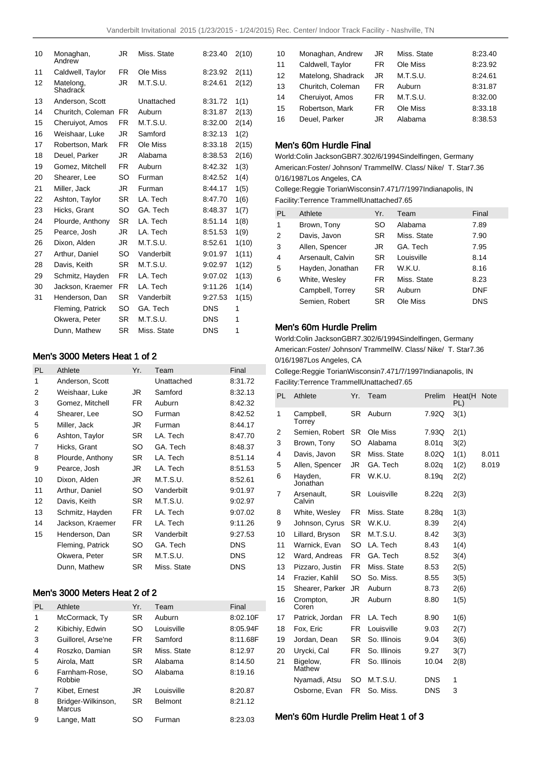| 10 | Monaghan,<br>Andrew   | JR        | Miss. State | 8:23.40    | 2(10) |
|----|-----------------------|-----------|-------------|------------|-------|
| 11 | Caldwell, Taylor      | FR.       | Ole Miss    | 8:23.92    | 2(11) |
| 12 | Matelong,<br>Shadrack | JR        | M.T.S.U.    | 8:24.61    | 2(12) |
| 13 | Anderson, Scott       |           | Unattached  | 8:31.72    | 1(1)  |
| 14 | Churitch, Coleman     | FR.       | Auburn      | 8:31.87    | 2(13) |
| 15 | Cheruiyot, Amos       | <b>FR</b> | M.T.S.U.    | 8:32.00    | 2(14) |
| 16 | Weishaar, Luke        | JR.       | Samford     | 8:32.13    | 1(2)  |
| 17 | Robertson, Mark       | FR.       | Ole Miss    | 8:33.18    | 2(15) |
| 18 | Deuel, Parker         | JR        | Alabama     | 8:38.53    | 2(16) |
| 19 | Gomez, Mitchell       | FR.       | Auburn      | 8:42.32    | 1(3)  |
| 20 | Shearer, Lee          | SO        | Furman      | 8:42.52    | 1(4)  |
| 21 | Miller, Jack          | JR.       | Furman      | 8:44.17    | 1(5)  |
| 22 | Ashton, Taylor        | SR.       | LA. Tech    | 8:47.70    | 1(6)  |
| 23 | Hicks, Grant          | SO        | GA. Tech    | 8:48.37    | 1(7)  |
| 24 | Plourde, Anthony      | <b>SR</b> | LA. Tech    | 8:51.14    | 1(8)  |
| 25 | Pearce, Josh          | JR        | LA. Tech    | 8:51.53    | 1(9)  |
| 26 | Dixon, Alden          | JR.       | M.T.S.U.    | 8:52.61    | 1(10) |
| 27 | Arthur, Daniel        | SΟ        | Vanderbilt  | 9:01.97    | 1(11) |
| 28 | Davis, Keith          | <b>SR</b> | M.T.S.U.    | 9:02.97    | 1(12) |
| 29 | Schmitz, Hayden       | FR.       | LA. Tech    | 9:07.02    | 1(13) |
| 30 | Jackson, Kraemer      | FR.       | LA. Tech    | 9:11.26    | 1(14) |
| 31 | Henderson, Dan        | SR.       | Vanderbilt  | 9:27.53    | 1(15) |
|    | Fleming, Patrick      | SO        | GA. Tech    | <b>DNS</b> | 1     |
|    | Okwera, Peter         | <b>SR</b> | M.T.S.U.    | <b>DNS</b> | 1     |
|    | Dunn, Mathew          | SR        | Miss. State | <b>DNS</b> | 1     |
|    |                       |           |             |            |       |

# Men's 3000 Meters Heat 1 of 2

| PL | Athlete          | Yr. | Team        | Final      |
|----|------------------|-----|-------------|------------|
| 1  | Anderson, Scott  |     | Unattached  | 8:31.72    |
| 2  | Weishaar, Luke   | JR. | Samford     | 8:32.13    |
| 3  | Gomez, Mitchell  | FR. | Auburn      | 8:42.32    |
| 4  | Shearer, Lee     | SO  | Furman      | 8:42.52    |
| 5  | Miller, Jack     | JR  | Furman      | 8:44.17    |
| 6  | Ashton, Taylor   | SR  | LA. Tech    | 8:47.70    |
| 7  | Hicks, Grant     | SO  | GA. Tech    | 8:48.37    |
| 8  | Plourde, Anthony | SR  | LA. Tech    | 8:51.14    |
| 9  | Pearce, Josh     | JR  | LA. Tech    | 8:51.53    |
| 10 | Dixon, Alden     | JR  | M.T.S.U.    | 8:52.61    |
| 11 | Arthur, Daniel   | SO  | Vanderbilt  | 9:01.97    |
| 12 | Davis, Keith     | SR  | M.T.S.U.    | 9:02.97    |
| 13 | Schmitz, Hayden  | FR  | LA. Tech    | 9:07.02    |
| 14 | Jackson, Kraemer | FR  | LA. Tech    | 9:11.26    |
| 15 | Henderson, Dan   | SR  | Vanderbilt  | 9:27.53    |
|    | Fleming, Patrick | SO  | GA. Tech    | <b>DNS</b> |
|    | Okwera, Peter    | SR  | M.T.S.U.    | <b>DNS</b> |
|    | Dunn, Mathew     | SR  | Miss. State | <b>DNS</b> |

## Men's 3000 Meters Heat 2 of 2

| PL | Athlete                      | Yr.       | Team           | Final    |
|----|------------------------------|-----------|----------------|----------|
| 1  | McCormack, Ty                | <b>SR</b> | Auburn         | 8:02.10F |
| 2  | Kibichiy, Edwin              | SO        | Louisville     | 8:05.94F |
| 3  | Guillorel, Arse'ne           | FR.       | Samford        | 8:11.68F |
| 4  | Roszko, Damian               | <b>SR</b> | Miss. State    | 8:12.97  |
| 5  | Airola, Matt                 | <b>SR</b> | Alabama        | 8:14.50  |
| 6  | Farnham-Rose.<br>Robbie      | SO        | Alabama        | 8:19.16  |
| 7  | Kibet, Ernest                | JR        | Louisville     | 8:20.87  |
| 8  | Bridger-Wilkinson,<br>Marcus | <b>SR</b> | <b>Belmont</b> | 8:21.12  |
| 9  | Lange, Matt                  | SO        | Furman         | 8:23.03  |

| 10 | Monaghan, Andrew   | JR  | Miss. State | 8:23.40 |
|----|--------------------|-----|-------------|---------|
| 11 | Caldwell, Taylor   | FR. | Ole Miss    | 8:23.92 |
| 12 | Matelong, Shadrack | JR  | M.T.S.U.    | 8:24.61 |
| 13 | Churitch, Coleman  | FR  | Auburn      | 8:31.87 |
| 14 | Cheruiyot, Amos    | FR. | M.T.S.U.    | 8:32.00 |
| 15 | Robertson, Mark    | FR  | Ole Miss    | 8:33.18 |
| 16 | Deuel, Parker      | JR  | Alabama     | 8:38.53 |

## Men's 60m Hurdle Final

World: Colin Jackson GBR 7.30 2/6/1994 Sindelfingen, Germany American: Foster/ Johnson/ Trammell W. Class/ Nike/ T. Star 7.36 0/16/1987 Los Angeles, CA

College: Reggie Torian Wisconsin 7.47 1/7/1997 Indianapolis, IN Facility: Terrence Trammell Unattached 7.65

| PL | Athlete           | Yr.       | Team        | Final      |
|----|-------------------|-----------|-------------|------------|
| 1  | Brown, Tony       | SO        | Alabama     | 7.89       |
| 2  | Davis, Javon      | <b>SR</b> | Miss. State | 7.90       |
| 3  | Allen, Spencer    | JR        | GA. Tech    | 7.95       |
| 4  | Arsenault, Calvin | SR.       | Louisville  | 8.14       |
| 5  | Hayden, Jonathan  | FR.       | W.K.U.      | 8.16       |
| 6  | White, Wesley     | FR.       | Miss. State | 8.23       |
|    | Campbell, Torrey  | <b>SR</b> | Auburn      | <b>DNF</b> |
|    | Semien, Robert    | <b>SR</b> | Ole Miss    | <b>DNS</b> |

### Men's 60m Hurdle Prelim

World: Colin Jackson GBR 7.30 2/6/1994 Sindelfingen, Germany American: Foster/ Johnson/ Trammell W. Class/ Nike/ T. Star 7.36 0/16/1987 Los Angeles, CA

College: Reggie Torian Wisconsin 7.47 1/7/1997 Indianapolis, IN Facility: Terrence Trammell Unattached 7.65

| PL | Athlete              | Yr.       | Team         | Prelim     | Heat(H<br>PL) | <b>Note</b> |
|----|----------------------|-----------|--------------|------------|---------------|-------------|
| 1  | Campbell,<br>Torrey  | SR        | Auburn       | 7.92Q      | 3(1)          |             |
| 2  | Semien, Robert       | SR        | Ole Miss     | 7.93Q      | 2(1)          |             |
| 3  | Brown, Tony          | SO        | Alabama      | 8.01q      | 3(2)          |             |
| 4  | Davis, Javon         | <b>SR</b> | Miss. State  | 8.02Q      | 1(1)          | 8.011       |
| 5  | Allen, Spencer       | JR        | GA. Tech     | 8.02q      | 1(2)          | 8.019       |
| 6  | Hayden,<br>Jonathan  | FR.       | W.K.U.       | 8.19q      | 2(2)          |             |
| 7  | Arsenault,<br>Calvin | SR        | Louisville   | 8.22q      | 2(3)          |             |
| 8  | White, Wesley        | FR.       | Miss. State  | 8.28q      | 1(3)          |             |
| 9  | Johnson, Cyrus       | <b>SR</b> | W.K.U.       | 8.39       | 2(4)          |             |
| 10 | Lillard, Bryson      | <b>SR</b> | M.T.S.U.     | 8.42       | 3(3)          |             |
| 11 | Warnick, Evan        | SO        | LA. Tech     | 8.43       | 1(4)          |             |
| 12 | Ward, Andreas        | FR.       | GA. Tech     | 8.52       | 3(4)          |             |
| 13 | Pizzaro, Justin      | FR        | Miss. State  | 8.53       | 2(5)          |             |
| 14 | Frazier, Kahlil      | SO        | So. Miss.    | 8.55       | 3(5)          |             |
| 15 | Shearer, Parker      | JR.       | Auburn       | 8.73       | 2(6)          |             |
| 16 | Crompton,<br>Coren   | JR        | Auburn       | 8.80       | 1(5)          |             |
| 17 | Patrick, Jordan      | <b>FR</b> | LA. Tech     | 8.90       | 1(6)          |             |
| 18 | Fox, Eric            | FR        | Louisville   | 9.03       | 2(7)          |             |
| 19 | Jordan, Dean         | SR        | So. Illinois | 9.04       | 3(6)          |             |
| 20 | Urycki, Cal          | FR        | So. Illinois | 9.27       | 3(7)          |             |
| 21 | Bigelow,<br>Mathew   | FR        | So. Illinois | 10.04      | 2(8)          |             |
|    | Nyamadi, Atsu        | SO        | M.T.S.U.     | <b>DNS</b> | 1             |             |
|    | Osborne, Evan        | <b>FR</b> | So. Miss.    | <b>DNS</b> | 3             |             |

## Men's 60m Hurdle Prelim Heat 1 of 3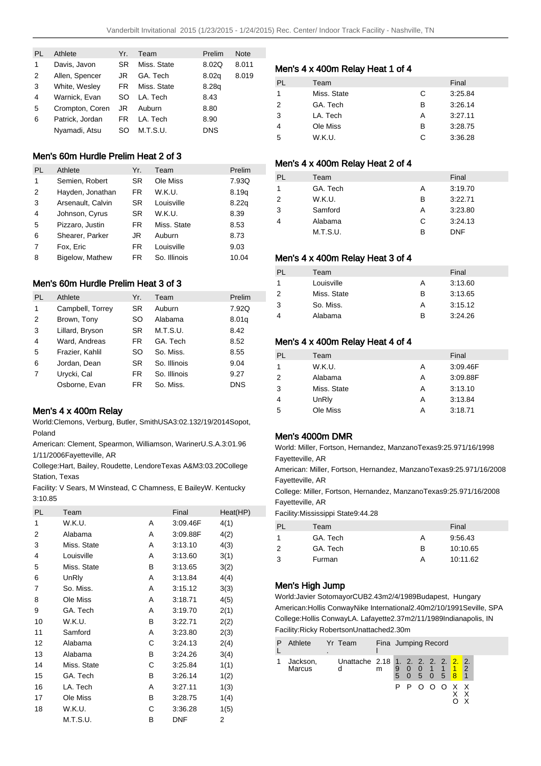| PI. | Athlete         | Yr. | Team        | Prelim     | <b>Note</b> |
|-----|-----------------|-----|-------------|------------|-------------|
| 1   | Davis, Javon    | SR  | Miss. State | 8.02Q      | 8.011       |
| 2   | Allen, Spencer  | JR  | GA. Tech    | 8.02q      | 8.019       |
| 3   | White, Wesley   | FR. | Miss. State | 8.28g      |             |
| 4   | Warnick, Evan   | SO  | LA. Tech    | 8.43       |             |
| 5   | Crompton, Coren | JR  | Auburn      | 8.80       |             |
| 6   | Patrick, Jordan | FR  | LA. Tech    | 8.90       |             |
|     | Nyamadi, Atsu   | SO  | M.T.S.U.    | <b>DNS</b> |             |

### Men's 60m Hurdle Prelim Heat 2 of 3

| PI. | Athlete           | Yr.       | Team         | Prelim |
|-----|-------------------|-----------|--------------|--------|
| 1   | Semien, Robert    | <b>SR</b> | Ole Miss     | 7.93Q  |
| 2   | Hayden, Jonathan  | FR.       | W.K.U.       | 8.19q  |
| 3   | Arsenault, Calvin | SR        | Louisville   | 8.22q  |
| 4   | Johnson, Cyrus    | <b>SR</b> | W.K.U.       | 8.39   |
| 5   | Pizzaro, Justin   | FR.       | Miss. State  | 8.53   |
| 6   | Shearer, Parker   | JR        | Auburn       | 8.73   |
| 7   | Fox, Eric         | FR.       | Louisville   | 9.03   |
| 8   | Bigelow, Mathew   | FR.       | So. Illinois | 10.04  |

### Men's 60m Hurdle Prelim Heat 3 of 3

| PI. | Athlete          | Yr.       | Team         | Prelim     |
|-----|------------------|-----------|--------------|------------|
| 1   | Campbell, Torrey | <b>SR</b> | Auburn       | 7.92Q      |
| 2   | Brown, Tony      | <b>SO</b> | Alabama      | 8.01g      |
| 3   | Lillard, Bryson  | <b>SR</b> | M.T.S.U.     | 8.42       |
| 4   | Ward, Andreas    | FR.       | GA. Tech     | 8.52       |
| 5   | Frazier, Kahlil  | SO        | So. Miss.    | 8.55       |
| 6   | Jordan, Dean     | <b>SR</b> | So. Illinois | 9.04       |
| 7   | Urycki, Cal      | FR.       | So. Illinois | 9.27       |
|     | Osborne, Evan    | FR.       | So. Miss.    | <b>DNS</b> |

#### Men's 4 x 400m Relay

World: Clemons, Verburg, Butler, Smith USA 3:02.13 2/19/2014 Sopot, Poland

American: Clement, Spearmon, Williamson, Wariner U.S.A. 3:01.96 1/11/2006 Fayetteville, AR

College: Hart, Bailey, Roudette, Lendore Texas A&M 3:03.20 College Station, Texas

Facility: V Sears, M Winstead, C Chamness, E Bailey W. Kentucky 3:10.85

| <b>PL</b> | Team        |   | Final      | Heat(HP) |
|-----------|-------------|---|------------|----------|
| 1         | W.K.U.      | А | 3:09.46F   | 4(1)     |
| 2         | Alabama     | A | 3:09.88F   | 4(2)     |
| 3         | Miss. State | A | 3:13.10    | 4(3)     |
| 4         | Louisville  | A | 3:13.60    | 3(1)     |
| 5         | Miss. State | в | 3:13.65    | 3(2)     |
| 6         | UnRly       | A | 3:13.84    | 4(4)     |
| 7         | So. Miss.   | A | 3:15.12    | 3(3)     |
| 8         | Ole Miss    | A | 3:18.71    | 4(5)     |
| 9         | GA. Tech    | A | 3:19.70    | 2(1)     |
| 10        | W.K.U.      | в | 3:22.71    | 2(2)     |
| 11        | Samford     | A | 3:23.80    | 2(3)     |
| 12        | Alabama     | С | 3:24.13    | 2(4)     |
| 13        | Alabama     | в | 3:24.26    | 3(4)     |
| 14        | Miss. State | С | 3:25.84    | 1(1)     |
| 15        | GA. Tech    | в | 3:26.14    | 1(2)     |
| 16        | LA. Tech    | A | 3:27.11    | 1(3)     |
| 17        | Ole Miss    | в | 3:28.75    | 1(4)     |
| 18        | W.K.U.      | С | 3:36.28    | 1(5)     |
|           | M.T.S.U.    | B | <b>DNF</b> | 2        |

#### Men's 4 x 400m Relay Heat 1 of 4

| PL | Team        |   | Final   |
|----|-------------|---|---------|
| 1  | Miss. State | С | 3:25.84 |
| 2  | GA. Tech    | в | 3:26.14 |
| 3  | LA. Tech    | А | 3:27.11 |
| 4  | Ole Miss    | в | 3:28.75 |
| 5  | W.K.U.      | C | 3:36.28 |

### Men's 4 x 400m Relay Heat 2 of 4

| PL            | Team     |   | Final      |
|---------------|----------|---|------------|
|               | GA. Tech | Α | 3:19.70    |
| $\mathcal{P}$ | W.K.U.   | в | 3:22.71    |
| 3             | Samford  | А | 3:23.80    |
| 4             | Alabama  | C | 3:24.13    |
|               | M.T.S.U. | в | <b>DNF</b> |

### Men's 4 x 400m Relay Heat 3 of 4

| Team |                                                   | Final   |
|------|---------------------------------------------------|---------|
|      | А                                                 | 3:13.60 |
|      | в                                                 | 3:13.65 |
|      | А                                                 | 3:15.12 |
|      | в                                                 | 3:24.26 |
|      | Louisville<br>Miss. State<br>So. Miss.<br>Alabama |         |

#### Men's 4 x 400m Relay Heat 4 of 4

#### Men's 4000m DMR

World: Miller, Fortson, Hernandez, Manzano Texas 9:25.97 1/16/1998 Fayetteville, AR

American: Miller, Fortson, Hernandez, Manzano Texas 9:25.97 1/16/2008 Fayetteville, AR

College: Miller, Fortson, Hernandez, Manzano Texas 9:25.97 1/16/2008 Fayetteville, AR

Facility: Mississippi State 9:44.28

| PL | Team     |   | Final    |
|----|----------|---|----------|
| 1  | GA. Tech | А | 9:56.43  |
| 2  | GA. Tech | R | 10:10.65 |
| 3  | Furman   | А | 10:11.62 |

#### Men's High Jump

World: Javier Sotomayor CUB 2.43m 2/4/1989 Budapest, Hungary American: Hollis Conway Nike International 2.40m 2/10/1991 Seville, SPA College: Hollis Conway LA. Lafayette 2.37m 2/11/1989 Indianapolis, IN Facility: Ricky Robertson Unattached 2.30m

| Р | Athlete            | ۰. | Yr Team                                  | Fina Jumping Record |  |  |                                         |                |  |
|---|--------------------|----|------------------------------------------|---------------------|--|--|-----------------------------------------|----------------|--|
|   | Jackson,<br>Marcus |    | Unattache 2.18 1. 2. 2. 2. 2. 2. 2.<br>d | m                   |  |  | 9 0 0 1 1 <mark>1</mark><br>5 0 5 0 5 8 | $\overline{2}$ |  |
|   |                    |    |                                          |                     |  |  | P P O O O X X                           | X              |  |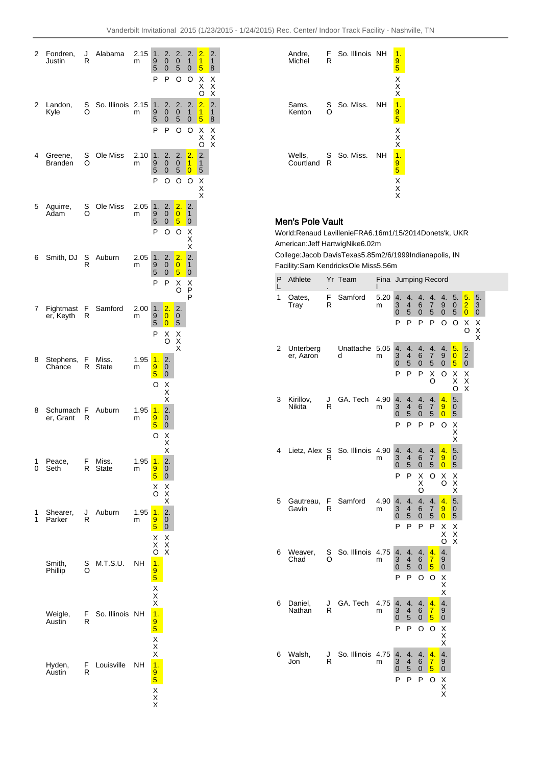| 2 | Fondren,<br>Justin      | 2.15<br>J<br>Alabama<br>R<br>m |                   | 1.<br>9<br>5<br>P           | 2.<br>$\mathbf 0$<br>0<br>P | 2.<br>$\mathbf 0$<br>5               | 2.<br>1<br>$\mathbf 0$    | $\overline{2}$ .<br>1<br>5              | 2.<br>$\mathbf{1}$<br>8                     |                                       |
|---|-------------------------|--------------------------------|-------------------|-----------------------------|-----------------------------|--------------------------------------|---------------------------|-----------------------------------------|---------------------------------------------|---------------------------------------|
|   |                         |                                |                   |                             |                             |                                      | O                         | O                                       | X<br>X<br>O                                 | X<br>X<br>X                           |
| 2 | Landon,<br>Kyle         | s<br>O                         | So. Illinois 2.15 | m                           | 1.<br>9<br>5                | 2.<br>0<br>0                         | 2.<br>0<br>5              | 2.<br>$\mathbf{1}$<br>0                 | 2.<br>$\overline{1}$<br>5                   | $\overline{2}$ .<br>$\mathbf{1}$<br>8 |
|   |                         |                                |                   |                             | P                           | P                                    | O                         | O                                       | Χ<br>X<br>ö                                 | $\frac{x}{x}$                         |
| 4 | Greene,<br>Branden      | s<br>O                         | Ole Miss          | 2.10<br>m                   | 1.<br>9<br>5                | $\frac{2}{0}$<br>0                   | 2.<br>0<br>5              | $\overline{2}$ .<br>1<br>$\overline{0}$ | $\begin{array}{c} 2. \\ 1 \end{array}$<br>5 |                                       |
|   |                         |                                |                   |                             | P                           | O                                    | O                         | O                                       | X<br>X<br>X                                 |                                       |
| 5 | Aguirre,<br>Adam        | s<br>O                         | Ole Miss          | 2.05<br>m                   | 1.<br>9<br>5                | $\overline{2}$ .<br>$\mathbf 0$<br>0 | 2.<br>$\overline{0}$<br>5 | 2.<br>1<br>0                            |                                             |                                       |
|   |                         |                                |                   |                             | P                           | O                                    | O                         | X<br>X<br>X                             |                                             |                                       |
| 6 | Smith, DJ               | S<br>R                         | Auburn            | 2.05<br>m                   | 1.<br>9                     | 2.<br>0                              | $\overline{2}$ .<br>0     | 2.<br>$\mathbf{1}$                      |                                             |                                       |
|   |                         |                                |                   |                             | 5<br>P                      | 0<br>P                               | 5<br>Χ<br>O               | $\mathbf 0$<br>X<br>P                   |                                             |                                       |
| 7 | Fightmast<br>er, Keyth  | F<br>R                         | Samford           | 2.00<br>m                   | 1.<br>9                     | $\overline{2}$ .<br>0                | 2.<br>0                   | P                                       |                                             |                                       |
|   |                         |                                |                   |                             | 5<br>P                      | $\overline{0}$<br>Χ<br>O             | 5<br>X<br>X<br>X          |                                         |                                             |                                       |
| 8 | Stephens,               | F<br>Chance<br>R               |                   | Miss.<br>1.95<br>State<br>m | 1.<br>9                     | 2.<br>0                              |                           |                                         |                                             |                                       |
|   |                         |                                |                   |                             | 5<br>O                      | 0<br>X<br>X<br>X                     |                           |                                         |                                             |                                       |
| 8 | Schumach F<br>er, Grant | R                              | Auburn            | 1.95<br>m                   | 1.<br>9                     | 2.<br>0                              |                           |                                         |                                             |                                       |
|   |                         |                                |                   |                             | 5<br>O                      | $\mathbf 0$<br>X<br>X                |                           |                                         |                                             |                                       |
| 1 | Peace,                  | F                              | Miss.             | 1.95                        | 1.                          | Х<br>2.                              |                           |                                         |                                             |                                       |
| 0 | Seth                    | R                              | State             | m                           | 9<br>5<br>Χ                 | 0<br>0<br>Χ                          |                           |                                         |                                             |                                       |
| 1 | Shearer,                | J                              | Auburn            | 1.95                        | O<br>1.                     | X<br>X<br>$\overline{2}$ .           |                           |                                         |                                             |                                       |
| 1 | Parker                  | R                              |                   | m                           | 9<br>5<br>Χ                 | 0<br>0<br>X                          |                           |                                         |                                             |                                       |
|   | Smith,                  | S                              | M.T.S.U.          | NΗ                          | X<br>O<br>$\overline{1}$ .  | X<br>X                               |                           |                                         |                                             |                                       |
|   | Phillip                 | O                              |                   |                             | 9<br>$\overline{5}$         |                                      |                           |                                         |                                             |                                       |
|   |                         |                                |                   |                             | X<br>X<br>X                 |                                      |                           |                                         |                                             |                                       |
|   | Weigle,<br>Austin       | F.<br>R                        | So. Illinois      | NΗ                          | $\frac{1}{9}$               |                                      |                           |                                         |                                             |                                       |
|   |                         |                                |                   |                             | $\frac{x}{x}$               |                                      |                           |                                         |                                             |                                       |
|   | Hyden,<br>Austin        | F<br>R                         | Louisville        | NΗ                          | $\frac{1}{9}$               |                                      |                           |                                         |                                             |                                       |
|   |                         |                                |                   |                             | X<br>X<br>X                 |                                      |                           |                                         |                                             |                                       |



# Men's Pole Vault

World: Renaud Lavillenie FRA 6.16m 1/15/2014 Donets'k, UKR American: Jeff Hartwig Nike 6.02m

College: Jacob Davis Texas 5.85m 2/6/1999 Indianapolis, IN Facility: Sam Kendricks Ole Miss 5.56m

| Ρ<br>L                   | Athlete                |          | Yr Team           |              |                           | Fina Jumping Record            |                              |                                                 |                           |                           |                                                  |                             |  |
|--------------------------|------------------------|----------|-------------------|--------------|---------------------------|--------------------------------|------------------------------|-------------------------------------------------|---------------------------|---------------------------|--------------------------------------------------|-----------------------------|--|
| 1                        | Oates,<br>Tray         | F<br>R   | Samford           | 5.20<br>m    | 4.<br>3<br>0<br>P         | 4.<br>$\overline{4}$<br>5<br>P | 4.<br>6<br>$\mathbf{0}$<br>P | 4.<br>7<br>5<br>P                               | 4.<br>9<br>0<br>O         | 5.<br>0<br>5<br>O         | 5.<br>$\overline{2}$<br>$\overline{0}$<br>Χ<br>O | 5.<br>3<br>0<br>X<br>X<br>X |  |
| 2                        | Unterberg<br>er, Aaron |          | Unattache<br>d    | 5.05<br>m    | 4.<br>3<br>0              | 4.<br>4<br>5                   | 4.<br>6<br>0                 | 4.<br>$\overline{7}$<br>5                       | 4.<br>9<br>0              | 5.<br>$\overline{0}$<br>5 | 5.<br>$\overline{\mathbf{c}}$<br>0               |                             |  |
|                          |                        |          |                   |              | P                         | P                              | P                            | Χ<br>O                                          | O                         | Χ<br>Χ<br>O               | X<br>$\overline{\mathsf{x}}$                     |                             |  |
| 3<br>Kirillov,<br>Nikita | J<br>R                 | GA. Tech | 4.90<br>m         | 4.<br>3<br>0 | 4.<br>4<br>5              | 4.<br>6<br>0                   | 4.<br>7<br>5                 | 4.<br>9<br>$\overline{0}$                       | 5.<br>0<br>5              |                           |                                                  |                             |  |
|                          |                        |          |                   |              | P                         | P                              | P                            | P                                               | O                         | X<br>X<br>X               |                                                  |                             |  |
| 4                        | Lietz, Alex S          | R        | So. Illinois      | 4.90<br>m    | 4.<br>3<br>$\overline{0}$ | 4.<br>4<br>5                   | 4.<br>6<br>0                 | 4.<br>7<br>5                                    | 4.<br>9<br>$\overline{0}$ | 5.<br>0<br>5              |                                                  |                             |  |
|                          |                        |          |                   |              | P                         | P                              | $_{\rm X}^{\rm X}$<br>O      | O                                               | х<br>O                    | $_{\rm X}^{\rm X}$<br>X   |                                                  |                             |  |
| 5                        | Gautreau,<br>Gavin     | F<br>R   | Samford           | 4.90<br>m    | 4.<br>3<br>0              | 4.<br>4<br>5                   | 4.<br>6<br>0                 | 4.<br>7<br>5                                    | 4.<br>9<br>$\overline{0}$ | 5.<br>0<br>5              |                                                  |                             |  |
|                          |                        |          |                   |              | P                         | P                              | P                            | P                                               | Χ<br>$\frac{x}{0}$        | X<br>X<br>X               |                                                  |                             |  |
| 6                        | Weaver,<br>Chad        | s<br>O   | So. Illinois      | 4.75<br>m    | 4.<br>3<br>0              | 4.<br>4<br>5                   | 4.<br>6<br>0                 | 4.<br>$\overline{7}$<br>$\overline{\mathbf{5}}$ | 4.<br>9<br>0              |                           |                                                  |                             |  |
|                          |                        |          |                   |              | P                         | P                              | O                            | O                                               | X<br>X<br>X               |                           |                                                  |                             |  |
| 6                        | Daniel,<br>Nathan      | J<br>R   | GA. Tech          | 4.75<br>m    | 4.<br>3<br>0              | 4.<br>4<br>5                   | 4.<br>6<br>0                 | 4.<br>Ź<br>$\overline{5}$                       | 4.<br>9<br>0              |                           |                                                  |                             |  |
|                          |                        |          |                   |              | P                         | P                              | O                            | O                                               | Χ<br>$_{\rm X}^{\rm X}$   |                           |                                                  |                             |  |
| 6                        | Walsh,<br>Jon          | J<br>R   | So. Illinois 4.75 | m            | 4.<br>3<br>0              | 4.<br>4<br>5                   | 4.<br>6<br>$\mathbf 0$       | 4.<br>Ź<br>5                                    | 4.<br>9<br>0              |                           |                                                  |                             |  |
|                          |                        |          |                   |              | P                         | P                              | P                            | O                                               | X<br>X<br>X               |                           |                                                  |                             |  |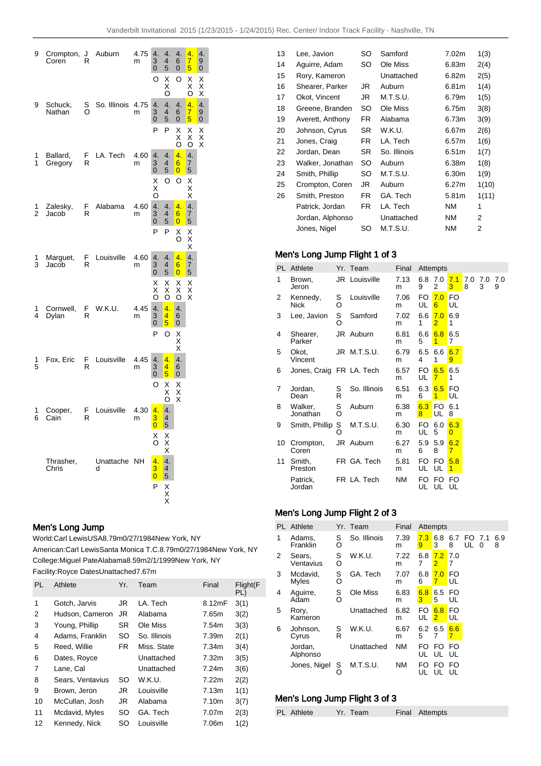| Crompton,<br>Coren  | J<br>R | Auburn         | 4.75<br>m | 4.<br>$\frac{3}{0}$                                      | 4.<br>$\overline{4}$<br>5 | 4.<br>6<br>0                           | 4.<br>$rac{7}{5}$ | 4.<br>9<br>$\overline{0}$       |
|---------------------|--------|----------------|-----------|----------------------------------------------------------|---------------------------|----------------------------------------|-------------------|---------------------------------|
|                     |        |                |           | O                                                        | X<br>X<br>O               | O                                      | X<br>X<br>O       | X<br>X<br>X                     |
| Schuck,<br>Nathan   | s<br>O | So. Illinois   | 4.75<br>m | 4.<br>3<br>$\overline{0}$                                | 4.<br>$\overline{4}$<br>5 | 4.<br>6<br>0                           | 4.<br>$rac{7}{5}$ | $\frac{4}{9}$<br>$\overline{0}$ |
|                     |        |                |           | P                                                        | P                         | Χ<br>X<br>O                            | х<br>X<br>O       | X<br>X<br>X                     |
| Ballard,<br>Gregory | F<br>R | LA. Tech       | 4.60<br>m | 4.<br>$\ddot{\textbf{3}}$<br>$\bar{0}$                   | 4.<br>$\overline{4}$<br>5 | 4.<br>$6\phantom{1}$<br>$\overline{0}$ | 4.<br>7<br>5      |                                 |
|                     |        |                |           | X<br>X<br>O                                              | O                         | O                                      | X<br>X<br>X       |                                 |
| Zalesky,<br>Jacob   | F<br>R | Alabama        | 4.60<br>m | 4.<br>3<br>0                                             | 4.<br>4<br>5              | 4.<br>6<br>$\overline{0}$              | 4.<br>7<br>5      |                                 |
|                     |        |                |           | P                                                        | P                         | Х<br>O                                 | х<br>X<br>X       |                                 |
| Marguet,<br>Jacob   | F<br>R | Louisville     | 4.60<br>m | 4.<br>3<br>0                                             | 4.<br>4<br>5              | 4.<br>6<br>$\overline{0}$              | 4.<br>7<br>5      |                                 |
|                     |        |                |           | X<br>X<br>O                                              | X<br>X<br>Ο               | X<br>X<br>O                            | X<br>X<br>X       |                                 |
| Cornwell,<br>Dylan  | F<br>R | W.K.U.         | 4.45<br>m | 4.<br>3<br>0                                             | 4.<br>4<br>5              | 4.<br>6<br>0                           |                   |                                 |
|                     |        |                |           | P                                                        | O                         | X<br>X<br>X                            |                   |                                 |
| Fox, Eric           | F<br>R | Louisville     | 4.45<br>m | 4.<br>$\overline{3}$<br>0                                | 4.<br>4<br>5              | 4.<br>6<br>0                           |                   |                                 |
|                     |        |                |           | O                                                        | x<br>X                    | $\frac{X}{X}$                          |                   |                                 |
| Cooper,<br>Cain     | F<br>R | Louisville     | 4.30<br>m | 4.<br>$\overline{\mathbf{3}}$<br>$\overline{\mathbf{0}}$ | 4.<br>4<br>5              |                                        |                   |                                 |
|                     |        |                |           | $_{\rm o}^{\rm X}$                                       | X<br>X<br>X               |                                        |                   |                                 |
| Thrasher,<br>Chris  |        | Unattache<br>d | NΗ        | 4.<br>3<br>$\overline{\mathbf{0}}$                       | 4.<br>$\overline{4}$<br>5 |                                        |                   |                                 |
|                     |        |                |           | P                                                        | X<br>X<br>X               |                                        |                   |                                 |
|                     |        |                |           |                                                          |                           |                                        |                   |                                 |

## Men's Long Jump

World: Carl Lewis USA 8.79m 0/27/1984 New York, NY

American: Carl Lewis Santa Monica T.C. 8.79m 0/27/1984 New York, NY College: Miguel Pate Alabama 8.59m 2/1/1999 New York, NY Facility: Royce Dates Unattached 7.67m

| PL | Athlete          | Yr.       | Team         | Final  | Flight(F<br>PL) |
|----|------------------|-----------|--------------|--------|-----------------|
| 1  | Gotch, Jarvis    | JR        | LA. Tech     | 8.12mF | 3(1)            |
| 2  | Hudson, Cameron  | JR.       | Alabama      | 7.65m  | 3(2)            |
| 3  | Young, Phillip   | <b>SR</b> | Ole Miss     | 7.54m  | 3(3)            |
| 4  | Adams, Franklin  | SO        | So. Illinois | 7.39m  | 2(1)            |
| 5  | Reed, Willie     | FR.       | Miss. State  | 7.34m  | 3(4)            |
| 6  | Dates, Royce     |           | Unattached   | 7.32m  | 3(5)            |
| 7  | Lane, Cal        |           | Unattached   | 7.24m  | 3(6)            |
| 8  | Sears, Ventavius | SO.       | W.K.U.       | 7.22m  | 2(2)            |
| 9  | Brown, Jeron     | JR        | Louisville   | 7.13m  | 1(1)            |
| 10 | McCullan, Josh   | JR        | Alabama      | 7.10m  | 3(7)            |
| 11 | Mcdavid, Myles   | SO        | GA. Tech     | 7.07m  | 2(3)            |
| 12 | Kennedy, Nick    | SO        | Louisville   | 7.06m  | 1(2)            |

| 13 | Lee, Javion      | SO  | Samford      | 7.02m     | 1(3)  |
|----|------------------|-----|--------------|-----------|-------|
| 14 | Aguirre, Adam    | SO  | Ole Miss     | 6.83m     | 2(4)  |
| 15 | Rory, Kameron    |     | Unattached   | 6.82m     | 2(5)  |
| 16 | Shearer, Parker  | JR  | Auburn       | 6.81m     | 1(4)  |
| 17 | Okot, Vincent    | JR  | M.T.S.U.     | 6.79m     | 1(5)  |
| 18 | Greene, Branden  | SO  | Ole Miss     | 6.75m     | 3(8)  |
| 19 | Averett, Anthony | FR. | Alabama      | 6.73m     | 3(9)  |
| 20 | Johnson, Cyrus   | SR. | W.K.U.       | 6.67m     | 2(6)  |
| 21 | Jones, Craig     | FR. | LA. Tech     | 6.57m     | 1(6)  |
| 22 | Jordan, Dean     | SR. | So. Illinois | 6.51m     | 1(7)  |
| 23 | Walker, Jonathan | SO. | Auburn       | 6.38m     | 1(8)  |
| 24 | Smith, Phillip   | SO  | M.T.S.U.     | 6.30m     | 1(9)  |
| 25 | Crompton, Coren  | JR. | Auburn       | 6.27m     | 1(10) |
| 26 | Smith, Preston   | FR. | GA. Tech     | 5.81m     | 1(11) |
|    | Patrick, Jordan  | FR. | LA. Tech     | <b>NM</b> | 1     |
|    | Jordan, Alphonso |     | Unattached   | <b>NM</b> | 2     |
|    | Jones, Nigel     | SO  | M.T.S.U.     | <b>NM</b> | 2     |

# Men's Long Jump Flight 1 of 3

| PL. | Athlete                  |        | Yr. Team      | Final     |           | Attempts               |                       |          |          |          |
|-----|--------------------------|--------|---------------|-----------|-----------|------------------------|-----------------------|----------|----------|----------|
| 1   | Brown,<br>Jeron          |        | JR Louisville | 7.13<br>m | 6.8<br>9  | 7.0<br>2               | 7.1<br>3              | 7.0<br>8 | 7.0<br>3 | 7.0<br>9 |
| 2   | Kennedy,<br>Nick         | S<br>O | Louisville    | 7.06<br>m | FO<br>UL  | 7.0<br>$6\overline{6}$ | FO<br>UL              |          |          |          |
| 3   | Lee, Javion              | s<br>O | Samford       | 7.02<br>m | 6.6<br>1  | 7.0<br>$\overline{2}$  | 6.9<br>1              |          |          |          |
| 4   | Shearer,<br>Parker       |        | JR Auburn     | 6.81<br>m | 6.6<br>5  | 6.8<br>1               | 6.5<br>7              |          |          |          |
| 5   | Okot.<br>Vincent         |        | JR M.T.S.U.   | 6.79<br>m | 6.5<br>4  | 6.6<br>1               | 6.7<br>9              |          |          |          |
| 6   | Jones, Craig FR LA. Tech |        |               | 6.57<br>m | FO.<br>UL | 6.5<br>$\overline{7}$  | 6.5<br>1              |          |          |          |
| 7   | Jordan.<br>Dean          | S<br>R | So. Illinois  | 6.51<br>m | 6.3<br>6  | 6.5<br>1               | FO<br>UL              |          |          |          |
| 8   | Walker,<br>Jonathan      | S<br>O | Auburn        | 6.38<br>m | 6.3<br>8  | FO<br>UL               | 6.1<br>8              |          |          |          |
| 9   | Smith, Phillip           | S<br>O | M.T.S.U.      | 6.30<br>m | FO<br>UL  | 6.0<br>5               | 6.3<br>$\overline{0}$ |          |          |          |
| 10  | Crompton,<br>Coren       |        | JR Auburn     | 6.27<br>m | 5.9<br>6  | 5.9<br>8               | 6.2<br>7              |          |          |          |
| 11  | Smith.<br>Preston        |        | FR GA. Tech   | 5.81<br>m | FO<br>UL  | FO.<br>UL              | 5.8<br>1              |          |          |          |
|     | Patrick.<br>Jordan       |        | FR LA. Tech   | <b>NM</b> | FO<br>UL  | FO<br>UL               | FO<br>UL              |          |          |          |

# Men's Long Jump Flight 2 of 3

|   | PL Athlete          |        | Yr. Team     | Final     |              | <b>Attempts</b>       |          |              |   |          |
|---|---------------------|--------|--------------|-----------|--------------|-----------------------|----------|--------------|---|----------|
| 1 | Adams,<br>Franklin  | S<br>O | So. Illinois | 7.39<br>m | 7.3<br>9     | 6.8<br>3              | 6.7<br>8 | FO 7.1<br>UL | 0 | 6.9<br>8 |
| 2 | Sears,<br>Ventavius | S<br>O | W.K.U.       | 7.22<br>m | 6.8<br>7     | 7.2<br>$\overline{2}$ | 7.0<br>7 |              |   |          |
| 3 | Mcdavid,<br>Myles   | S<br>O | GA. Tech     | 7.07<br>m | 6.8<br>6     | 7.0<br>7              | FO<br>UL |              |   |          |
| 4 | Aguirre,<br>Adam    | S<br>O | Ole Miss     | 6.83<br>m | 6.8<br>3     | 6.5<br>5              | FO<br>UL |              |   |          |
| 5 | Rory,<br>Kameron    |        | Unattached   | 6.82<br>m | FO<br>UL     | 6.8<br>$\overline{2}$ | FO<br>UL |              |   |          |
| 6 | Johnson,<br>Cyrus   | S<br>R | W.K.U.       | 6.67<br>m | 6.2 6.5<br>5 | 7                     | 6.6<br>7 |              |   |          |
|   | Jordan,<br>Alphonso |        | Unattached   | ΝM        | FO<br>UL     | FO.<br>UL             | FO<br>UL |              |   |          |
|   | Jones, Nigel        | S<br>O | M.T.S.U.     | NΜ        | FO<br>UL     | FO<br>UL              | FO<br>UL |              |   |          |

## Men's Long Jump Flight 3 of 3

| PL Athlete | Yr. Team | Final Attempts |
|------------|----------|----------------|
|            |          |                |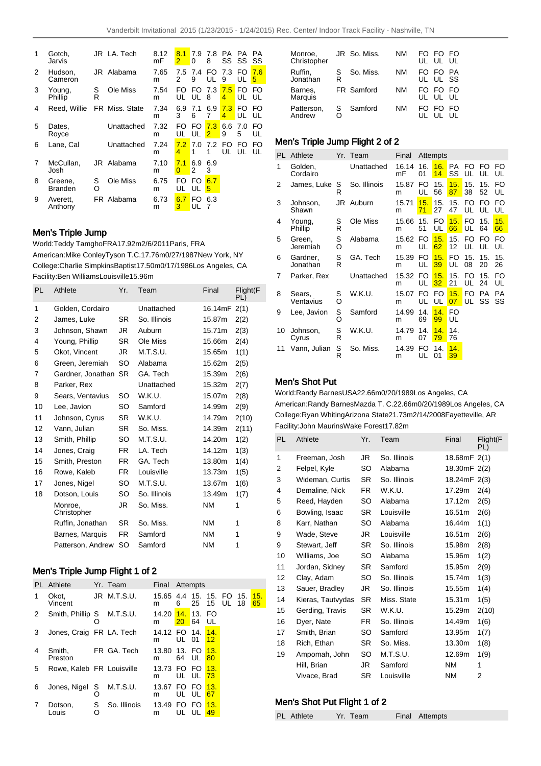| 1 | Gotch,<br>Jarvis          |        | JR LA. Tech    | 8.12<br>mF | 8.1<br>2        | 7.9<br>0  | 7.8<br>8 | PA.      | PA.<br>SS SS | <b>PA</b><br>SS |
|---|---------------------------|--------|----------------|------------|-----------------|-----------|----------|----------|--------------|-----------------|
| 2 | Hudson,<br>Cameron        |        | JR Alabama     | 7.65<br>m  | 7.5<br>2        | 7.4<br>9  | FO<br>UL | 7.3<br>9 | FO.<br>UL    | 7.6<br>5        |
| 3 | Young,<br>Phillip         | S<br>R | Ole Miss       | 7.54<br>m  | FO<br>UL        | FO.<br>UL | 7.3<br>8 | 7.5<br>4 | FO<br>UL     | FO<br>UL        |
| 4 | Reed, Willie              |        | FR Miss. State | 7.34<br>m  | 6.9<br>3        | 7.1<br>6  | 6.9<br>7 | 7.3<br>4 | FO<br>UL     | FO<br>UL        |
| 5 | Dates,<br>Royce           |        | Unattached     | 7.32<br>m  | FO<br>UL        | FO<br>UL  | 7.3<br>2 | 6.6<br>9 | 7.0<br>5     | FO<br>UL        |
| 6 | Lane. Cal                 |        | Unattached     | 7.24<br>m  | 7.2<br>4        | 7.0<br>1  | 7.2<br>1 | FO<br>UL | FO<br>UL     | FO<br>UL        |
| 7 | McCullan.<br>Josh         |        | JR Alabama     | 7.10<br>m  | 7.1<br>$\Omega$ | 6.9<br>2  | 6.9<br>3 |          |              |                 |
| 8 | Greene.<br><b>Branden</b> | S<br>O | Ole Miss       | 6.75<br>m  | FO<br>UL        | FO<br>UL  | 6.7<br>5 |          |              |                 |
| 9 | Averett.<br>Anthony       |        | FR Alabama     | 6.73<br>m  | 6.7<br>3        | FΟ<br>UL  | 6.3<br>7 |          |              |                 |

### Men's Triple Jump

World: Teddy Tamgho FRA 17.92m 2/6/2011 Paris, FRA American: Mike Conley Tyson T.C. 17.76m 0/27/1987 New York, NY College: Charlie Simpkins Baptist 17.50m 0/17/1986 Los Angeles, CA Facility: Ben Williams Louisville 15.96m

| PL. | Athlete                | Yr.       | Team         | Final     | Flight(F<br>PL) |
|-----|------------------------|-----------|--------------|-----------|-----------------|
| 1   | Golden, Cordairo       |           | Unattached   | 16.14mF   | 2(1)            |
| 2   | James, Luke            | SR.       | So. Illinois | 15.87m    | 2(2)            |
| 3   | Johnson, Shawn         | JR        | Auburn       | 15.71m    | 2(3)            |
| 4   | Young, Phillip         | SR.       | Ole Miss     | 15.66m    | 2(4)            |
| 5   | Okot, Vincent          | JR        | M.T.S.U.     | 15.65m    | 1(1)            |
| 6   | Green, Jeremiah        | SO        | Alabama      | 15.62m    | 2(5)            |
| 7   | Gardner, Jonathan      | <b>SR</b> | GA. Tech     | 15.39m    | 2(6)            |
| 8   | Parker, Rex            |           | Unattached   | 15.32m    | 2(7)            |
| 9   | Sears, Ventavius       | SO.       | W.K.U.       | 15.07m    | 2(8)            |
| 10  | Lee, Javion            | SO        | Samford      | 14.99m    | 2(9)            |
| 11  | Johnson, Cyrus         | SR.       | W.K.U.       | 14.79m    | 2(10)           |
| 12  | Vann, Julian           | SR.       | So. Miss.    | 14.39m    | 2(11)           |
| 13  | Smith, Phillip         | SO        | M.T.S.U.     | 14.20m    | 1(2)            |
| 14  | Jones, Craig           | FR.       | LA. Tech     | 14.12m    | 1(3)            |
| 15  | Smith, Preston         | FR.       | GA. Tech     | 13.80m    | 1(4)            |
| 16  | Rowe, Kaleb            | FR.       | Louisville   | 13.73m    | 1(5)            |
| 17  | Jones, Nigel           | SO        | M.T.S.U.     | 13.67m    | 1(6)            |
| 18  | Dotson, Louis          | SO        | So. Illinois | 13.49m    | 1(7)            |
|     | Monroe.<br>Christopher | JR        | So. Miss.    | <b>NM</b> | 1               |
|     | Ruffin, Jonathan       | SR.       | So. Miss.    | <b>NM</b> | 1               |
|     | Barnes, Marquis        | FR.       | Samford      | <b>NM</b> | 1               |
|     | Patterson, Andrew      | SO        | Samford      | <b>NM</b> | 1               |

## Men's Triple Jump Flight 1 of 2

|   | PL Athlete                |        | Yr. Team     | Final Attempts                    |                |    |           |    |           |           |
|---|---------------------------|--------|--------------|-----------------------------------|----------------|----|-----------|----|-----------|-----------|
| 1 | Okot,<br>Vincent          |        | JR M.T.S.U.  | 15.65   4.4   15.   15.   FO<br>m | 6              | 25 | 15        | UL | 15.<br>18 | 15.<br>65 |
| 2 | Smith, Phillip S          |        | M.T.S.U.     | 14.20 14. 13. FO<br>m             | $20 \t 64$     |    | UL        |    |           |           |
| 3 | Jones, Craig FR LA. Tech  |        |              | 14.12 FO 14.<br>m                 | UL 01          |    | 14.<br>12 |    |           |           |
| 4 | Smith,<br>Preston         |        | FR GA. Tech  | 13.80 13. FO<br>m                 | 64 UL          |    | 13.<br>80 |    |           |           |
| 5 | Rowe, Kaleb FR Louisville |        |              | 13.73 FO FO<br>m                  | UL UL          |    | 13.<br>73 |    |           |           |
| 6 | Jones, Nigel              | S      | M.T.S.U.     | 13.67<br>m                        | FO FO<br>UL UL |    | 13.<br>67 |    |           |           |
| 7 | Dotson,<br>Louis          | S<br>O | So. Illinois | 13.49 FO FO<br>m                  | UL             | UL | 13.<br>49 |    |           |           |

| Monroe,<br>Christopher    |        | JR So. Miss. | ΝM | FO FO | UL UL UL         | FO        |
|---------------------------|--------|--------------|----|-------|------------------|-----------|
| Ruffin.<br>Jonathan       | S<br>R | So. Miss.    | ΝM | FO.   | - FO<br>UL UL SS | <b>PA</b> |
| Barnes,<br><b>Marquis</b> |        | FR Samford   | NΜ | FO.   | - FO<br>UL UL UL | FO        |
| Patterson.<br>Andrew      | S<br>റ | Samford      | NΜ | FO.   | FO<br>UL         | FO<br>UШ  |
|                           |        |              |    |       |                  |           |

## Men's Triple Jump Flight 2 of 2

| PL. | Athlete              |        | Yr. Team     | Final       |           | Attempts  |                 |           |           |                 |
|-----|----------------------|--------|--------------|-------------|-----------|-----------|-----------------|-----------|-----------|-----------------|
| 1   | Golden,<br>Cordairo  |        | Unattached   | 16.14<br>mF | 16.<br>01 | 16.<br>14 | <b>PA</b><br>SS | FO<br>UL  | FO<br>UL  | FO<br>UL        |
| 2   | James, Luke          | S<br>R | So. Illinois | 15.87<br>m  | FO.<br>UL | 15.<br>56 | 15.<br>87       | 15.<br>38 | 15.<br>52 | FO<br>UL        |
| 3   | Johnson,<br>Shawn    |        | JR Auburn    | 15.71<br>m  | 15.<br>71 | 15.<br>27 | 15.<br>47       | FO<br>UL  | FΟ<br>UL  | FO<br>UL        |
| 4   | Young,<br>Phillip    | S<br>R | Ole Miss     | 15.66<br>m  | 15.<br>51 | FO.<br>UL | 15.<br>66       | FO.<br>UL | 15.<br>64 | 15.<br>66       |
| 5   | Green,<br>Jeremiah   | S<br>O | Alabama      | 15.62<br>m  | FO<br>UL  | 15.<br>62 | 15.<br>12       | FO<br>UL  | FΟ<br>UL  | FO<br>UL        |
| 6   | Gardner,<br>Jonathan | S<br>R | GA. Tech     | 15.39<br>m  | FO<br>UL  | 15.<br>39 | FO.<br>UL       | 15.<br>08 | 15.<br>20 | 15.<br>26       |
| 7   | Parker, Rex          |        | Unattached   | 15.32<br>m  | FO<br>UL  | 15.<br>32 | 15.<br>21       | FO<br>UL  | 15.<br>24 | FO<br>UL        |
| 8   | Sears,<br>Ventavius  | S<br>Ó | W.K.U.       | 15.07<br>m  | FO.<br>UL | FO<br>UL  | 15.<br>07       | FO.<br>UL | PA<br>SS  | <b>PA</b><br>SS |
| 9   | Lee, Javion          | s<br>O | Samford      | 14.99<br>m  | 14.<br>69 | 14.<br>99 | FO<br>UL        |           |           |                 |
| 10  | Johnson,<br>Cyrus    | S<br>R | W.K.U.       | 14.79<br>m  | 14.<br>07 | 14.<br>79 | 14.<br>76       |           |           |                 |
| 11  | Vann, Julian         | S<br>R | So. Miss.    | 14.39<br>m  | FO<br>UL  | 14.<br>01 | 14.<br>39       |           |           |                 |

### Men's Shot Put

World: Randy Barnes USA 22.66m 0/20/1989 Los Angeles, CA American: Randy Barnes Mazda T. C. 22.66m 0/20/1989 Los Angeles, CA College: Ryan Whiting Arizona State 21.73m 2/14/2008 Fayetteville, AR Facility: John Maurins Wake Forest 17.82m

| PL | Athlete           | Yr.       | Team         | Final        | Flight(F<br>PL) |
|----|-------------------|-----------|--------------|--------------|-----------------|
| 1  | Freeman, Josh     | JR        | So. Illinois | 18.68mF 2(1) |                 |
| 2  | Felpel, Kyle      | SO        | Alabama      | 18.30mF 2(2) |                 |
| 3  | Wideman, Curtis   | <b>SR</b> | So. Illinois | 18.24mF 2(3) |                 |
| 4  | Demaline, Nick    | FR.       | W.K.U.       | 17.29m       | 2(4)            |
| 5  | Reed, Hayden      | SO        | Alabama      | 17.12m       | 2(5)            |
| 6  | Bowling, Isaac    | SR.       | Louisville   | 16.51m       | 2(6)            |
| 8  | Karr, Nathan      | SO        | Alabama      | 16.44m       | 1(1)            |
| 9  | Wade, Steve       | JR        | Louisville   | 16.51m       | 2(6)            |
| 9  | Stewart, Jeff     | SR.       | So. Illinois | 15.98m       | 2(8)            |
| 10 | Williams, Joe     | SO        | Alabama      | 15.96m       | 1(2)            |
| 11 | Jordan, Sidney    | SR.       | Samford      | 15.95m       | 2(9)            |
| 12 | Clay, Adam        | SO        | So. Illinois | 15.74m       | 1(3)            |
| 13 | Sauer, Bradley    | JR        | So. Illinois | 15.55m       | 1(4)            |
| 14 | Kieras, Tautvydas | <b>SR</b> | Miss. State  | 15.31m       | 1(5)            |
| 15 | Gerding, Travis   | SR        | W.K.U.       | 15.29m       | 2(10)           |
| 16 | Dyer, Nate        | FR.       | So. Illinois | 14.49m       | 1(6)            |
| 17 | Smith, Brian      | SO        | Samford      | 13.95m       | 1(7)            |
| 18 | Rich, Ethan       | SR.       | So. Miss.    | 13.30m       | 1(8)            |
| 19 | Ampomah, John     | SO        | M.T.S.U.     | 12.69m       | 1(9)            |
|    | Hill, Brian       | JR        | Samford      | <b>NM</b>    | 1               |
|    | Vivace, Brad      | SR        | Louisville   | <b>NM</b>    | 2               |

#### Men's Shot Put Flight 1 of 2

|  | PL Athlete | Yr. Team |  | Final Attempts |  |
|--|------------|----------|--|----------------|--|
|--|------------|----------|--|----------------|--|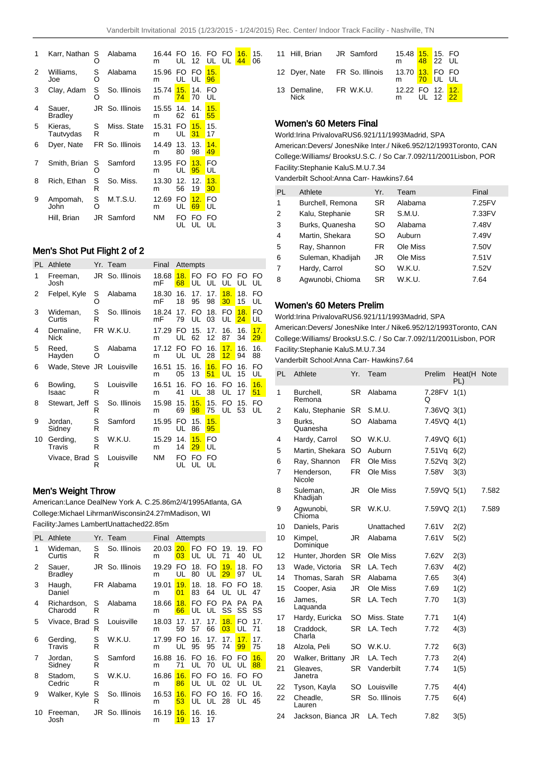15. 06

| 1 | Karr, Nathan             | S<br>O | Alabama         | 16.44<br>m | FO.<br>UL | 16.<br>12 | FO.<br>UL              | FO<br>UL | 16.<br>44 |
|---|--------------------------|--------|-----------------|------------|-----------|-----------|------------------------|----------|-----------|
| 2 | Williams,<br>Joe         | S<br>O | Alabama         | 15.96<br>m | FO.<br>UL | FO<br>UL  | 15.<br>96              |          |           |
| 3 | Clay, Adam               | s<br>O | So. Illinois    | 15.74<br>m | 15.<br>74 | 14.<br>70 | FO<br>UL               |          |           |
| 4 | Sauer,<br><b>Bradley</b> |        | JR So. Illinois | 15.55<br>m | 14.<br>62 | 14.<br>61 | 15.<br>55              |          |           |
| 5 | Kieras,<br>Tautvydas     | S<br>R | Miss. State     | 15.31<br>m | FO.<br>UL | 15.<br>31 | 15.<br>17              |          |           |
| 6 | Dyer, Nate               |        | FR So. Illinois | 14.49<br>m | 13.<br>80 | 13.<br>98 | 14.<br>49              |          |           |
| 7 | Smith, Brian             | S<br>റ | Samford         | 13.95<br>m | FO.<br>UL | 13.<br>95 | FO<br>UL               |          |           |
| 8 | Rich, Ethan              | S<br>R | So. Miss.       | 13.30<br>m | 12.<br>56 | 12.<br>19 | 13.<br>30 <sub>o</sub> |          |           |
| 9 | Ampomah,<br>John         | S<br>O | M.T.S.U.        | 12.69<br>m | FO.<br>UL | 12.<br>69 | FO<br>UL               |          |           |
|   | Hill, Brian              | JR     | Samford         | <b>NM</b>  | FΟ<br>UL  | FO<br>UL  | FO<br>UL               |          |           |

## Men's Shot Put Flight 2 of 2

| PL | Athlete                   |        | Yr. Team        | Final       |           | Attempts  |                                      |           |           |           |
|----|---------------------------|--------|-----------------|-------------|-----------|-----------|--------------------------------------|-----------|-----------|-----------|
| 1  | Freeman,<br>Josh          |        | JR So. Illinois | 18.68<br>mF | 18.<br>68 | FO.<br>UL | FO<br>UL                             | FO.<br>UL | FO.<br>UL | FO<br>UL  |
| 2  | Felpel, Kyle              | s<br>O | Alabama         | 18.30<br>mF | 16.<br>18 | 17.<br>95 | 17.<br>98                            | 18.<br>30 | 18.<br>15 | FO<br>UL  |
| 3  | Wideman,<br>Curtis        | S<br>R | So. Illinois    | 18.24<br>mF | 17.<br>79 | FO.<br>UL | 18.<br>03                            | FO.<br>UL | 18.<br>24 | FO<br>UL  |
| 4  | Demaline,<br><b>Nick</b>  |        | FR W.K.U.       | 17.29<br>m  | FO.<br>UL | 15.<br>62 | 17 <sub>1</sub><br>$12 \overline{ }$ | 16.<br>87 | 16.<br>34 | 17.<br>29 |
| 5  | Reed,<br>Hayden           | S<br>റ | Alabama         | 17.12<br>m  | FO.<br>UL | FO.<br>UL | 16.<br>28                            | 17.<br>12 | 16.<br>94 | 16.<br>88 |
| 6  | Wade, Steve JR Louisville |        |                 | 16.51<br>m  | 15.<br>05 | 16.<br>13 | 16.<br>51                            | FO.<br>UL | 16.<br>15 | FO<br>UL  |
| 6  | Bowling,<br>Isaac         | S<br>R | Louisville      | 16.51<br>m  | 16.<br>41 | FO<br>UL  | 16.<br>38                            | FO.<br>UL | 16.<br>17 | 16.<br>51 |
| 8  | Stewart, Jeff             | S<br>R | So. Illinois    | 15.98<br>m  | 15.<br>69 | 15.<br>98 | 15.<br>75                            | FO<br>UL  | 15.<br>53 | FO<br>UL  |
| 9  | Jordan,<br>Sidney         | S<br>R | Samford         | 15.95<br>m  | FO.<br>UL | 15.<br>86 | 15.<br>95                            |           |           |           |
| 10 | Gerding,<br>Travis        | S<br>R | W.K.U.          | 15.29<br>m  | 14.<br>14 | 15.<br>29 | FO.<br>UL                            |           |           |           |
|    | Vivace, Brad              | S<br>R | Louisville      | <b>NM</b>   | FO<br>UL  | FO<br>UL  | FO<br>UL                             |           |           |           |

## Men's Weight Throw

American: Lance Deal New York A. C. 25.86m 2/4/1995 Atlanta, GA College: Michael Lihrman Wisconsin 24.27m Madison, WI Facility: James Lambert Unattached 22.85m

| PL | Athlete                  |        | Yr. Team        | Final      |           | Attempts   |                       |                       |           |           |
|----|--------------------------|--------|-----------------|------------|-----------|------------|-----------------------|-----------------------|-----------|-----------|
| 1  | Wideman,<br>Curtis       | S<br>R | So. Illinois    | 20.03<br>m | 20.<br>03 | FO.<br>UL. | FO.<br>UL             | 19.<br>71             | 19.<br>40 | FO<br>UL  |
| 2  | Sauer,<br><b>Bradley</b> |        | JR So. Illinois | 19.29<br>m | FO<br>UL  | 18.<br>80  | FO<br>UL              | 19.<br>29             | 18.<br>97 | FO<br>UL  |
| 3  | Haugh,<br>Daniel         |        | FR Alabama      | 19.01<br>m | 19.<br>01 | 18.<br>83  | 18.<br>64             | FO.<br>UL             | FO.<br>UL | 18.<br>47 |
| 4  | Richardson,<br>Charodd   | S<br>R | Alabama         | 18.66<br>m | 18.<br>66 | FO.<br>UL  | FO<br>UL              | <b>PA</b><br>SS       | PA.<br>SS | PА<br>SS  |
| 5  | Vivace, Brad             | S<br>R | Louisville      | 18.03<br>m | 17.<br>59 | 17<br>57   | 17.<br>66             | 18.<br>03             | FO<br>UL  | 17.<br>71 |
| 6  | Gerding,<br>Travis       | S<br>R | W.K.U.          | 17.99<br>m | FO<br>UL  | 16.<br>95  | 17 <sub>1</sub><br>95 | 17 <sub>1</sub><br>74 | 17.<br>99 | 17.<br>75 |
| 7  | Jordan,<br>Sidney        | S<br>R | Samford         | 16.88<br>m | 16.<br>71 | FO.<br>UL  | 16.<br>70             | FO.<br>UL             | FO.<br>UL | 16.<br>88 |
| 8  | Stadom.<br>Cedric        | S<br>R | W.K.U.          | 16.86<br>m | 16.<br>86 | FO.<br>UL  | FO.<br>UL             | 16.<br>02             | FO<br>UL  | FO<br>UL  |
| 9  | Walker, Kyle             | S<br>R | So. Illinois    | 16.53<br>m | 16.<br>53 | FO<br>UL   | FO<br>UL              | 16.<br>28             | FO<br>UL  | 16.<br>45 |
| 10 | Freeman,<br>Josh         |        | JR So. Illinois | 16.19<br>m | 16.<br>19 | 16.<br>13  | 16.<br>17             |                       |           |           |

| 11 Hill, Brian JR Samford      |  | 15.48 15. 15. FO<br>m                      | 48 22 UL |  |
|--------------------------------|--|--------------------------------------------|----------|--|
| 12 Dyer, Nate FR So. Illinois  |  | 13.70 13. FO FO<br>m <mark>70</mark> UL UL |          |  |
| 13 Demaline, FR W.K.U.<br>Nick |  | 12.22 FO 12. 12.<br>m UL 12 22             |          |  |

### Women's 60 Meters Final

World: Irina Privalova RUS 6.92 1/11/1993 Madrid, SPA American: Devers/ Jones Nike Inter./ Nike 6.95 2/12/1993 Toronto, CAN College: Williams/ Brooks U.S.C. / So Car. 7.09 2/11/2001 Lisbon, POR Facility: Stephanie Kalu S.M.U. 7.34

Vanderbilt School: Anna Carr- Hawkins 7.64

| <b>PL</b>      | Athlete           | Yr.       | Team     | Final  |
|----------------|-------------------|-----------|----------|--------|
| 1              | Burchell, Remona  | <b>SR</b> | Alabama  | 7.25FV |
| 2              | Kalu, Stephanie   | <b>SR</b> | S.M.U.   | 7.33FV |
| 3              | Burks, Quanesha   | SO        | Alabama  | 7.48V  |
| 4              | Martin, Shekara   | SO        | Auburn   | 7.49V  |
| 5              | Ray, Shannon      | FR.       | Ole Miss | 7.50V  |
| 6              | Suleman, Khadijah | JR        | Ole Miss | 7.51V  |
| $\overline{7}$ | Hardy, Carrol     | SO        | W.K.U.   | 7.52V  |
| 8              | Agwunobi, Chioma  | SR        | W.K.U.   | 7.64   |

## Women's 60 Meters Prelim

World: Irina Privalova RUS 6.92 1/11/1993 Madrid, SPA

American: Devers/ Jones Nike Inter./ Nike 6.95 2/12/1993 Toronto, CAN College: Williams/ Brooks U.S.C. / So Car. 7.09 2/11/2001 Lisbon, POR Facility: Stephanie Kalu S.M.U. 7.34

Vanderbilt School: Anna Carr- Hawkins 7.64

| PL | Athlete              | Yr.       | Team         | Prelim      | Heat(H      | <b>Note</b> |
|----|----------------------|-----------|--------------|-------------|-------------|-------------|
| 1  | Burchell,<br>Remona  | <b>SR</b> | Alabama      | 7.28FV<br>O | PL)<br>1(1) |             |
| 2  | Kalu, Stephanie      | <b>SR</b> | S.M.U.       | 7.36VQ 3(1) |             |             |
| 3  | Burks.<br>Quanesha   | SO        | Alabama      | 7.45VQ 4(1) |             |             |
| 4  | Hardy, Carrol        | SO.       | W.K.U.       | 7.49VQ 6(1) |             |             |
| 5  | Martin, Shekara      | <b>SO</b> | Auburn       | 7.51Vq      | 6(2)        |             |
| 6  | Ray, Shannon         | <b>FR</b> | Ole Miss     | 7.52Vq      | 3(2)        |             |
| 7  | Henderson,<br>Nicole | FR        | Ole Miss     | 7.58V       | 3(3)        |             |
| 8  | Suleman,<br>Khadijah | JR        | Ole Miss     | 7.59VQ 5(1) |             | 7.582       |
| 9  | Agwunobi,<br>Chioma  | <b>SR</b> | W.K.U.       | 7.59VQ 2(1) |             | 7.589       |
| 10 | Daniels, Paris       |           | Unattached   | 7.61V       | 2(2)        |             |
| 10 | Kimpel,<br>Dominique | JR        | Alabama      | 7.61V       | 5(2)        |             |
| 12 | Hunter, Jhorden      | <b>SR</b> | Ole Miss     | 7.62V       | 2(3)        |             |
| 13 | Wade, Victoria       | SR        | LA. Tech     | 7.63V       | 4(2)        |             |
| 14 | Thomas, Sarah        | <b>SR</b> | Alabama      | 7.65        | 3(4)        |             |
| 15 | Cooper, Asia         | JR        | Ole Miss     | 7.69        | 1(2)        |             |
| 16 | James,<br>Laguanda   | <b>SR</b> | LA. Tech     | 7.70        | 1(3)        |             |
| 17 | Hardy, Euricka       | <b>SO</b> | Miss. State  | 7.71        | 1(4)        |             |
| 18 | Craddock,<br>Charla  | <b>SR</b> | LA. Tech     | 7.72        | 4(3)        |             |
| 18 | Alzola, Peli         | SO        | W.K.U.       | 7.72        | 6(3)        |             |
| 20 | Walker, Brittany     | JR.       | LA. Tech     | 7.73        | 2(4)        |             |
| 21 | Gleaves,<br>Janetra  | <b>SR</b> | Vanderbilt   | 7.74        | 1(5)        |             |
| 22 | Tyson, Kayla         | SO        | Louisville   | 7.75        | 4(4)        |             |
| 22 | Cheadle,<br>Lauren   | <b>SR</b> | So. Illinois | 7.75        | 6(4)        |             |
| 24 | Jackson, Bianca JR   |           | LA. Tech     | 7.82        | 3(5)        |             |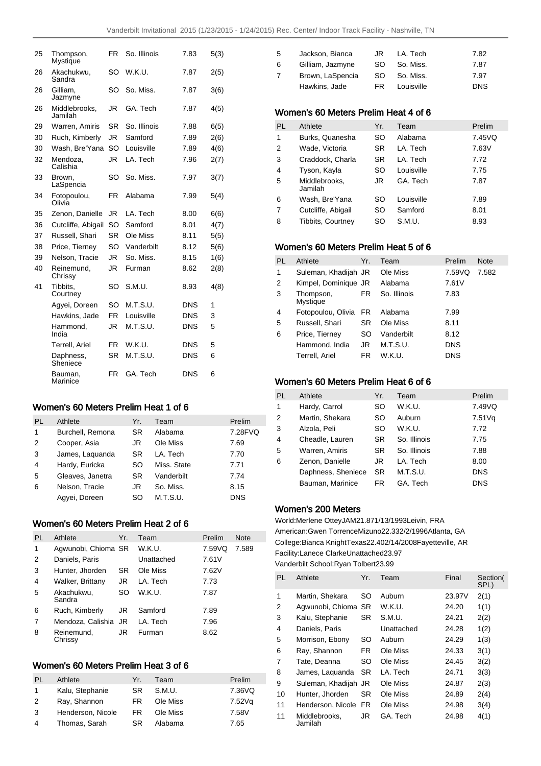| 25 | Thompson,<br>Mystique    | FR        | So. Illinois | 7.83       | 5(3) |
|----|--------------------------|-----------|--------------|------------|------|
| 26 | Akachukwu,<br>Sandra     | SO        | W.K.U.       | 7.87       | 2(5) |
| 26 | Gilliam,<br>Jazmyne      | SO        | So. Miss.    | 7.87       | 3(6) |
| 26 | Middlebrooks.<br>Jamilah | JR        | GA. Tech     | 7.87       | 4(5) |
| 29 | Warren, Amiris           | SR        | So. Illinois | 7.88       | 6(5) |
| 30 | Ruch, Kimberly           | JR.       | Samford      | 7.89       | 2(6) |
| 30 | Wash, Bre'Yana           | <b>SO</b> | Louisville   | 7.89       | 4(6) |
| 32 | Mendoza,<br>Calishia     | JR.       | LA. Tech     | 7.96       | 2(7) |
| 33 | Brown,<br>LaSpencia      | SO        | So. Miss.    | 7.97       | 3(7) |
| 34 | Fotopoulou,<br>Olivia    | FR        | Alabama      | 7.99       | 5(4) |
| 35 | Zenon, Danielle          | JR        | LA. Tech     | 8.00       | 6(6) |
| 36 | Cutcliffe, Abigail       | SO        | Samford      | 8.01       | 4(7) |
| 37 | Russell, Shari           | <b>SR</b> | Ole Miss     | 8.11       | 5(5) |
| 38 | Price, Tierney           | SO        | Vanderbilt   | 8.12       | 5(6) |
| 39 | Nelson, Tracie           | JR        | So. Miss.    | 8.15       | 1(6) |
| 40 | Reinemund,<br>Chrissy    | JR.       | Furman       | 8.62       | 2(8) |
| 41 | Tibbits.<br>Courtney     | SO        | S.M.U.       | 8.93       | 4(8) |
|    | Agyei, Doreen            | SΟ        | M.T.S.U.     | <b>DNS</b> | 1    |
|    | Hawkins, Jade            | <b>FR</b> | Louisville   | <b>DNS</b> | 3    |
|    | Hammond,<br>India        | JR        | M.T.S.U.     | <b>DNS</b> | 5    |
|    | Terrell, Ariel           | FR        | W.K.U.       | DNS        | 5    |
|    | Daphness,<br>Sheniece    | <b>SR</b> | M.T.S.U.     | <b>DNS</b> | 6    |
|    | Bauman.<br>Marinice      | FR        | GA. Tech     | DNS        | 6    |

## Women's 60 Meters Prelim Heat 1 of 6

| PL | Athlete          | Yr.       | Team        | Prelim     |
|----|------------------|-----------|-------------|------------|
| 1  | Burchell, Remona | <b>SR</b> | Alabama     | 7.28FVQ    |
| 2  | Cooper, Asia     | JR        | Ole Miss    | 7.69       |
| 3  | James, Laguanda  | SR.       | LA. Tech    | 7.70       |
| 4  | Hardy, Euricka   | SO.       | Miss. State | 7.71       |
| 5  | Gleaves, Janetra | SR.       | Vanderbilt  | 7.74       |
| 6  | Nelson, Tracie   | JR        | So. Miss.   | 8.15       |
|    | Agyei, Doreen    | SO        | M.T.S.U.    | <b>DNS</b> |

## Women's 60 Meters Prelim Heat 2 of 6

| PL | Athlete               | Yr. | Team       | Prelim | <b>Note</b> |
|----|-----------------------|-----|------------|--------|-------------|
| 1  | Agwunobi, Chioma SR   |     | W.K.U.     | 7.59VQ | 7.589       |
| 2  | Daniels, Paris        |     | Unattached | 7.61V  |             |
| 3  | Hunter, Jhorden       | SR  | Ole Miss   | 7.62V  |             |
| 4  | Walker, Brittany      | JR  | LA. Tech   | 7.73   |             |
| 5  | Akachukwu,<br>Sandra  | SO  | W.K.U.     | 7.87   |             |
| 6  | Ruch, Kimberly        | JR  | Samford    | 7.89   |             |
| 7  | Mendoza, Calishia JR  |     | LA. Tech   | 7.96   |             |
| 8  | Reinemund,<br>Chrissy | JR  | Furman     | 8.62   |             |

# Women's 60 Meters Prelim Heat 3 of 6

| PL. | Athlete           | Yr. | Team     | Prelim |
|-----|-------------------|-----|----------|--------|
| 1   | Kalu, Stephanie   | SR. | S.M.U.   | 7.36VQ |
| 2   | Ray, Shannon      | FR. | Ole Miss | 7.52Vq |
| 3   | Henderson, Nicole | FR  | Ole Miss | 7.58V  |
| 4   | Thomas, Sarah     | SR  | Alabama  | 7.65   |

| 5. | Jackson, Bianca  | JR. | LA. Tech   | 7.82       |
|----|------------------|-----|------------|------------|
| 6. | Gilliam, Jazmyne | SO. | So. Miss.  | 7.87       |
|    | Brown, LaSpencia | SO. | So. Miss.  | 7.97       |
|    | Hawkins, Jade    | FR. | Louisville | <b>DNS</b> |

## Women's 60 Meters Prelim Heat 4 of 6

| <b>PL</b>      | Athlete                  | Yr.       | Team       | Prelim |
|----------------|--------------------------|-----------|------------|--------|
| 1              | Burks, Quanesha          | SO        | Alabama    | 7.45VQ |
| 2              | Wade. Victoria           | <b>SR</b> | LA. Tech   | 7.63V  |
| 3              | Craddock, Charla         | <b>SR</b> | I A. Tech  | 7.72   |
| $\overline{4}$ | Tyson, Kayla             | SO        | Louisville | 7.75   |
| 5              | Middlebrooks,<br>Jamilah | JR        | GA Tech    | 7.87   |
| 6              | Wash, Bre'Yana           | SO        | Louisville | 7.89   |
| 7              | Cutcliffe, Abigail       | SO        | Samford    | 8.01   |
| 8              | Tibbits, Courtney        | SO        | S.M.U.     | 8.93   |

## Women's 60 Meters Prelim Heat 5 of 6

| PL | Athlete               | Yr.       | Team         | Prelim     | <b>Note</b> |
|----|-----------------------|-----------|--------------|------------|-------------|
| 1  | Suleman, Khadijah JR  |           | Ole Miss     | 7.59VQ     | 7.582       |
| 2  | Kimpel, Dominique JR  |           | Alabama      | 7.61V      |             |
| 3  | Thompson,<br>Mystique | FR.       | So. Illinois | 7.83       |             |
| 4  | Fotopoulou, Olivia    | FR.       | Alabama      | 7.99       |             |
| 5  | Russell, Shari        | SR        | Ole Miss     | 8.11       |             |
| 6  | Price, Tierney        | <b>SO</b> | Vanderbilt   | 8.12       |             |
|    | Hammond, India        | JR        | M.T.S.U.     | <b>DNS</b> |             |
|    | Terrell, Ariel        | FR.       | W.K.U.       | <b>DNS</b> |             |

## Women's 60 Meters Prelim Heat 6 of 6

| PL             | Athlete            | Yr.       | Team         | Prelim     |
|----------------|--------------------|-----------|--------------|------------|
| 1              | Hardy, Carrol      | SO        | W.K.U.       | 7.49VQ     |
| 2              | Martin, Shekara    | SO        | Auburn       | 7.51 Vq    |
| 3              | Alzola, Peli       | SO        | W.K.U.       | 7.72       |
| $\overline{4}$ | Cheadle, Lauren    | <b>SR</b> | So. Illinois | 7.75       |
| 5              | Warren, Amiris     | <b>SR</b> | So. Illinois | 7.88       |
| 6              | Zenon, Danielle    | JR        | LA. Tech     | 8.00       |
|                | Daphness, Sheniece | SR        | M.T.S.U.     | <b>DNS</b> |
|                | Bauman, Marinice   | FR.       | GA. Tech     | <b>DNS</b> |

### Women's 200 Meters

World: Merlene Ottey JAM 21.87 1/13/1993 Leivin, FRA American: Gwen Torrence Mizuno 22.33 2/2/1996 Atlanta, GA College: Bianca Knight Texas 22.40 2/14/2008 Fayetteville, AR Facility: Lanece Clarke Unattached 23.97 Vanderbilt School: Ryan Tolbert 23.99

| PL | Athlete                  | Yr.       | Team       | Final  | Section(<br>SPL) |
|----|--------------------------|-----------|------------|--------|------------------|
| 1  | Martin, Shekara          | SO.       | Auburn     | 23.97V | 2(1)             |
| 2  | Agwunobi, Chioma SR      |           | W.K.U.     | 24.20  | 1(1)             |
| 3  | Kalu, Stephanie          | <b>SR</b> | S.M.U.     | 24.21  | 2(2)             |
| 4  | Daniels, Paris           |           | Unattached | 24.28  | 1(2)             |
| 5  | Morrison, Ebony          | SO        | Auburn     | 24.29  | 1(3)             |
| 6  | Ray, Shannon             | FR.       | Ole Miss   | 24.33  | 3(1)             |
| 7  | Tate, Deanna             | SO        | Ole Miss   | 24.45  | 3(2)             |
| 8  | James, Laquanda          | SR.       | LA. Tech   | 24.71  | 3(3)             |
| 9  | Suleman, Khadijah JR     |           | Ole Miss   | 24.87  | 2(3)             |
| 10 | Hunter, Jhorden          | SR.       | Ole Miss   | 24.89  | 2(4)             |
| 11 | Henderson, Nicole        | FR        | Ole Miss   | 24.98  | 3(4)             |
| 11 | Middlebrooks,<br>Jamilah | JR.       | GA. Tech   | 24.98  | 4(1)             |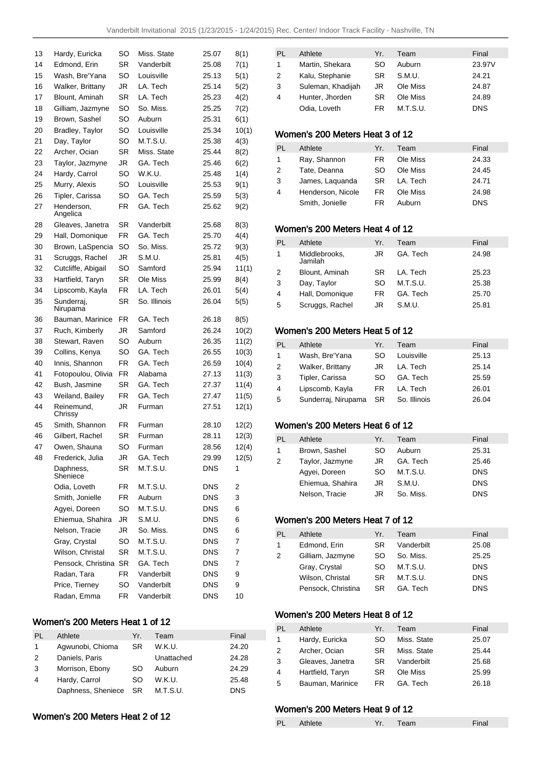| 13 | Hardy, Euricka         | SO        | Miss. State  | 25.07      | 8(1)  |
|----|------------------------|-----------|--------------|------------|-------|
| 14 | Edmond, Erin           | SR.       | Vanderbilt   | 25.08      | 7(1)  |
| 15 | Wash, Bre'Yana         | SO        | Louisville   | 25.13      | 5(1)  |
| 16 | Walker, Brittany       | JR        | LA. Tech     | 25.14      | 5(2)  |
| 17 | Blount, Aminah         | SR.       | LA. Tech     | 25.23      | 4(2)  |
| 18 | Gilliam, Jazmyne       | SO        | So. Miss.    | 25.25      | 7(2)  |
| 19 | Brown, Sashel          | SO        | Auburn       | 25.31      | 6(1)  |
| 20 | Bradley, Taylor        | SO        | Louisville   | 25.34      | 10(1) |
| 21 | Day, Taylor            | SO        | M.T.S.U.     | 25.38      | 4(3)  |
| 22 | Archer, Ocian          | SR        | Miss. State  | 25.44      | 8(2)  |
| 23 | Taylor, Jazmyne        | JR        | GA. Tech     | 25.46      | 6(2)  |
| 24 | Hardy, Carrol          | SO        | W.K.U.       | 25.48      | 1(4)  |
| 25 | Murry, Alexis          | SO        | Louisville   | 25.53      | 9(1)  |
| 26 | Tipler, Carissa        | SO        | GA. Tech     | 25.59      | 5(3)  |
| 27 | Henderson,<br>Angelica | FR.       | GA. Tech     | 25.62      | 9(2)  |
| 28 | Gleaves, Janetra       | SR        | Vanderbilt   | 25.68      | 8(3)  |
| 29 | Hall, Domonique        | FR.       | GA. Tech     | 25.70      | 4(4)  |
| 30 | Brown, LaSpencia       | SO        | So. Miss.    | 25.72      | 9(3)  |
| 31 | Scruggs, Rachel        | JR        | S.M.U.       | 25.81      | 4(5)  |
| 32 | Cutcliffe, Abigail     | SO        | Samford      | 25.94      | 11(1) |
| 33 | Hartfield, Taryn       | SR        | Ole Miss     | 25.99      | 8(4)  |
| 34 | Lipscomb, Kayla        | FR        | LA. Tech     | 26.01      | 5(4)  |
| 35 | Sunderraj,<br>Nirupama | SR        | So. Illinois | 26.04      | 5(5)  |
| 36 | Bauman, Marinice       | FR.       | GA. Tech     | 26.18      | 8(5)  |
| 37 | Ruch, Kimberly         | JR        | Samford      | 26.24      | 10(2) |
| 38 | Stewart, Raven         | SO        | Auburn       | 26.35      | 11(2) |
| 39 | Collins, Kenya         | SO        | GA. Tech     | 26.55      | 10(3) |
| 40 | Innis, Shannon         | FR        | GA. Tech     | 26.59      | 10(4) |
| 41 | Fotopoulou, Olivia     | FR.       | Alabama      | 27.13      | 11(3) |
| 42 | Bush, Jasmine          | SR        | GA. Tech     | 27.37      | 11(4) |
| 43 | Weiland, Bailey        | <b>FR</b> | GA. Tech     | 27.47      | 11(5) |
| 44 | Reinemund,<br>Chrissy  | JR        | Furman       | 27.51      | 12(1) |
| 45 | Smith, Shannon         | FR.       | Furman       | 28.10      | 12(2) |
| 46 | Gilbert, Rachel        | SR        | Furman       | 28.11      | 12(3) |
| 47 | Owen, Shauna           | SΟ        | Furman       | 28.56      | 12(4) |
| 48 | Frederick, Julia       | JR        | GA. Tech     | 29.99      | 12(5) |
|    | Daphness,<br>Sheniece  | SR        | M.T.S.U.     | <b>DNS</b> | 1     |
|    | Odia, Loveth           | FR        | M.T.S.U.     | <b>DNS</b> | 2     |
|    | Smith, Jonielle        | FR        | Auburn       | <b>DNS</b> | 3     |
|    | Agyei, Doreen          | SO        | M.T.S.U.     | <b>DNS</b> | 6     |
|    | Ehiemua, Shahira       | JR        | S.M.U.       | <b>DNS</b> | 6     |
|    | Nelson, Tracie         | JR        | So. Miss.    | <b>DNS</b> | 6     |
|    | Gray, Crystal          | SO        | M.T.S.U.     | <b>DNS</b> | 7     |
|    | Wilson, Christal       | SR        | M.T.S.U.     | <b>DNS</b> | 7     |
|    | Pensock, Christina     | SR        | GA. Tech     | <b>DNS</b> | 7     |
|    | Radan, Tara            | FR        | Vanderbilt   | <b>DNS</b> | 9     |
|    | Price, Tierney         | SO        | Vanderbilt   | <b>DNS</b> | 9     |
|    | Radan, Emma            | FR        | Vanderbilt   | <b>DNS</b> | 10    |

## Women's 200 Meters Heat 1 of 12

| PL | Athlete            | Yr.  | Team       | Final      |
|----|--------------------|------|------------|------------|
| 1  | Agwunobi, Chioma   | SR.  | W.K.U.     | 24.20      |
| 2  | Daniels, Paris     |      | Unattached | 24.28      |
| 3  | Morrison, Ebony    | SO   | Auburn     | 24.29      |
| 4  | Hardy, Carrol      | SO   | W.K.U.     | 25.48      |
|    | Daphness, Sheniece | - SR | M.T.S.U.   | <b>DNS</b> |

## Women's 200 Meters Heat 2 of 12

| PI.           | Athlete           | Yr. | Team     | Final      |
|---------------|-------------------|-----|----------|------------|
| 1             | Martin, Shekara   | SO  | Auburn   | 23.97V     |
| $\mathcal{P}$ | Kalu, Stephanie   | SR. | S.M.U.   | 24.21      |
| 3             | Suleman, Khadijah | JR  | Ole Miss | 24.87      |
| 4             | Hunter, Jhorden   | SR. | Ole Miss | 24.89      |
|               | Odia, Loveth      | FR  | M.T.S.U. | <b>DNS</b> |

## Women's 200 Meters Heat 3 of 12

| PL.           | Athlete           | Yr. | Team     | Final      |
|---------------|-------------------|-----|----------|------------|
| $\mathbf{1}$  | Ray, Shannon      | FR. | Ole Miss | 24.33      |
| $\mathcal{P}$ | Tate, Deanna      | SO. | Ole Miss | 24.45      |
| 3             | James, Laguanda   | SR. | LA. Tech | 24.71      |
| 4             | Henderson, Nicole | FR  | Ole Miss | 24.98      |
|               | Smith, Jonielle   | FR  | Auburn   | <b>DNS</b> |

## Women's 200 Meters Heat 4 of 12

| PL | Athlete                  | Yr. | Team     | Final |
|----|--------------------------|-----|----------|-------|
| 1  | Middlebrooks,<br>Jamilah | JR  | GA. Tech | 24.98 |
| 2  | Blount, Aminah           | SR. | LA. Tech | 25.23 |
| 3  | Day, Taylor              | SO  | M.T.S.U. | 25.38 |
| 4  | Hall, Domonique          | FR  | GA. Tech | 25.70 |
| 5  | Scruggs, Rachel          | JR  | S.M.U.   | 25.81 |

## Women's 200 Meters Heat 5 of 12

| PL.          | Athlete                | Yr. | Team         | Final |
|--------------|------------------------|-----|--------------|-------|
| $\mathbf{1}$ | Wash, Bre'Yana         | SO. | Louisville   | 25.13 |
| 2            | Walker, Brittany       | JR. | LA. Tech     | 25.14 |
| 3            | Tipler, Carissa        | SO. | GA. Tech     | 25.59 |
| 4            | Lipscomb, Kayla        | FR. | LA. Tech     | 26.01 |
| 5            | Sunderraj, Nirupama SR |     | So. Illinois | 26.04 |

## Women's 200 Meters Heat 6 of 12

| PL. | Athlete          | Yr. | Team      | Final      |
|-----|------------------|-----|-----------|------------|
|     |                  |     |           |            |
| 1   | Brown, Sashel    | SO  | Auburn    | 25.31      |
| 2   | Taylor, Jazmyne  | JR. | GA. Tech  | 25.46      |
|     | Agyei, Doreen    | SO. | M.T.S.U.  | <b>DNS</b> |
|     | Ehiemua, Shahira | JR  | S.M.U.    | <b>DNS</b> |
|     | Nelson, Tracie   | JR  | So. Miss. | <b>DNS</b> |

## Women's 200 Meters Heat 7 of 12

| PL | Athlete            | Yr. | Team       | Final      |
|----|--------------------|-----|------------|------------|
| 1  | Edmond, Erin       | SR  | Vanderbilt | 25.08      |
| 2  | Gilliam, Jazmyne   | SO. | So. Miss.  | 25.25      |
|    | Gray, Crystal      | SO. | M.T.S.U.   | <b>DNS</b> |
|    | Wilson, Christal   | SR. | M.T.S.U.   | <b>DNS</b> |
|    | Pensock, Christina | SR. | GA. Tech   | <b>DNS</b> |
|    |                    |     |            |            |

# Women's 200 Meters Heat 8 of 12

| PL            | Athlete          | Yr. | Team        | Final |
|---------------|------------------|-----|-------------|-------|
| $\mathbf{1}$  | Hardy, Euricka   | SO. | Miss. State | 25.07 |
| $\mathcal{P}$ | Archer, Ocian    | SR. | Miss. State | 25.44 |
| 3             | Gleaves, Janetra | SR. | Vanderbilt  | 25.68 |
| 4             | Hartfield, Taryn | SR. | Ole Miss    | 25.99 |
| 5             | Bauman, Marinice | FR. | GA. Tech    | 26.18 |

# Women's 200 Meters Heat 9 of 12

| PL | Athlete | Team | Final |
|----|---------|------|-------|
|    |         |      |       |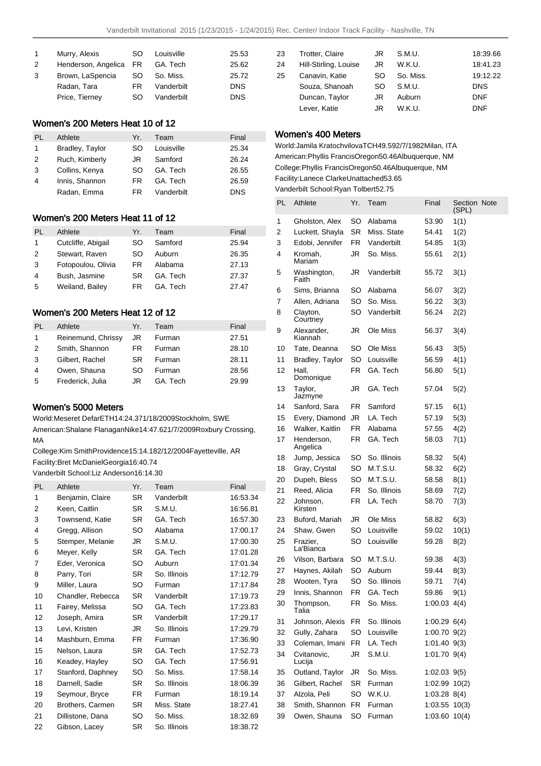| $\mathbf{1}$ | Murry, Alexis          | SO. | Louisville | 25.53      |
|--------------|------------------------|-----|------------|------------|
| 2            | Henderson, Angelica FR |     | GA. Tech   | 25.62      |
| 3            | Brown, LaSpencia       | SO. | So. Miss.  | 25.72      |
|              | Radan, Tara            | FR. | Vanderbilt | <b>DNS</b> |
|              | Price, Tierney         | SO. | Vanderbilt | <b>DNS</b> |

### Women's 200 Meters Heat 10 of 12

| PL | Athlete         | Yr. | Team       | Final      |
|----|-----------------|-----|------------|------------|
| 1. | Bradley, Taylor | SO  | Louisville | 25.34      |
| 2  | Ruch, Kimberly  | JR  | Samford    | 26.24      |
| 3  | Collins, Kenya  | SO. | GA. Tech   | 26.55      |
| 4  | Innis, Shannon  | FR  | GA. Tech   | 26.59      |
|    | Radan, Emma     | FR  | Vanderbilt | <b>DNS</b> |

### Women's 200 Meters Heat 11 of 12

| PL | Athlete            | Yr. | Team    | Final |
|----|--------------------|-----|---------|-------|
| 1  | Cutcliffe, Abigail | SO  | Samford | 25.94 |
| 2  | Stewart, Raven     | SO  | Auburn  | 26.35 |
| 3  | Fotopoulou, Olivia | FR. | Alabama | 27.13 |
| 4  | Bush, Jasmine      | SR. | GA Tech | 27.37 |
| 5  | Weiland, Bailey    | FR  | GA Tech | 27.47 |

## Women's 200 Meters Heat 12 of 12

| PL | Athlete            | Yr. | Team    | Final |
|----|--------------------|-----|---------|-------|
| 1  | Reinemund, Chrissy | JR  | Furman  | 27.51 |
| 2  | Smith, Shannon     | FR  | Furman  | 28.10 |
| 3  | Gilbert, Rachel    | SR. | Furman  | 28.11 |
| 4  | Owen, Shauna       | SO  | Furman  | 28.56 |
| 5  | Frederick, Julia   | JR  | GA Tech | 29.99 |

## Women's 5000 Meters

World: Meseret Defar ETH 14:24.37 1/18/2009 Stockholm, SWE American: Shalane Flanagan Nike 14:47.62 1/7/2009 Roxbury Crossing, MA

College: Kim Smith Providence 15:14.18 2/12/2004 Fayetteville, AR Facility: Bret McDaniel Georgia 16:40.74

Vanderbilt School: Liz Anderson 16:14.30

| PL | Athlete           | Yr.       | Team         | Final    |
|----|-------------------|-----------|--------------|----------|
| 1  | Benjamin, Claire  | SR        | Vanderbilt   | 16:53.34 |
| 2  | Keen, Caitlin     | SR        | S.M.U.       | 16:56.81 |
| 3  | Townsend, Katie   | SR        | GA. Tech     | 16:57.30 |
| 4  | Gregg, Allison    | SO        | Alabama      | 17:00.17 |
| 5  | Stemper, Melanie  | JR.       | S.M.U.       | 17:00.30 |
| 6  | Meyer, Kelly      | <b>SR</b> | GA. Tech     | 17:01.28 |
| 7  | Eder, Veronica    | SO        | Auburn       | 17:01.34 |
| 8  | Parry, Tori       | <b>SR</b> | So. Illinois | 17:12.79 |
| 9  | Miller, Laura     | SO        | Furman       | 17:17.84 |
| 10 | Chandler, Rebecca | <b>SR</b> | Vanderbilt   | 17:19.73 |
| 11 | Fairey, Melissa   | SO        | GA. Tech     | 17:23.83 |
| 12 | Joseph, Amira     | SR        | Vanderbilt   | 17:29.17 |
| 13 | Levi, Kristen     | JR        | So. Illinois | 17:29.79 |
| 14 | Mashburn, Emma    | FR        | Furman       | 17:36.90 |
| 15 | Nelson, Laura     | <b>SR</b> | GA. Tech     | 17:52.73 |
| 16 | Keadey, Hayley    | SO        | GA. Tech     | 17:56.91 |
| 17 | Stanford, Daphney | SO        | So. Miss.    | 17:58.14 |
| 18 | Darnell, Sadie    | SR        | So. Illinois | 18:06.39 |
| 19 | Seymour, Bryce    | FR.       | Furman       | 18:19.14 |
| 20 | Brothers, Carmen  | SR.       | Miss. State  | 18:27.41 |
| 21 | Dillistone, Dana  | SO        | So. Miss.    | 18:32.69 |
| 22 | Gibson, Lacey     | SR        | So. Illinois | 18:38.72 |

| 23 | Trotter, Claire       | JR | S.M.U.    | 18:39.66   |
|----|-----------------------|----|-----------|------------|
| 24 | Hill-Stirling, Louise | JR | W.K.U.    | 18:41.23   |
| 25 | Canavin, Katie        | SO | So. Miss. | 19:12.22   |
|    | Souza, Shanoah        | SO | S.M.U.    | <b>DNS</b> |
|    | Duncan, Taylor        | JR | Auburn    | <b>DNF</b> |
|    | Lever, Katie          | JR | W.K.U.    | <b>DNF</b> |

## Women's 400 Meters

World: Jamila Kratochvilova TCH 49.59 2/7/1982 Milan, ITA American: Phyllis Francis Oregon 50.46 Albuquerque, NM College: Phyllis Francis Oregon 50.46 Albuquerque, NM Facility: Lanece Clarke Unattached 53.65 Vanderbilt School: Ryan Tolbert 52.75

| PL | Athlete                | Yr. | Team         | Final             | Section Note<br>(SPL) |  |
|----|------------------------|-----|--------------|-------------------|-----------------------|--|
| 1  | Gholston, Alex         | SO  | Alabama      | 53.90             | 1(1)                  |  |
| 2  | Luckett, Shayla        | SR  | Miss. State  | 54.41             | 1(2)                  |  |
| 3  | Edobi, Jennifer        | FR  | Vanderbilt   | 54.85             | 1(3)                  |  |
| 4  | Kromah,<br>Mariam      | JR  | So. Miss.    | 55.61             | 2(1)                  |  |
| 5  | Washington,<br>Faith   | JR  | Vanderbilt   | 55.72             | 3(1)                  |  |
| 6  | Sims, Brianna          | SO  | Alabama      | 56.07             | 3(2)                  |  |
| 7  | Allen, Adriana         | SO  | So. Miss.    | 56.22             | 3(3)                  |  |
| 8  | Clayton,<br>Courtney   | SO  | Vanderbilt   | 56.24             | 2(2)                  |  |
| 9  | Alexander,<br>Kiannah  | JR  | Ole Miss     | 56.37             | 3(4)                  |  |
| 10 | Tate, Deanna           | SO  | Ole Miss     | 56.43             | 3(5)                  |  |
| 11 | <b>Bradley, Taylor</b> | SO  | Louisville   | 56.59             | 4(1)                  |  |
| 12 | Hall,<br>Domonique     | FR  | GA. Tech     | 56.80             | 5(1)                  |  |
| 13 | Taylor,<br>Jazmyne     | JR  | GA. Tech     | 57.04             | 5(2)                  |  |
| 14 | Sanford, Sara          | FR. | Samford      | 57.15             | 6(1)                  |  |
| 15 | Every, Diamond         | JR  | LA. Tech     | 57.19             | 5(3)                  |  |
| 16 | Walker, Kaitlin        | FR  | Alabama      | 57.55             | 4(2)                  |  |
| 17 | Henderson,<br>Angelica | FR  | GA. Tech     | 58.03             | 7(1)                  |  |
| 18 | Jump, Jessica          | SO  | So. Illinois | 58.32             | 5(4)                  |  |
| 18 | Gray, Crystal          | SO  | M.T.S.U.     | 58.32             | 6(2)                  |  |
| 20 | Dupeh, Bless           | SO  | M.T.S.U.     | 58.58             | 8(1)                  |  |
| 21 | Reed, Alicia           | FR  | So. Illinois | 58.69             | 7(2)                  |  |
| 22 | Johnson,<br>Kirsten    | FR  | LA. Tech     | 58.70             | 7(3)                  |  |
| 23 | Buford, Mariah         | JR  | Ole Miss     | 58.82             | 6(3)                  |  |
| 24 | Shaw, Gwen             | SO  | Louisville   | 59.02             | 10(1)                 |  |
| 25 | Frazier,<br>La'Bianca  | SO  | Louisville   | 59.28             | 8(2)                  |  |
| 26 | Vilson, Barbara        | SO  | M.T.S.U.     | 59.38             | 4(3)                  |  |
| 27 | Haynes, Akilah         | SO  | Auburn       | 59.44             | 8(3)                  |  |
| 28 | Wooten, Tyra           | SO  | So. Illinois | 59.71             | 7(4)                  |  |
| 29 | Innis, Shannon         | FR  | GA. Tech     | 59.86             | 9(1)                  |  |
| 30 | Thompson,<br>Talia     | FR  | So. Miss.    | 1:00.03           | 4(4)                  |  |
| 31 | Johnson, Alexis        | FR  | So. Illinois | $1:00.29$ 6(4)    |                       |  |
| 32 | Gully, Zahara          | SO  | Louisville   | $1:00.70$ $9(2)$  |                       |  |
| 33 | Coleman, Imani         | FR  | LA. Tech     | 1:01.40 9(3)      |                       |  |
| 34 | Cvitanovic.<br>Lucija  | JR  | S.M.U.       | 1:01.70 9(4)      |                       |  |
| 35 | Outland, Taylor        | JR  | So. Miss.    | 1:02.03 9(5)      |                       |  |
| 36 | Gilbert, Rachel        | SR  | Furman       | 1:02.99 10(2)     |                       |  |
| 37 | Alzola, Peli           | SO  | W.K.U.       | $1:03.28$ $8(4)$  |                       |  |
| 38 | Smith, Shannon         | FR  | Furman       | $1:03.55$ $10(3)$ |                       |  |
| 39 | Owen, Shauna           | SO  | Furman       | $1:03.60$ $10(4)$ |                       |  |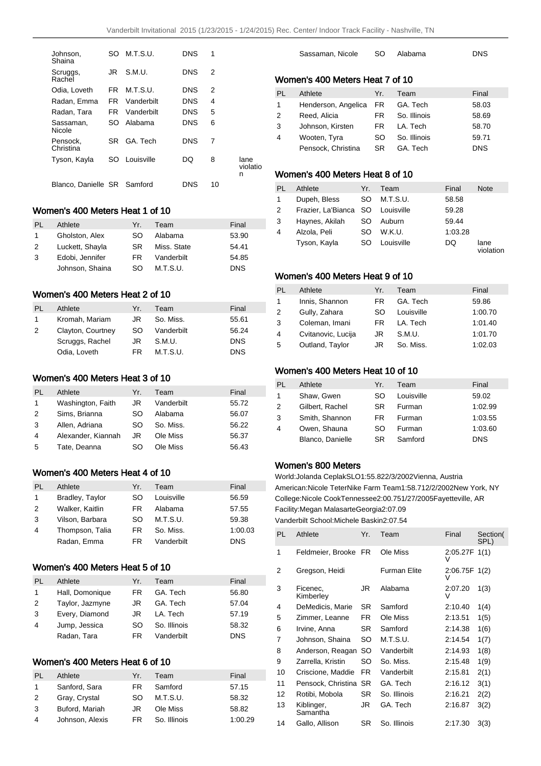| Johnson.<br>Shaina          | SO. | M.T.S.U.   | <b>DNS</b> | 1  |                       |
|-----------------------------|-----|------------|------------|----|-----------------------|
| Scruggs,<br>Rachel          | .IR | S.M.U.     | <b>DNS</b> | 2  |                       |
| Odia. Loveth                | FR. | M.T.S.U.   | <b>DNS</b> | 2  |                       |
| Radan, Emma                 | FR  | Vanderbilt | <b>DNS</b> | 4  |                       |
| Radan, Tara                 | FR. | Vanderbilt | DNS        | 5  |                       |
| Sassaman.<br>Nicole         | SO. | Alabama    | DNS        | 6  |                       |
| Pensock.<br>Christina       | SR. | GA Tech    | DNS        | 7  |                       |
| Tyson, Kayla                | SO  | Louisville | DO         | 8  | lane<br>violatio<br>n |
| Blanco, Danielle SR Samford |     |            | DNS        | 10 |                       |

## Women's 400 Meters Heat 1 of 10

| PI. | Athlete         | Yr. | Team        | Final      |
|-----|-----------------|-----|-------------|------------|
| 1.  | Gholston, Alex  | SO. | Alabama     | 53.90      |
| 2   | Luckett, Shayla | SR. | Miss. State | 54.41      |
| 3   | Edobi, Jennifer | FR. | Vanderbilt  | 54.85      |
|     | Johnson, Shaina | SO. | M.T.S.U.    | <b>DNS</b> |

## Women's 400 Meters Heat 2 of 10

| PI.           | Athlete           | Yr⊥ | Team       | Final      |
|---------------|-------------------|-----|------------|------------|
|               | Kromah, Mariam    | JR  | So. Miss.  | 55.61      |
| $\mathcal{P}$ | Clayton, Courtney | SO. | Vanderbilt | 56.24      |
|               | Scruggs, Rachel   | JR  | S.M.U.     | <b>DNS</b> |
|               | Odia, Loveth      | FR. | M.T.S.U.   | <b>DNS</b> |

## Women's 400 Meters Heat 3 of 10

| PI. | Athlete            | Yr. | Team       | Final |
|-----|--------------------|-----|------------|-------|
| 1   | Washington, Faith  | JR  | Vanderbilt | 55.72 |
| 2   | Sims, Brianna      | SO  | Alabama    | 56.07 |
| 3   | Allen, Adriana     | SO. | So. Miss.  | 56.22 |
| 4   | Alexander, Kiannah | JR  | Ole Miss   | 56.37 |
| 5   | Tate, Deanna       | SO  | Ole Miss   | 56.43 |

## Women's 400 Meters Heat 4 of 10

| PI. | Athlete         | Yr. | Team       | Final      |
|-----|-----------------|-----|------------|------------|
| 1   | Bradley, Taylor | SO  | Louisville | 56.59      |
| 2   | Walker, Kaitlin | FR  | Alabama    | 57.55      |
| 3   | Vilson, Barbara | SO  | M.T.S.U.   | 59.38      |
| 4   | Thompson, Talia | FR  | So. Miss.  | 1:00.03    |
|     | Radan, Emma     | FR. | Vanderbilt | <b>DNS</b> |

## Women's 400 Meters Heat 5 of 10

| PL             | Athlete         | Yr. | Team         | Final      |
|----------------|-----------------|-----|--------------|------------|
| 1              | Hall, Domonique | FR. | GA. Tech     | 56.80      |
| 2              | Taylor, Jazmyne | JR. | GA. Tech     | 57.04      |
| 3              | Every, Diamond  | JR. | LA. Tech     | 57.19      |
| $\overline{4}$ | Jump, Jessica   | SO  | So. Illinois | 58.32      |
|                | Radan, Tara     | FR. | Vanderbilt   | <b>DNS</b> |

## Women's 400 Meters Heat 6 of 10

| PI. | Athlete         | Yr. | Team         | Final   |
|-----|-----------------|-----|--------------|---------|
| 1.  | Sanford, Sara   | FR  | Samford      | 57.15   |
| 2   | Gray, Crystal   | SO. | M.T.S.U.     | 58.32   |
| 3   | Buford, Mariah  | JR  | Ole Miss     | 58.82   |
| 4   | Johnson, Alexis | FR  | So. Illinois | 1:00.29 |

| Sassaman, Nicole | SO Alabama | <b>DNS</b> |
|------------------|------------|------------|
|                  |            |            |
|                  |            |            |

# Women's 400 Meters Heat 7 of 10

| PL | Athlete                | Yr. | Team         | Final      |
|----|------------------------|-----|--------------|------------|
| 1  | Henderson, Angelica FR |     | GA. Tech     | 58.03      |
| 2  | Reed, Alicia           | FR. | So. Illinois | 58.69      |
| 3  | Johnson, Kirsten       | FR. | LA. Tech     | 58.70      |
| 4  | Wooten, Tyra           | SO. | So. Illinois | 59.71      |
|    | Pensock, Christina     | SR. | GA. Tech     | <b>DNS</b> |

## Women's 400 Meters Heat 8 of 10

| PL | Athlete               | Yr.       | Team       | Final   | <b>Note</b>       |
|----|-----------------------|-----------|------------|---------|-------------------|
| 1  | Dupeh, Bless          | SO.       | M.T.S.U.   | 58.58   |                   |
| 2  | Frazier, La'Bianca SO |           | Louisville | 59.28   |                   |
| 3  | Haynes, Akilah        | <b>SO</b> | Auburn     | 59.44   |                   |
| 4  | Alzola, Peli          | SO        | W.K.U.     | 1:03.28 |                   |
|    | Tyson, Kayla          | SO.       | Louisville | DQ      | lane<br>violation |

## Women's 400 Meters Heat 9 of 10

| PL           | Athlete            | Yr. | Team       | Final   |
|--------------|--------------------|-----|------------|---------|
| $\mathbf{1}$ | Innis, Shannon     | FR. | GA. Tech   | 59.86   |
| 2            | Gully, Zahara      | SO. | Louisville | 1:00.70 |
| 3            | Coleman, Imani     | FR. | LA. Tech   | 1:01.40 |
| 4            | Cvitanovic, Lucija | JR  | S.M.U.     | 1:01.70 |
| 5            | Outland, Taylor    | JR  | So. Miss.  | 1:02.03 |

### Women's 400 Meters Heat 10 of 10

| PI. | Athlete          | Yr. | Team       | Final      |
|-----|------------------|-----|------------|------------|
| 1   | Shaw, Gwen       | SO  | Louisville | 59.02      |
| 2   | Gilbert, Rachel  | SR. | Furman     | 1:02.99    |
| 3   | Smith, Shannon   | FR  | Furman     | 1:03.55    |
| 4   | Owen, Shauna     | SO  | Furman     | 1:03.60    |
|     | Blanco, Danielle | SR  | Samford    | <b>DNS</b> |

## Women's 800 Meters

World: Jolanda Ceplak SLO 1:55.82 2/3/2002 Vienna, Austria American: Nicole Teter Nike Farm Team 1:58.71 2/2/2002 New York, NY College: Nicole Cook Tennessee 2:00.75 1/27/2005 Fayetteville, AR Facility: Megan Malasarte Georgia 2:07.09 Vanderbilt School: Michele Baskin 2:07.54

| PL | Athlete                | Yr.       | Team                | Final              | Section(<br>SPL) |
|----|------------------------|-----------|---------------------|--------------------|------------------|
| 1  | Feldmeier, Brooke FR   |           | Ole Miss            | 2:05.27F 1(1)<br>v |                  |
| 2  | Gregson, Heidi         |           | <b>Furman Elite</b> | 2:06.75F 1(2)<br>V |                  |
| 3  | Ficenec,<br>Kimberley  | JR        | Alabama             | 2:07.20<br>v       | 1(3)             |
| 4  | DeMedicis, Marie       | SR        | Samford             | 2:10.40            | 1(4)             |
| 5  | Zimmer, Leanne         | FR.       | Ole Miss            | 2:13.51            | 1(5)             |
| 6  | Irvine, Anna           | SR.       | Samford             | 2:14.38            | 1(6)             |
| 7  | Johnson, Shaina        | SO        | M.T.S.U.            | 2:14.54            | 1(7)             |
| 8  | Anderson, Reagan       | SO        | Vanderbilt          | 2:14.93            | 1(8)             |
| 9  | Zarrella, Kristin      | SO        | So. Miss.           | 2:15.48            | 1(9)             |
| 10 | Criscione, Maddie      | FR.       | Vanderbilt          | 2:15.81            | 2(1)             |
| 11 | Pensock, Christina SR  |           | GA. Tech            | 2:16.12            | 3(1)             |
| 12 | Rotibi, Mobola         | SR.       | So. Illinois        | 2:16.21            | 2(2)             |
| 13 | Kiblinger,<br>Samantha | JR        | GA. Tech            | 2:16.87            | 3(2)             |
| 14 | Gallo, Allison         | <b>SR</b> | So. Illinois        | 2:17.30            | 3(3)             |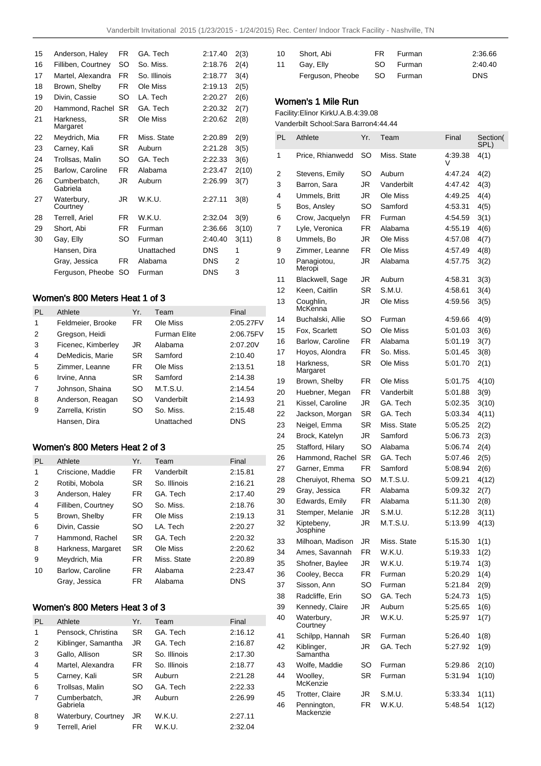| 15 | Anderson, Haley          | FR.       | GA. Tech     | 2:17.40    | 2(3)  |
|----|--------------------------|-----------|--------------|------------|-------|
| 16 | Filliben, Courtney       | SO        | So. Miss.    | 2:18.76    | 2(4)  |
| 17 | Martel. Alexandra        | FR.       | So. Illinois | 2:18.77    | 3(4)  |
| 18 | Brown, Shelby            | FR.       | Ole Miss     | 2:19.13    | 2(5)  |
| 19 | Divin, Cassie            | SO        | LA. Tech     | 2:20.27    | 2(6)  |
| 20 | Hammond, Rachel          | <b>SR</b> | GA. Tech     | 2:20.32    | 2(7)  |
| 21 | Harkness,<br>Margaret    | <b>SR</b> | Ole Miss     | 2:20.62    | 2(8)  |
| 22 | Meydrich, Mia            | FR.       | Miss. State  | 2:20.89    | 2(9)  |
| 23 | Carney, Kali             | SR.       | Auburn       | 2:21.28    | 3(5)  |
| 24 | Trollsas, Malin          | SO        | GA. Tech     | 2:22.33    | 3(6)  |
| 25 | Barlow, Caroline         | FR.       | Alabama      | 2:23.47    | 2(10) |
| 26 | Cumberbatch,<br>Gabriela | JR        | Auburn       | 2:26.99    | 3(7)  |
| 27 | Waterbury,<br>Courtney   | JR        | W.K.U.       | 2:27.11    | 3(8)  |
| 28 | Terrell, Ariel           | FR.       | W.K.U.       | 2:32.04    | 3(9)  |
| 29 | Short, Abi               | FR.       | Furman       | 2:36.66    | 3(10) |
| 30 | Gay, Elly                | SO        | Furman       | 2:40.40    | 3(11) |
|    | Hansen, Dira             |           | Unattached   | <b>DNS</b> | 1     |
|    | Gray, Jessica            | FR        | Alabama      | DNS        | 2     |
|    | Ferguson, Pheobe         | SO        | Furman       | DNS        | 3     |
|    |                          |           |              |            |       |

# Women's 800 Meters Heat 1 of 3

| <b>PL</b> | Athlete            | Yr.       | Team         | Final      |
|-----------|--------------------|-----------|--------------|------------|
| 1         | Feldmeier, Brooke  | FR.       | Ole Miss     | 2:05.27FV  |
| 2         | Gregson, Heidi     |           | Furman Elite | 2:06.75FV  |
| 3         | Ficenec, Kimberley | JR        | Alabama      | 2:07.20V   |
| 4         | DeMedicis, Marie   | <b>SR</b> | Samford      | 2:10.40    |
| 5         | Zimmer, Leanne     | FR.       | Ole Miss     | 2:13.51    |
| 6         | Irvine, Anna       | <b>SR</b> | Samford      | 2:14.38    |
| 7         | Johnson, Shaina    | SO        | M.T.S.U.     | 2:14.54    |
| 8         | Anderson, Reagan   | SO        | Vanderbilt   | 2:14.93    |
| 9         | Zarrella, Kristin  | SO        | So. Miss.    | 2:15.48    |
|           | Hansen, Dira       |           | Unattached   | <b>DNS</b> |

### Women's 800 Meters Heat 2 of 3

| <b>PL</b> | Athlete            | Yr.       | Team         | Final      |
|-----------|--------------------|-----------|--------------|------------|
| 1         | Criscione, Maddie  | FR        | Vanderbilt   | 2:15.81    |
| 2         | Rotibi, Mobola     | <b>SR</b> | So. Illinois | 2:16.21    |
| 3         | Anderson, Haley    | FR        | GA. Tech     | 2:17.40    |
| 4         | Filliben, Courtney | SO        | So. Miss.    | 2:18.76    |
| 5         | Brown, Shelby      | FR        | Ole Miss     | 2:19.13    |
| 6         | Divin, Cassie      | SO        | LA. Tech     | 2:20.27    |
| 7         | Hammond, Rachel    | SR.       | GA Tech      | 2:20.32    |
| 8         | Harkness, Margaret | SR.       | Ole Miss     | 2:20.62    |
| 9         | Meydrich, Mia      | FR        | Miss. State  | 2:20.89    |
| 10        | Barlow, Caroline   | FR        | Alabama      | 2:23.47    |
|           | Gray, Jessica      | FR.       | Alabama      | <b>DNS</b> |

## Women's 800 Meters Heat 3 of 3

| PL | Athlete                  | Yr.       | Team         | Final   |
|----|--------------------------|-----------|--------------|---------|
| 1  | Pensock, Christina       | <b>SR</b> | GA. Tech     | 2:16.12 |
| 2  | Kiblinger, Samantha      | JR.       | GA. Tech     | 2:16.87 |
| 3  | Gallo, Allison           | <b>SR</b> | So. Illinois | 2:17.30 |
| 4  | Martel, Alexandra        | FR.       | So. Illinois | 2:18.77 |
| 5  | Carney, Kali             | <b>SR</b> | Auburn       | 2:21.28 |
| 6  | Trollsas, Malin          | SO        | GA. Tech     | 2:22.33 |
| 7  | Cumberbatch,<br>Gabriela | JR.       | Auburn       | 2:26.99 |
| 8  | Waterbury, Courtney      | JR.       | W.K.U.       | 2:27.11 |
| 9  | Terrell, Ariel           | FR        | W.K.U.       | 2:32.04 |

| 10 | Short. Abi       | FR Furman | 2:36.66    |
|----|------------------|-----------|------------|
| 11 | Gay, Elly        | SO Furman | 2:40.40    |
|    | Ferguson, Pheobe | SO Furman | <b>DNS</b> |

# Women's 1 Mile Run

Facility: Elinor Kirk U.A.B. 4:39.08

Vanderbilt School: Sara Barron 4:44.44

| PL | Athlete                  | Yr.       | Team        | Final   | Section(<br>SPL) |
|----|--------------------------|-----------|-------------|---------|------------------|
| 1  | Price, Rhianwedd         | SO        | Miss. State | 4:39.38 | 4(1)             |
| 2  | Stevens, Emily           | SO        | Auburn      | 4:47.24 | 4(2)             |
| 3  | Barron, Sara             | JR        | Vanderbilt  | 4:47.42 | 4(3)             |
| 4  | Ummels, Britt            | JR        | Ole Miss    | 4:49.25 | 4(4)             |
| 5  | Bos, Ansley              | SO        | Samford     | 4:53.31 | 4(5)             |
| 6  | Crow, Jacquelyn          | FR        | Furman      | 4:54.59 | 3(1)             |
| 7  | Lyle, Veronica           | FR.       | Alabama     | 4:55.19 | 4(6)             |
| 8  | Ummels, Bo               | JR        | Ole Miss    | 4:57.08 | 4(7)             |
| 9  | Zimmer, Leanne           | FR.       | Ole Miss    | 4:57.49 | 4(8)             |
| 10 | Panagiotou,<br>Meropi    | JR        | Alabama     | 4:57.75 | 3(2)             |
| 11 | Blackwell, Sage          | JR        | Auburn      | 4:58.31 | 3(3)             |
| 12 | Keen, Caitlin            | SR        | S.M.U.      | 4:58.61 | 3(4)             |
| 13 | Coughlin,<br>McKenna     | JR        | Ole Miss    | 4:59.56 | 3(5)             |
| 14 | Buchalski, Allie         | SO        | Furman      | 4:59.66 | 4(9)             |
| 15 | Fox. Scarlett            | SO        | Ole Miss    | 5:01.03 | 3(6)             |
| 16 | <b>Barlow, Caroline</b>  | FR        | Alabama     | 5:01.19 | 3(7)             |
| 17 | Hoyos, Alondra           | FR.       | So. Miss.   | 5:01.45 | 3(8)             |
| 18 | Harkness.<br>Margaret    | SR        | Ole Miss    | 5:01.70 | 2(1)             |
| 19 | Brown, Shelby            | FR        | Ole Miss    | 5:01.75 | 4(10)            |
| 20 | Huebner, Megan           | FR        | Vanderbilt  | 5:01.88 | 3(9)             |
| 21 | Kissel, Caroline         | JR        | GA. Tech    | 5:02.35 | 3(10)            |
| 22 | Jackson, Morgan          | SR        | GA. Tech    | 5:03.34 | 4(11)            |
| 23 | Neigel, Emma             | SR        | Miss. State | 5:05.25 | 2(2)             |
| 24 | Brock, Katelyn           | JR        | Samford     | 5:06.73 | 2(3)             |
| 25 | Stafford, Hilary         | SO        | Alabama     | 5:06.74 | 2(4)             |
| 26 | Hammond, Rachel          | <b>SR</b> | GA. Tech    | 5:07.46 | 2(5)             |
| 27 | Garner, Emma             | FR.       | Samford     | 5:08.94 | 2(6)             |
| 28 | Cheruiyot, Rhema         | SO        | M.T.S.U.    | 5:09.21 | 4(12)            |
| 29 | Gray, Jessica            | FR.       | Alabama     | 5:09.32 | 2(7)             |
| 30 | Edwards, Emily           | FR        | Alabama     | 5:11.30 | 2(8)             |
| 31 | Stemper, Melanie         | JR        | S.M.U.      | 5:12.28 | 3(11)            |
| 32 | Kiptebeny,<br>Josphine   | JR        | M.T.S.U.    | 5:13.99 | 4(13)            |
| 33 | Milhoan, Madison         | JR        | Miss. State | 5:15.30 | 1(1)             |
| 34 | Ames, Savannah           | FR        | W.K.U.      | 5:19.33 | 1(2)             |
| 35 | Shofner, Baylee          | JR        | W.K.U.      | 5:19.74 | 1(3)             |
| 36 | Cooley, Becca            | FR        | Furman      | 5:20.29 | 1(4)             |
| 37 | Sisson, Ann              | SO        | Furman      | 5:21.84 | 2(9)             |
| 38 | Radcliffe, Erin          | SO        | GA. Tech    | 5:24.73 | 1(5)             |
| 39 | Kennedy, Claire          | JR        | Auburn      | 5:25.65 | 1(6)             |
| 40 | Waterbury,<br>Courtney   | JR        | W.K.U.      | 5:25.97 | 1(7)             |
| 41 | Schilpp, Hannah          | SR        | Furman      | 5:26.40 | 1(8)             |
| 42 | Kiblinger,<br>Samantha   | JR        | GA. Tech    | 5:27.92 | 1(9)             |
| 43 | Wolfe, Maddie            | SO        | Furman      | 5:29.86 | 2(10)            |
| 44 | Woolley,<br>McKenzie     | SR        | Furman      | 5:31.94 | 1(10)            |
| 45 | Trotter, Claire          | JR        | S.M.U.      | 5:33.34 | 1(11)            |
| 46 | Pennington,<br>Mackenzie | FR        | W.K.U.      | 5:48.54 | 1(12)            |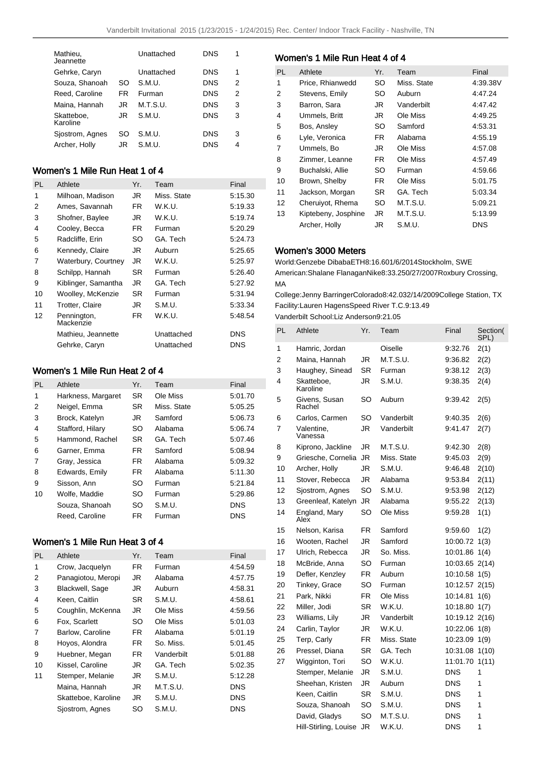| Mathieu,<br>Jeannette  |     | Unattached | DNS        | 1 |
|------------------------|-----|------------|------------|---|
| Gehrke, Caryn          |     | Unattached | <b>DNS</b> | 1 |
| Souza, Shanoah         | SO  | S.M.U.     | DNS        | 2 |
| Reed. Caroline         | FR  | Furman     | <b>DNS</b> | 2 |
| Maina, Hannah          | .IR | M.T.S.U.   | <b>DNS</b> | 3 |
| Skatteboe,<br>Karoline | JR  | S.M.U.     | <b>DNS</b> | 3 |
| Siostrom, Agnes        | SO  | S.M.U.     | DNS        | 3 |
| Archer, Holly          | JR  | S.M.U.     | DNS        | 4 |

# Women's 1 Mile Run Heat 1 of 4

| PL | Athlete                  | Yr.       | Team        | Final      |
|----|--------------------------|-----------|-------------|------------|
| 1  | Milhoan, Madison         | JR        | Miss. State | 5:15.30    |
| 2  | Ames, Savannah           | FR        | W.K.U.      | 5:19.33    |
| 3  | Shofner, Baylee          | JR        | W.K.U.      | 5:19.74    |
| 4  | Cooley, Becca            | FR        | Furman      | 5:20.29    |
| 5  | Radcliffe, Erin          | SO        | GA. Tech    | 5:24.73    |
| 6  | Kennedy, Claire          | JR        | Auburn      | 5:25.65    |
| 7  | Waterbury, Courtney      | JR.       | W.K.U.      | 5:25.97    |
| 8  | Schilpp, Hannah          | <b>SR</b> | Furman      | 5:26.40    |
| 9  | Kiblinger, Samantha      | JR.       | GA. Tech    | 5:27.92    |
| 10 | Woolley, McKenzie        | <b>SR</b> | Furman      | 5:31.94    |
| 11 | Trotter, Claire          | JR        | S.M.U.      | 5:33.34    |
| 12 | Pennington,<br>Mackenzie | FR.       | W.K.U.      | 5:48.54    |
|    | Mathieu, Jeannette       |           | Unattached  | <b>DNS</b> |
|    | Gehrke, Caryn            |           | Unattached  | <b>DNS</b> |

## Women's 1 Mile Run Heat 2 of 4

| <b>PL</b> | Athlete            | Yr.       | Team        | Final      |
|-----------|--------------------|-----------|-------------|------------|
| 1         | Harkness, Margaret | SR.       | Ole Miss    | 5:01.70    |
| 2         | Neigel, Emma       | <b>SR</b> | Miss. State | 5:05.25    |
| 3         | Brock, Katelyn     | JR.       | Samford     | 5:06.73    |
| 4         | Stafford, Hilary   | SO        | Alabama     | 5:06.74    |
| 5         | Hammond, Rachel    | <b>SR</b> | GA. Tech    | 5:07.46    |
| 6         | Garner, Emma       | FR.       | Samford     | 5:08.94    |
| 7         | Gray, Jessica      | FR.       | Alabama     | 5:09.32    |
| 8         | Edwards, Emily     | FR.       | Alabama     | 5:11.30    |
| 9         | Sisson, Ann        | SO.       | Furman      | 5:21.84    |
| 10        | Wolfe, Maddie      | SO        | Furman      | 5:29.86    |
|           | Souza, Shanoah     | SO.       | S.M.U.      | <b>DNS</b> |
|           | Reed, Caroline     | FR.       | Furman      | <b>DNS</b> |

### Women's 1 Mile Run Heat 3 of 4

| PL | Athlete             | Yr. | Team       | Final      |
|----|---------------------|-----|------------|------------|
| 1  | Crow, Jacquelyn     | FR  | Furman     | 4:54.59    |
| 2  | Panagiotou, Meropi  | JR. | Alabama    | 4:57.75    |
| 3  | Blackwell, Sage     | JR  | Auburn     | 4:58.31    |
| 4  | Keen, Caitlin       | SR. | S.M.U.     | 4:58.61    |
| 5  | Coughlin, McKenna   | JR  | Ole Miss   | 4:59.56    |
| 6  | Fox, Scarlett       | SO  | Ole Miss   | 5:01.03    |
| 7  | Barlow, Caroline    | FR  | Alabama    | 5:01.19    |
| 8  | Hoyos, Alondra      | FR. | So. Miss.  | 5:01.45    |
| 9  | Huebner, Megan      | FR  | Vanderbilt | 5:01.88    |
| 10 | Kissel, Caroline    | JR  | GA. Tech   | 5:02.35    |
| 11 | Stemper, Melanie    | JR. | S.M.U.     | 5:12.28    |
|    | Maina, Hannah       | JR. | M.T.S.U.   | <b>DNS</b> |
|    | Skatteboe, Karoline | JR. | S.M.U.     | <b>DNS</b> |
|    | Siostrom, Agnes     | SO  | S.M.U.     | <b>DNS</b> |

## Women's 1 Mile Run Heat 4 of 4

| PL | Athlete             | Yr. | Team        | Final    |
|----|---------------------|-----|-------------|----------|
| 1  | Price, Rhianwedd    | SO  | Miss. State | 4:39.38V |
| 2  | Stevens, Emily      | SO. | Auburn      | 4:47.24  |
| 3  | Barron, Sara        | JR  | Vanderbilt  | 4:47.42  |
| 4  | Ummels, Britt       | JR  | Ole Miss    | 4:49.25  |
| 5  | Bos, Ansley         | SO  | Samford     | 4:53.31  |
| 6  | Lyle, Veronica      | FR. | Alabama     | 4:55.19  |
| 7  | Ummels, Bo          | JR  | Ole Miss    | 4:57.08  |
| 8  | Zimmer, Leanne      | FR. | Ole Miss    | 4:57.49  |
| 9  | Buchalski, Allie    | SO  | Furman      | 4:59.66  |
| 10 | Brown, Shelby       | FR. | Ole Miss    | 5:01.75  |
| 11 | Jackson, Morgan     | SR. | GA. Tech    | 5:03.34  |
| 12 | Cheruiyot, Rhema    | SO  | M.T.S.U.    | 5:09.21  |
| 13 | Kiptebeny, Josphine | JR  | M.T.S.U.    | 5:13.99  |
|    | Archer, Holly       | JR  | S.M.U.      | DNS      |
|    |                     |     |             |          |

### Women's 3000 Meters

World: Genzebe Dibaba ETH 8:16.60 1/6/2014 Stockholm, SWE American: Shalane Flanagan Nike 8:33.25 0/27/2007 Roxbury Crossing, MA

College: Jenny Barringer Colorado 8:42.03 2/14/2009 College Station, TX Facility: Lauren Hagens Speed River T.C. 9:13.49

Vanderbilt School: Liz Anderson 9:21.05

| PL | Athlete                 | Yr.       | Team        | Final          | Section(<br>SPL) |
|----|-------------------------|-----------|-------------|----------------|------------------|
| 1  | Hamric, Jordan          |           | Oiselle     | 9:32.76        | 2(1)             |
| 2  | Maina, Hannah           | JR        | M.T.S.U.    | 9:36.82        | 2(2)             |
| 3  | Haughey, Sinead         | <b>SR</b> | Furman      | 9:38.12        | 2(3)             |
| 4  | Skatteboe,<br>Karoline  | JR        | S.M.U.      | 9.38.35        | 2(4)             |
| 5  | Givens, Susan<br>Rachel | SO        | Auburn      | 9:39.42        | 2(5)             |
| 6  | Carlos, Carmen          | SO        | Vanderbilt  | 9:40.35        | 2(6)             |
| 7  | Valentine,<br>Vanessa   | JR        | Vanderbilt  | 9:41.47        | 2(7)             |
| 8  | Kiprono, Jackline       | JR        | M.T.S.U.    | 9:42.30        | 2(8)             |
| 9  | Griesche, Cornelia      | JR.       | Miss. State | 9:45.03        | 2(9)             |
| 10 | Archer, Holly           | JR.       | S.M.U.      | 9:46.48        | 2(10)            |
| 11 | Stover, Rebecca         | JR        | Alabama     | 9:53.84        | 2(11)            |
| 12 | Sjostrom, Agnes         | SO        | S.M.U.      | 9:53.98        | 2(12)            |
| 13 | Greenleaf, Katelyn      | JR        | Alabama     | 9:55.22        | 2(13)            |
| 14 | England, Mary<br>Alex   | SO        | Ole Miss    | 9:59.28        | 1(1)             |
| 15 | Nelson, Karisa          | FR        | Samford     | 9.59.60        | 1(2)             |
| 16 | Wooten, Rachel          | JR        | Samford     | 10:00.72       | 1(3)             |
| 17 | Ulrich, Rebecca         | JR        | So. Miss.   | 10:01.86       | 1(4)             |
| 18 | McBride, Anna           | SO        | Furman      | 10:03.65 2(14) |                  |
| 19 | Defler, Kenzley         | FR        | Auburn      | 10:10.58 1(5)  |                  |
| 20 | Tinkey, Grace           | SO        | Furman      | 10:12.57 2(15) |                  |
| 21 | Park, Nikki             | FR        | Ole Miss    | 10:14.81       | 1(6)             |
| 22 | Miller, Jodi            | SR        | W.K.U.      | 10:18.80       | 1(7)             |
| 23 | Williams, Lily          | JR        | Vanderbilt  | 10:19.12 2(16) |                  |
| 24 | Carlin, Taylor          | JR        | W.K.U.      | 10:22.06       | 1(8)             |
| 25 | Terp, Carly             | FR        | Miss. State | 10:23.09       | 1(9)             |
| 26 | Pressel, Diana          | SR        | GA. Tech    | 10:31.08       | 1(10)            |
| 27 | Wigginton, Tori         | SO        | W.K.U.      | 11:01.70       | 1(11)            |
|    | Stemper, Melanie        | JR        | S.M.U.      | <b>DNS</b>     | 1                |
|    | Sheehan, Kristen        | JR.       | Auburn      | <b>DNS</b>     | 1                |
|    | Keen, Caitlin           | <b>SR</b> | S.M.U.      | <b>DNS</b>     | 1                |
|    | Souza, Shanoah          | SO        | S.M.U.      | <b>DNS</b>     | 1                |
|    | David, Gladys           | SO        | M.T.S.U.    | <b>DNS</b>     | 1                |
|    | Hill-Stirling, Louise   | JR        | W.K.U.      | <b>DNS</b>     | 1                |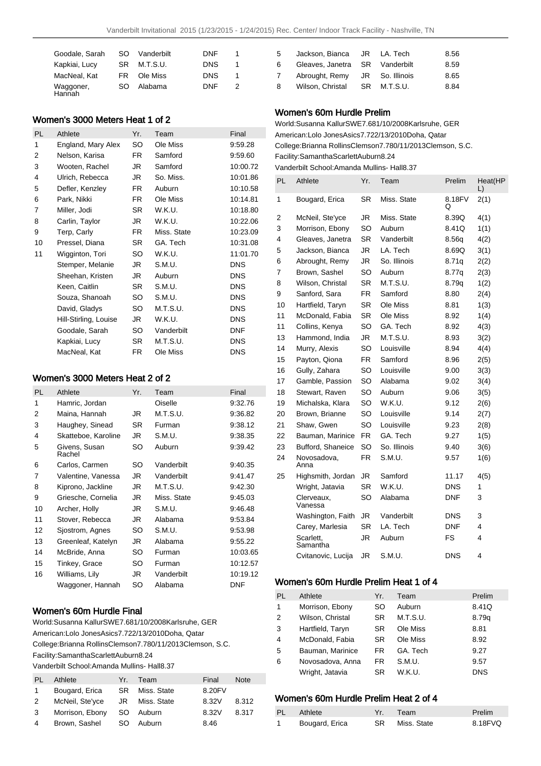| Goodale, Sarah      | SO. | Vanderbilt | <b>DNF</b> | 1. |
|---------------------|-----|------------|------------|----|
| Kapkiai, Lucy       | SR. | M.T.S.U.   | <b>DNS</b> | 1  |
| MacNeal, Kat        | FR. | Ole Miss   | <b>DNS</b> | 1  |
| Waggoner,<br>Hannah | SO  | Alabama    | <b>DNF</b> | 2  |

### Women's 3000 Meters Heat 1 of 2

| PL | Athlete               | Yr.       | Team        | Final      |
|----|-----------------------|-----------|-------------|------------|
| 1  | England, Mary Alex    | SO        | Ole Miss    | 9:59.28    |
| 2  | Nelson, Karisa        | FR        | Samford     | 9:59.60    |
| 3  | Wooten, Rachel        | JR        | Samford     | 10:00.72   |
| 4  | Ulrich, Rebecca       | JR        | So. Miss.   | 10:01.86   |
| 5  | Defler, Kenzley       | FR        | Auburn      | 10:10.58   |
| 6  | Park, Nikki           | FR.       | Ole Miss    | 10:14.81   |
| 7  | Miller, Jodi          | <b>SR</b> | W.K.U.      | 10:18.80   |
| 8  | Carlin, Taylor        | JR        | W.K.U.      | 10:22.06   |
| 9  | Terp, Carly           | FR.       | Miss. State | 10:23.09   |
| 10 | Pressel, Diana        | <b>SR</b> | GA. Tech    | 10:31.08   |
| 11 | Wigginton, Tori       | SO        | W.K.U.      | 11:01.70   |
|    | Stemper, Melanie      | JR        | S.M.U.      | <b>DNS</b> |
|    | Sheehan, Kristen      | JR        | Auburn      | <b>DNS</b> |
|    | Keen, Caitlin         | SR.       | S.M.U.      | <b>DNS</b> |
|    | Souza, Shanoah        | SO        | S.M.U.      | <b>DNS</b> |
|    | David, Gladys         | SO        | M.T.S.U.    | <b>DNS</b> |
|    | Hill-Stirling, Louise | JR        | W.K.U.      | <b>DNS</b> |
|    | Goodale, Sarah        | SO        | Vanderbilt  | DNF        |
|    | Kapkiai, Lucy         | SR        | M.T.S.U.    | <b>DNS</b> |
|    | MacNeal, Kat          | FR.       | Ole Miss    | <b>DNS</b> |

## Women's 3000 Meters Heat 2 of 2

| <b>PL</b> | Athlete                 | Yr.       | Team        | Final      |
|-----------|-------------------------|-----------|-------------|------------|
| 1         | Hamric, Jordan          |           | Oiselle     | 9:32.76    |
| 2         | Maina, Hannah           | JR.       | M.T.S.U.    | 9:36.82    |
| 3         | Haughey, Sinead         | <b>SR</b> | Furman      | 9:38.12    |
| 4         | Skatteboe, Karoline     | JR.       | S.M.U.      | 9:38.35    |
| 5         | Givens, Susan<br>Rachel | SO        | Auburn      | 9:39.42    |
| 6         | Carlos, Carmen          | SO        | Vanderbilt  | 9:40.35    |
| 7         | Valentine, Vanessa      | JR.       | Vanderbilt  | 9:41.47    |
| 8         | Kiprono, Jackline       | JR.       | M.T.S.U.    | 9:42.30    |
| 9         | Griesche, Cornelia      | JR.       | Miss. State | 9:45.03    |
| 10        | Archer, Holly           | JR        | S.M.U.      | 9:46.48    |
| 11        | Stover, Rebecca         | JR        | Alabama     | 9:53.84    |
| 12        | Sjostrom, Agnes         | SO        | S.M.U.      | 9:53.98    |
| 13        | Greenleaf, Katelyn      | JR        | Alabama     | 9:55.22    |
| 14        | McBride, Anna           | SO        | Furman      | 10:03.65   |
| 15        | Tinkey, Grace           | SO        | Furman      | 10:12.57   |
| 16        | Williams, Lily          | JR        | Vanderbilt  | 10:19.12   |
|           | Waggoner, Hannah        | SO        | Alabama     | <b>DNF</b> |

### Women's 60m Hurdle Final

World: Susanna Kallur SWE 7.68 1/10/2008 Karlsruhe, GER American: Lolo Jones Asics 7.72 2/13/2010 Doha, Qatar College: Brianna Rollins Clemson 7.78 0/11/2013 Clemson, S.C. Facility: SamanthaScarlett Auburn 8.24 Vanderbilt School: Amanda Mullins- Hall 8.37

| PL | Athlete         | Yr.  | Team           | Final  | <b>Note</b> |
|----|-----------------|------|----------------|--------|-------------|
| 1. | Bougard, Erica  | SR I | Miss. State    | 8.20FV |             |
| 2  | McNeil, Ste'yce |      | JR Miss. State | 8.32V  | 8.312       |
| 3  | Morrison, Ebony | SO.  | Auburn         | 8.32V  | 8.317       |
| 4  | Brown, Sashel   | SO.  | Auburn         | 8.46   |             |

| 5  | Jackson, Bianca JR LA, Tech    |             | 8.56 |
|----|--------------------------------|-------------|------|
| 6  | Gleaves, Janetra SR Vanderbilt |             | 8.59 |
| 7  | Abrought, Remy JR So. Illinois |             | 8.65 |
| -8 | Wilson. Christal               | SR M.T.S.U. | 8.84 |

## Women's 60m Hurdle Prelim

World: Susanna Kallur SWE 7.68 1/10/2008 Karlsruhe, GER American: Lolo Jones Asics 7.72 2/13/2010 Doha, Qatar College: Brianna Rollins Clemson 7.78 0/11/2013 Clemson, S.C. Facility: SamanthaScarlett Auburn 8.24 Vanderbilt School: Amanda Mullins- Hall 8.37

| PL             | Athlete               | Yr.       | Team         | Prelim      | Heat(HP<br>L) |
|----------------|-----------------------|-----------|--------------|-------------|---------------|
| 1              | Bougard, Erica        | SR        | Miss. State  | 8.18FV<br>Q | 2(1)          |
| $\overline{2}$ | McNeil, Ste'yce       | JR        | Miss. State  | 8.39Q       | 4(1)          |
| 3              | Morrison, Ebony       | SO        | Auburn       | 8.41Q       | 1(1)          |
| 4              | Gleaves, Janetra      | SR        | Vanderbilt   | 8.56g       | 4(2)          |
| 5              | Jackson, Bianca       | JR        | LA. Tech     | 8.69Q       | 3(1)          |
| 6              | Abrought, Remy        | JR        | So. Illinois | 8.71q       | 2(2)          |
| 7              | Brown, Sashel         | SO        | Auburn       | 8.77q       | 2(3)          |
| 8              | Wilson, Christal      | <b>SR</b> | M.T.S.U.     | 8.79q       | 1(2)          |
| 9              | Sanford, Sara         | FR.       | Samford      | 8.80        | 2(4)          |
| 10             | Hartfield, Taryn      | SR        | Ole Miss     | 8.81        | 1(3)          |
| 11             | McDonald, Fabia       | SR        | Ole Miss     | 8.92        | 1(4)          |
| 11             | Collins, Kenya        | SO        | GA. Tech     | 8.92        | 4(3)          |
| 13             | Hammond, India        | JR        | M.T.S.U.     | 8.93        | 3(2)          |
| 14             | Murry, Alexis         | SO        | Louisville   | 8.94        | 4(4)          |
| 15             | Payton, Qiona         | FR.       | Samford      | 8.96        | 2(5)          |
| 16             | Gully, Zahara         | <b>SO</b> | Louisville   | 9.00        | 3(3)          |
| 17             | Gamble, Passion       | <b>SO</b> | Alabama      | 9.02        | 3(4)          |
| 18             | Stewart, Raven        | <b>SO</b> | Auburn       | 9.06        | 3(5)          |
| 19             | Michalska, Klara      | SO        | W.K.U.       | 9.12        | 2(6)          |
| 20             | Brown, Brianne        | SO        | Louisville   | 9.14        | 2(7)          |
| 21             | Shaw, Gwen            | <b>SO</b> | Louisville   | 9.23        | 2(8)          |
| 22             | Bauman, Marinice      | FR        | GA. Tech     | 9.27        | 1(5)          |
| 23             | Bufford, Shaneice     | <b>SO</b> | So. Illinois | 9.40        | 3(6)          |
| 24             | Novosadova,<br>Anna   | FR        | S.M.U.       | 9.57        | 1(6)          |
| 25             | Highsmith, Jordan     | JR        | Samford      | 11.17       | 4(5)          |
|                | Wright, Jatavia       | SR        | W.K.U.       | <b>DNS</b>  | 1             |
|                | Clerveaux,<br>Vanessa | SO        | Alabama      | DNF         | 3             |
|                | Washington, Faith     | JR        | Vanderbilt   | DNS         | 3             |
|                | Carey, Marlesia       | SR        | LA. Tech     | <b>DNF</b>  | 4             |
|                | Scarlett,<br>Samantha | JR        | Auburn       | FS          | 4             |
|                | Cvitanovic, Lucija    | JR        | S.M.U.       | <b>DNS</b>  | 4             |

## Women's 60m Hurdle Prelim Heat 1 of 4

| PL             | Athlete          | Yr.       | Team     | Prelim     |
|----------------|------------------|-----------|----------|------------|
| 1              | Morrison, Ebony  | SO        | Auburn   | 8.41Q      |
| 2              | Wilson, Christal | <b>SR</b> | M.T.S.U. | 8.79g      |
| 3              | Hartfield, Taryn | <b>SR</b> | Ole Miss | 8.81       |
| $\overline{4}$ | McDonald, Fabia  | <b>SR</b> | Ole Miss | 8.92       |
| 5              | Bauman, Marinice | FR        | GA. Tech | 9.27       |
| 6              | Novosadova, Anna | FR.       | S.M.U.   | 9.57       |
|                | Wright, Jatavia  | SR        | W.K.U.   | <b>DNS</b> |

## Women's 60m Hurdle Prelim Heat 2 of 4

| PL - | <b>Athlete</b> | Yr. Team       | Prelim  |
|------|----------------|----------------|---------|
|      | Bougard, Erica | SR Miss. State | 8.18FVQ |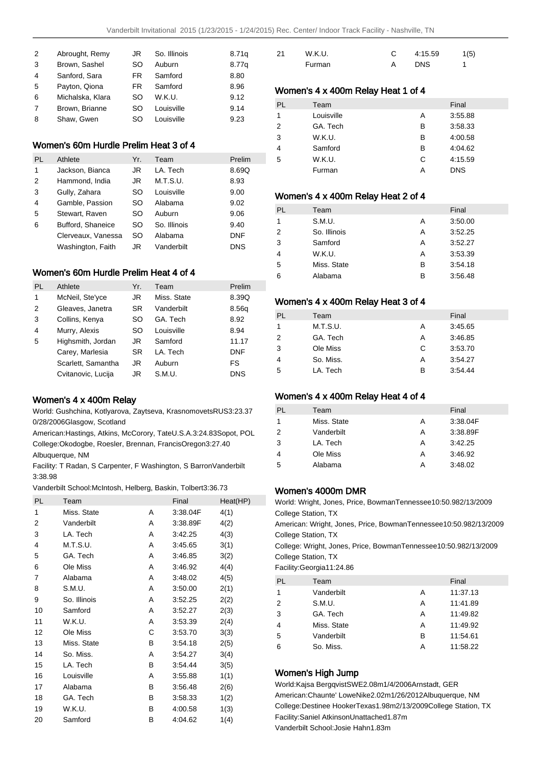| 2 | Abrought, Remy   | JR  | So. Illinois | 8.71q |
|---|------------------|-----|--------------|-------|
| 3 | Brown, Sashel    | SO  | Auburn       | 8.77g |
| 4 | Sanford, Sara    | FR. | Samford      | 8.80  |
| 5 | Payton, Qiona    | FR. | Samford      | 8.96  |
| 6 | Michalska, Klara | SO  | W.K.U.       | 9.12  |
| 7 | Brown, Brianne   | SO  | Louisville   | 9.14  |
| 8 | Shaw, Gwen       | SO  | Louisville   | 9.23  |
|   |                  |     |              |       |

## Women's 60m Hurdle Prelim Heat 3 of 4

| PL | Athlete            | Yr. | Team         | Prelim     |
|----|--------------------|-----|--------------|------------|
| 1  | Jackson, Bianca    | JR  | LA. Tech     | 8.69Q      |
| 2  | Hammond, India     | JR  | M.T.S.U.     | 8.93       |
| 3  | Gully, Zahara      | SO  | Louisville   | 9.00       |
| 4  | Gamble, Passion    | SO  | Alabama      | 9.02       |
| 5  | Stewart, Raven     | SO  | Auburn       | 9.06       |
| 6  | Bufford, Shaneice  | SO  | So. Illinois | 9.40       |
|    | Clerveaux, Vanessa | SO  | Alabama      | <b>DNF</b> |
|    | Washington, Faith  | JR  | Vanderbilt   | <b>DNS</b> |

#### Women's 60m Hurdle Prelim Heat 4 of 4

| PL | Athlete            | Yr. | Team        | Prelim     |
|----|--------------------|-----|-------------|------------|
| 1  | McNeil, Ste'yce    | JR  | Miss. State | 8.39Q      |
| 2  | Gleaves, Janetra   | SR. | Vanderbilt  | 8.56g      |
| 3  | Collins, Kenya     | SO  | GA. Tech    | 8.92       |
| 4  | Murry, Alexis      | SO  | Louisville  | 8.94       |
| 5  | Highsmith, Jordan  | JR  | Samford     | 11.17      |
|    | Carey, Marlesia    | SR. | LA. Tech    | <b>DNF</b> |
|    | Scarlett, Samantha | JR  | Auburn      | FS.        |
|    | Cvitanovic, Lucija | JR  | S.M.U.      | <b>DNS</b> |

#### Women's 4 x 400m Relay

World: Gushchina, Kotlyarova, Zaytseva, Krasnomovets RUS 3:23.37 0/28/2006 Glasgow, Scotland

American: Hastings, Atkins, McCorory, Tate U.S.A. 3:24.83 Sopot, POL College: Okodogbe, Roesler, Brennan, Francis Oregon 3:27.40 Albuquerque, NM

Facility: T Radan, S Carpenter, F Washington, S Barron Vanderbilt 3:38.98

Vanderbilt School: McIntosh, Helberg, Baskin, Tolbert 3:36.73

| <b>PL</b> | Team         |   | Final    | Heat(HP) |
|-----------|--------------|---|----------|----------|
| 1         | Miss. State  | A | 3:38.04F | 4(1)     |
| 2         | Vanderbilt   | A | 3:38.89F | 4(2)     |
| 3         | LA. Tech     | Α | 3:42.25  | 4(3)     |
| 4         | M.T.S.U.     | A | 3:45.65  | 3(1)     |
| 5         | GA. Tech     | Α | 3:46.85  | 3(2)     |
| 6         | Ole Miss     | A | 3:46.92  | 4(4)     |
| 7         | Alabama      | A | 3:48.02  | 4(5)     |
| 8         | S.M.U.       | Α | 3:50.00  | 2(1)     |
| 9         | So. Illinois | A | 3:52.25  | 2(2)     |
| 10        | Samford      | A | 3:52.27  | 2(3)     |
| 11        | W.K.U.       | Α | 3:53.39  | 2(4)     |
| 12        | Ole Miss     | С | 3:53.70  | 3(3)     |
| 13        | Miss. State  | В | 3:54.18  | 2(5)     |
| 14        | So. Miss.    | Α | 3:54.27  | 3(4)     |
| 15        | LA. Tech     | В | 3:54.44  | 3(5)     |
| 16        | Louisville   | Α | 3:55.88  | 1(1)     |
| 17        | Alabama      | в | 3:56.48  | 2(6)     |
| 18        | GA. Tech     | в | 3:58.33  | 1(2)     |
| 19        | W.K.U.       | в | 4:00.58  | 1(3)     |
| 20        | Samford      | В | 4:04.62  | 1(4)     |
|           |              |   |          |          |

| 21 | W.K.U. | 4:15.59    | 1(5) |
|----|--------|------------|------|
|    | Furman | <b>DNS</b> |      |

### Women's 4 x 400m Relay Heat 1 of 4

| <b>PL</b>     | Team       |   | Final      |
|---------------|------------|---|------------|
| 1             | Louisville | А | 3:55.88    |
| $\mathcal{P}$ | GA. Tech   | в | 3:58.33    |
| 3             | W.K.U.     | в | 4:00.58    |
| 4             | Samford    | в | 4:04.62    |
| 5             | W.K.U.     | C | 4:15.59    |
|               | Furman     | А | <b>DNS</b> |

### Women's 4 x 400m Relay Heat 2 of 4

| PL             | Team         |   | Final   |
|----------------|--------------|---|---------|
| 1              | S.M.U.       | Α | 3:50.00 |
| $\mathcal{P}$  | So. Illinois | А | 3:52.25 |
| 3              | Samford      | Α | 3:52.27 |
| $\overline{4}$ | W.K.U.       | A | 3:53.39 |
| 5              | Miss. State  | B | 3:54.18 |
| 6              | Alabama      | в | 3:56.48 |

#### Women's 4 x 400m Relay Heat 3 of 4

| PL             | Team      |   | Final   |
|----------------|-----------|---|---------|
|                | M.T.S.U.  | А | 3:45.65 |
| $\overline{2}$ | GA. Tech  | А | 3:46.85 |
| 3              | Ole Miss  | C | 3:53.70 |
| $\overline{4}$ | So. Miss. | А | 3:54.27 |
| -5             | LA. Tech  | в | 3:54.44 |

### Women's 4 x 400m Relay Heat 4 of 4

| Team        |   | Final    |
|-------------|---|----------|
| Miss. State | А | 3:38.04F |
| Vanderbilt  | А | 3:38.89F |
| LA. Tech    | А | 3:42.25  |
| Ole Miss    | A | 3:46.92  |
| Alabama     | А | 3:48.02  |
|             |   |          |

### Women's 4000m DMR

World: Wright, Jones, Price, Bowman Tennessee 10:50.98 2/13/2009 College Station, TX American: Wright, Jones, Price, Bowman Tennessee 10:50.98 2/13/2009 College Station, TX College: Wright, Jones, Price, Bowman Tennessee 10:50.98 2/13/2009 College Station, TX Facility: Georgia 11:24.86 PL Team Final

| <b>FL</b>      | i calif     |   | гнаг     |
|----------------|-------------|---|----------|
| 1              | Vanderbilt  | А | 11:37.13 |
| $\overline{2}$ | S.M.U.      | Α | 11:41.89 |
| 3              | GA. Tech    | A | 11:49.82 |
| $\overline{4}$ | Miss. State | A | 11:49.92 |
| 5              | Vanderbilt  | в | 11:54.61 |
| 6              | So. Miss.   | Α | 11:58.22 |
|                |             |   |          |

## Women's High Jump

World: Kajsa Bergqvist SWE 2.08m 1/4/2006 Arnstadt, GER American: Chaunte' Lowe Nike 2.02m 1/26/2012 Albuquerque, NM College: Destinee Hooker Texas 1.98m 2/13/2009 College Station, TX Facility: Saniel Atkinson Unattached 1.87m Vanderbilt School: Josie Hahn 1.83m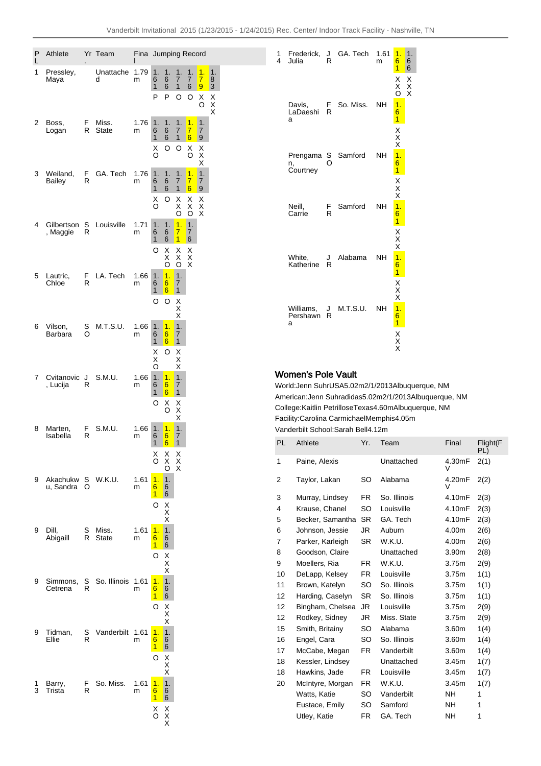| Ρ<br>L | Athlete                   |         | Yr Team               | Fina      |                         |                              |                                                         | Jumping Record            |                   |              |
|--------|---------------------------|---------|-----------------------|-----------|-------------------------|------------------------------|---------------------------------------------------------|---------------------------|-------------------|--------------|
| 1      | Pressley,<br>Maya         |         | Unattache<br>d        | 1.79<br>m | 1.<br>6<br>1<br>P       | 1.<br>6<br>6<br>P            | 1.<br>7<br>$\mathbf{1}$<br>O                            | 1.<br>7<br>6<br>O         | 1.<br>7<br>9<br>Χ | 1.<br>8<br>3 |
|        |                           |         |                       |           |                         |                              |                                                         |                           | O                 | X<br>X<br>X  |
| 2      | Boss.<br>Logan            | F<br>R  | Miss.<br>State        | 1.76<br>m | 1.<br>6<br>$\mathbf{1}$ | 1.<br>6<br>6                 | 1.<br>$\overline{7}$<br>1                               | 1.<br>$\overline{7}$<br>6 | 1.<br>7<br>9      |              |
|        |                           |         |                       |           | Х<br>O                  | O                            | O                                                       | X<br>O                    | X<br>X<br>X       |              |
| 3      | Weiland,<br><b>Bailey</b> | F<br>R  | GA. Tech              | 1.76<br>m | 1.<br>6<br>1            | 1.<br>6<br>6                 | 1.<br>$\overline{7}$<br>1                               | 1.<br>$\overline{7}$<br>6 | 1.<br>7<br>9      |              |
|        |                           |         |                       |           | X<br>O                  | O                            | Χ<br>Χ<br>O                                             | Χ<br>Χ<br>O               | Χ<br>X<br>X       |              |
| 4      | Gilbertson<br>, Maggie    | S<br>R  | Louisville            | 1.71<br>m | 1.<br>6                 | 1.<br>6                      | $\overline{1}$ .<br>7                                   | 1.<br>7                   |                   |              |
|        |                           |         |                       |           | 1<br>O                  | 6<br>Х<br>X                  | $\overline{\mathbf{1}}$<br>Х<br>$\overline{\mathsf{x}}$ | 6<br>Х<br>X               |                   |              |
| 5      | Lautric,<br>Chloe         | F.<br>R | LA. Tech              | 1.66<br>m | 1.<br>6                 | O<br>1.<br>6                 | O<br>1.<br>7                                            | X                         |                   |              |
|        |                           |         |                       |           | $\mathbf{1}$<br>O       | 6<br>O                       | 1<br>$_{\rm x}^{\rm x}$                                 |                           |                   |              |
| 6      | Vilson,                   | S       | M.T.S.U.              | 1.66      | 1.                      | 1.                           | 1.                                                      |                           |                   |              |
|        | Barbara                   | O       |                       | m         | 6<br>1<br>Χ             | 6<br>6<br>O                  | 7<br>1<br>Х                                             |                           |                   |              |
| 7      | Cvitanovic                | J       | S.M.U.                | 1.66      | Χ<br>O<br>1.            | 1.                           | X<br>$\rm\ddot{x}$<br>1.                                |                           |                   |              |
|        | , Lucija                  | R       |                       | m         | 6<br>1                  | 6<br>6                       | 7<br>$\mathbf{1}$                                       |                           |                   |              |
|        |                           |         |                       |           | O                       | Χ<br>O                       | $_{\rm X}^{\rm X}$<br>X                                 |                           |                   |              |
| 8      | Marten,<br>Isabella       | F.<br>R | S.M.U.                | 1.66<br>m | 1.<br>6<br>1            | 1.<br>6<br>6                 | $\overline{1}$ .<br>7<br>1                              |                           |                   |              |
|        |                           |         |                       |           | $\delta_{\rm O}$        | $\frac{X}{X}$<br>O           | $\frac{x}{x}$                                           |                           |                   |              |
| 9      | Akachukw<br>u, Sandra     | S<br>O  | W.K.U.                | 1.61<br>m | 1.<br>6<br>$\mathbf{1}$ | $\mathbf 1$<br>6<br>6        |                                                         |                           |                   |              |
|        |                           |         |                       |           | O                       | X<br>X<br>X                  |                                                         |                           |                   |              |
| 9      | Dill,<br>Abigaill         | S<br>R  | Miss.<br><b>State</b> | 1.61<br>m | 1.<br>6                 | $\mathbf 1$ .<br>6           |                                                         |                           |                   |              |
|        |                           |         |                       |           | $\overline{1}$<br>O     | 6<br>X<br>X<br>X             |                                                         |                           |                   |              |
| 9      | Simmons,<br>Cetrena       | S<br>R  | So. Illinois          | 1.61<br>m | 1.<br>$6\phantom{a}$    | $\mathbf 1$ .<br>6           |                                                         |                           |                   |              |
|        |                           |         |                       |           | $\mathbf{1}$<br>O       | 6                            |                                                         |                           |                   |              |
| 9      | Tidman,                   | S<br>R  | Vanderbilt            | 1.61      | 1.                      | X<br>X<br>X<br>$\mathbf 1$ . |                                                         |                           |                   |              |
|        | Ellie                     |         |                       | m         | 6<br>$\mathbf{1}$<br>O  | 6<br>6                       |                                                         |                           |                   |              |
| 1      | Barry,                    | F       | So. Miss.             | 1.61      | 1.                      | $_{\rm X}^{\rm X}$<br>1.     |                                                         |                           |                   |              |
| 3      | Trista                    | R       |                       | m         | 6<br>$\mathbf{1}$       | 6<br>6                       |                                                         |                           |                   |              |
|        |                           |         |                       |           | X<br>O                  | X<br>X<br>X                  |                                                         |                           |                   |              |

| 1<br>4 | Frederick,<br>Julia        | J<br>R  | GA. Tech  | 1.61<br>m | 1.<br>$6\phantom{1}$<br>$\overline{1}$     | 1.<br>6<br>$\bar{6}$ |
|--------|----------------------------|---------|-----------|-----------|--------------------------------------------|----------------------|
|        |                            |         |           |           | X<br>X<br>O                                | $\frac{X}{X}$        |
|        | Davis,<br>LaDaeshi<br>a    | F.<br>R | So. Miss. | <b>NH</b> | $\frac{1}{61}$ X X X                       |                      |
|        |                            |         |           |           |                                            |                      |
|        | Prengama<br>n.<br>Courtney | S       | Samford   | <b>NH</b> | $\begin{array}{c} 1 \\ 6 \\ 1 \end{array}$ |                      |
|        |                            |         |           |           | $XXX$ $161$ $XXX$                          |                      |
|        | Neill,<br>Carrie           | F.<br>R | Samford   | <b>NH</b> |                                            |                      |
|        |                            |         |           |           |                                            |                      |
|        | White,<br>Katherine        | J<br>R  | Alabama   | <b>NH</b> | $\begin{array}{c} 1 \\ 6 \\ 1 \end{array}$ |                      |
|        |                            |         |           |           | $X$ $X$ $X$ $1$ $6$ $1$                    |                      |
|        | Williams,<br>Pershawn<br>a | J<br>R  | M.T.S.U.  | <b>NH</b> |                                            |                      |
|        |                            |         |           |           | X<br>X<br>X                                |                      |
|        |                            |         |           |           |                                            |                      |

# Women's Pole Vault

World: Jenn Suhr USA 5.02m 2/1/2013 Albuquerque, NM American: Jenn Suhr adidas 5.02m 2/1/2013 Albuquerque, NM College: Kaitlin Petrillose Texas 4.60m Albuquerque, NM Facility: Carolina Carmichael Memphis 4.05m Vanderbilt School: Sarah Bell 4.12m

| PL | Athlete          | Yr.       | Team         | Final       | Flight(F<br>PL) |
|----|------------------|-----------|--------------|-------------|-----------------|
| 1  | Paine, Alexis    |           | Unattached   | 4.30mF<br>V | 2(1)            |
| 2  | Taylor, Lakan    | SO        | Alabama      | 4.20mF<br>V | 2(2)            |
| 3  | Murray, Lindsey  | FR.       | So. Illinois | 4.10mF      | 2(3)            |
| 4  | Krause, Chanel   | SO        | Louisville   | 4.10mF      | 2(3)            |
| 5  | Becker, Samantha | <b>SR</b> | GA. Tech     | 4.10mF      | 2(3)            |
| 6  | Johnson, Jessie  | JR        | Auburn       | 4.00m       | 2(6)            |
| 7  | Parker, Karleigh | SR        | W.K.U.       | 4.00m       | 2(6)            |
| 8  | Goodson, Claire  |           | Unattached   | 3.90m       | 2(8)            |
| 9  | Moellers, Ria    | FR.       | W.K.U.       | 3.75m       | 2(9)            |
| 10 | DeLapp, Kelsey   | FR.       | Louisville   | 3.75m       | 1(1)            |
| 11 | Brown, Katelyn   | <b>SO</b> | So. Illinois | 3.75m       | 1(1)            |
| 12 | Harding, Caselyn | SR.       | So. Illinois | 3.75m       | 1(1)            |
| 12 | Bingham, Chelsea | JR.       | Louisville   | 3.75m       | 2(9)            |
| 12 | Rodkey, Sidney   | JR.       | Miss. State  | 3.75m       | 2(9)            |
| 15 | Smith, Britainy  | SO        | Alabama      | 3.60m       | 1(4)            |
| 16 | Engel, Cara      | SO        | So. Illinois | 3.60m       | 1(4)            |
| 17 | McCabe, Megan    | FR.       | Vanderbilt   | 3.60m       | 1(4)            |
| 18 | Kessler, Lindsey |           | Unattached   | 3.45m       | 1(7)            |
| 18 | Hawkins, Jade    | FR.       | Louisville   | 3.45m       | 1(7)            |
| 20 | McIntyre, Morgan | FR.       | W.K.U.       | 3.45m       | 1(7)            |
|    | Watts, Katie     | SO        | Vanderbilt   | <b>NH</b>   | 1               |
|    | Eustace, Emily   | SO        | Samford      | NΗ          | 1               |
|    | Utley, Katie     | FR        | GA. Tech     | NΗ          | 1               |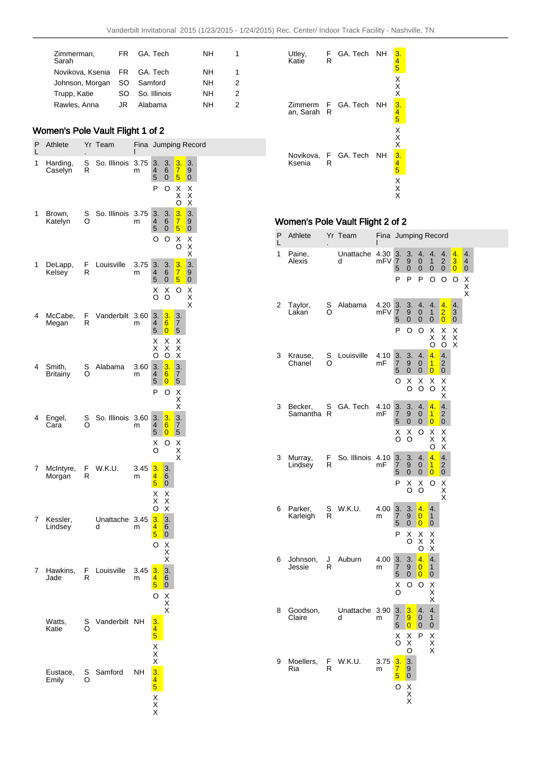| Zimmerman,<br>Sarah          | FR. | GA Tech      | NΗ        | 1 |
|------------------------------|-----|--------------|-----------|---|
| Novikova, Ksenia FR GA. Tech |     |              | NΗ        | 1 |
| Johnson, Morgan SO Samford   |     |              | NΗ        | 2 |
| Trupp, Katie                 | SO. | So. Illinois | <b>NH</b> | 2 |
| Rawles, Anna                 | JR. | Alabama      | NΗ        | 2 |

# Women's Pole Vault Flight 1 of 2

| P<br>L | Athlete                   | Yr     | Team           | Fina<br>ı |                                                         |                                                         |                                                         | Jumping Record     |  |
|--------|---------------------------|--------|----------------|-----------|---------------------------------------------------------|---------------------------------------------------------|---------------------------------------------------------|--------------------|--|
| 1      | Harding,<br>Caselyn       | S<br>R | So. Illinois   | 3.75<br>m | 3.<br>4<br>5                                            | 3.<br>6<br>0                                            | 3.<br>$rac{7}{5}$                                       | 3.<br>9<br>0       |  |
|        |                           |        |                |           | P                                                       | O                                                       | X<br>X<br>ö                                             | Χ<br>X<br>X        |  |
| 1      | Brown,<br>Katelyn         | s<br>O | So. Illinois   | 3.75<br>m | 3.<br>4<br>5                                            | 3.<br>6<br>$\mathbf 0$                                  | $\frac{3}{7}$<br>5                                      | 3.<br>9<br>0       |  |
|        |                           |        |                |           | O                                                       | O                                                       | Χ<br>O                                                  | X<br>X<br>X        |  |
| 1      | DeLapp,<br>Kelsey         | F<br>R | Louisville     | 3.75<br>m | 3.<br>4<br>5                                            | 3.<br>6<br>0                                            | 3.<br>$\overline{7}$<br>5                               | 3.<br>9<br>0       |  |
|        |                           |        |                |           | X<br>O                                                  | Χ<br>O                                                  | O                                                       | $\frac{X}{X}$<br>X |  |
| 4      | McCabe,<br>Megan          | F<br>R | Vanderbilt     | 3.60<br>m | 3.<br>4<br>5                                            | 3.<br>6<br>$\overline{0}$                               | 3.<br>7<br>5                                            |                    |  |
|        |                           |        |                |           | Χ<br>Χ<br>O                                             | Χ<br>Χ<br>O                                             | Χ<br>$\overline{\mathsf{x}}$<br>$\overline{\mathsf{x}}$ |                    |  |
| 4      | Smith,<br><b>Britainy</b> | s<br>O | Alabama        | 3.60<br>m | 3.<br>4<br>5                                            | 3.<br>6<br>$\overline{0}$                               | $\frac{3}{7}$<br>5                                      |                    |  |
|        |                           |        |                |           | P                                                       | O                                                       | X<br>X<br>X                                             |                    |  |
| 4      | Engel,<br>Cara            | s<br>O | So. Illinois   | 3.60<br>m | 3.<br>4<br>5                                            | 3.<br>6<br>0                                            | $\frac{3}{7}$<br>5                                      |                    |  |
|        |                           |        |                |           | X<br>O                                                  | O                                                       | $\frac{x}{x}$                                           |                    |  |
| 7      | McIntyre,<br>Morgan       | F<br>R | W.K.U.         | 3.45<br>m | 3.<br>$\frac{4}{5}$                                     | 3.<br>6<br>0                                            |                                                         |                    |  |
|        |                           |        |                |           | X<br>X<br>O                                             | X<br>$\overline{\mathsf{x}}$<br>$\overline{\mathsf{x}}$ |                                                         |                    |  |
| 7      | Kessler,<br>Lindsey       |        | Unattache<br>d | 3.45<br>m | 3.<br>4<br>5                                            | 3.<br>6<br>$\mathbf 0$                                  |                                                         |                    |  |
|        |                           |        |                |           | O                                                       | Χ<br>X<br>X                                             |                                                         |                    |  |
| 7      | Hawkins,<br>Jade          | F<br>R | Louisville     | 3.45<br>m | 3.<br>4<br>5                                            | 3.<br>6<br>0                                            |                                                         |                    |  |
|        |                           |        |                |           | O                                                       | $\frac{\mathsf{x}}{\mathsf{x}}$                         |                                                         |                    |  |
|        | Watts,<br>Katie           | s<br>O | Vanderbilt     | ΝH        | 3.<br>$\frac{4}{5}$                                     |                                                         |                                                         |                    |  |
|        |                           |        |                |           |                                                         |                                                         |                                                         |                    |  |
|        | Eustace,<br>Emily         | S<br>റ | Samford        | NΗ        | $\frac{X}{X}$ $\frac{3}{4}$ $\frac{4}{5}$ $\frac{X}{X}$ |                                                         |                                                         |                    |  |
|        |                           |        |                |           |                                                         |                                                         |                                                         |                    |  |

| Utley,<br>Katie      | F<br>R | GA. Tech | NΗ | З.<br>$\frac{4}{5}$       |
|----------------------|--------|----------|----|---------------------------|
|                      |        |          |    | X<br>X<br>X               |
| Zimmerm<br>an, Sarah | F<br>R | GA. Tech | NΗ | 3.<br>$\frac{4}{5}$       |
|                      |        |          |    | Χ<br>X<br>X               |
| Novikova,<br>Ksenia  | F<br>R | GA. Tech | NΗ | 3.<br>$\overline{4}$<br>5 |
|                      |        |          |    | X<br>X<br>X               |

# Women's Pole Vault Flight 2 of 2

| P<br>L | Athlete             |                  | Yr Team                       | Fina Jumping Record<br>I |                                        |                                                  |                                        |                                        |                                        |              |             |  |
|--------|---------------------|------------------|-------------------------------|--------------------------|----------------------------------------|--------------------------------------------------|----------------------------------------|----------------------------------------|----------------------------------------|--------------|-------------|--|
| 1      | Paine,<br>Alexis    |                  | 4.30<br>Unattache<br>d<br>mF∨ | 3.<br>7<br>5             | 3.<br>9<br>0                           | 4.<br>0<br>0                                     | 4.<br>$\mathbf{1}$<br>0                | 4.<br>2<br>0                           | 4.<br>3<br>$\overline{0}$              | 4.<br>4<br>0 |             |  |
|        |                     |                  |                               |                          | P                                      | P                                                | P                                      | O                                      | O                                      | O            | X<br>Χ<br>X |  |
| 2      | Taylor,<br>Laƙan    | s<br>O           | Alabama                       | 4.20<br>mFV              | 3.<br>7<br>5                           | 3.<br>9<br>0                                     | 4.<br>0<br>0                           | 4.<br>$\mathbf{1}$<br>0                | 4.<br>$\overline{2}$<br>$\overline{0}$ | 4.<br>3<br>0 |             |  |
|        |                     |                  |                               |                          | P                                      | O                                                | O                                      | Χ<br>Χ<br>O                            | Χ<br>Χ<br>O                            | Χ<br>X<br>X  |             |  |
| 3      | Krause,<br>Chanel   | S<br>O           | Louisville                    | 4.10<br>mF               | 3.<br>7<br>5                           | 3.<br>9<br>0                                     | 4.<br>$\mathbf{0}$<br>$\mathbf{0}$     | $\overline{4}$ .<br>1<br>0             | 4.<br>$\overline{c}$<br>0              |              |             |  |
|        |                     |                  |                               |                          | O                                      | Х<br>O                                           | Χ<br>O                                 | Χ<br>O                                 | Х<br>X<br>X                            |              |             |  |
| 3      | Becker,<br>Samantha | S<br>R           | GA. Tech                      | 4.10<br>mF               | $\frac{3}{7}$<br>5                     | 3.<br>9<br>0                                     | 4.<br>0<br>0                           | 4.<br>$\mathbf{1}$<br>0                | 4.<br>$\overline{2}$<br>$\pmb{0}$      |              |             |  |
|        |                     |                  |                               |                          | Χ<br>O                                 | X<br>O                                           | O                                      | Χ<br>Χ<br>O                            | X<br>X<br>X                            |              |             |  |
| 3      | Murray,<br>Lindsey  | F<br>R           | So. Illinois                  | 4.10<br>mF               | 3.<br>7<br>5                           | 3.<br>9<br>0                                     | 4.<br>$\mathbf{0}$<br>0                | 4.<br>$\overline{1}$<br>$\overline{0}$ | 4.<br>$\overline{2}$<br>0              |              |             |  |
|        |                     |                  |                               |                          | P                                      | X<br>O                                           | х<br>O                                 | O                                      | Χ<br>X<br>X                            |              |             |  |
| 6      | Parker,<br>Karleigh | S<br>W.K.U.<br>R |                               | 4.00<br>m                | 3.<br>7<br>5                           | 3.<br>9<br>0                                     | 4.<br>$\overline{0}$<br>$\overline{0}$ | 4.<br>1<br>0                           |                                        |              |             |  |
|        |                     |                  |                               | P                        | х<br>O                                 | Χ<br>Χ<br>O                                      | х<br>Χ<br>Χ                            |                                        |                                        |              |             |  |
| 6      | Johnson,<br>Jessie  | J<br>R           | Auburn                        | 4.00<br>m                | $\frac{3}{7}$<br>5                     | 3.<br>9<br>0                                     | 4.<br>$\overline{0}$<br>$\overline{0}$ | 4.<br>$\mathbf{1}$<br>0                |                                        |              |             |  |
|        |                     |                  |                               |                          | Χ<br>O                                 | O                                                | O                                      | Χ<br>$_{\rm X}^{\rm X}$                |                                        |              |             |  |
| 8      | Goodson,<br>Claire  |                  | Unattache<br>d                | 3.90<br>m                | 3.<br>7<br>5                           | 3.<br>9<br>0                                     | 4.<br>0<br>0                           | 4.<br>1<br>0                           |                                        |              |             |  |
|        |                     |                  |                               |                          | Χ<br>O                                 | Χ<br>$\frac{X}{O}$                               | P                                      | Χ<br>X<br>X                            |                                        |              |             |  |
| 9      | Moellers,<br>Ria    | F<br>R           | W.K.U.                        | 3.75<br>m                | 3.<br>$\overline{7}$<br>5 <sup>5</sup> | $\overline{3}$ .<br>$\overline{\mathbf{e}}$<br>0 |                                        |                                        |                                        |              |             |  |
|        |                     |                  |                               |                          | O                                      | X<br>X<br>X                                      |                                        |                                        |                                        |              |             |  |
|        |                     |                  |                               |                          |                                        |                                                  |                                        |                                        |                                        |              |             |  |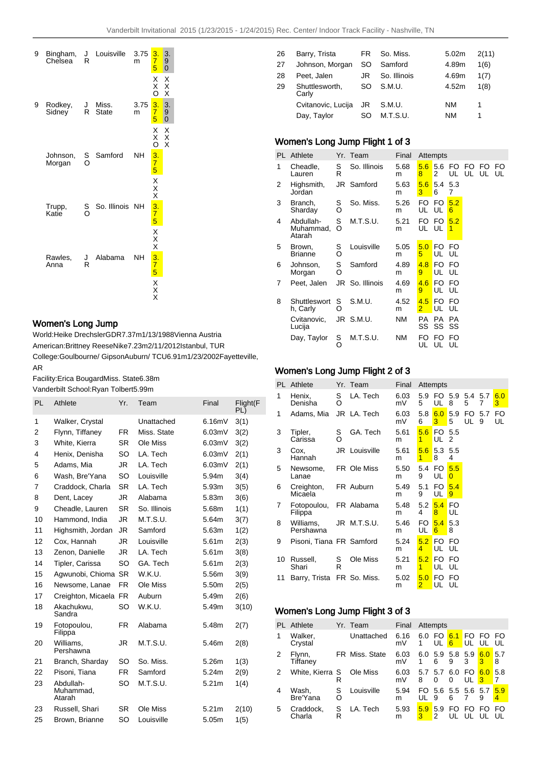

## Women's Long Jump

World: Heike Drechsler GDR 7.37m 1/13/1988 Vienna Austria American: Brittney Reese Nike 7.23m 2/11/2012 Istanbul, TUR College: Goulbourne/ Gipson Auburn/ TCU 6.91m 1/23/2002 Fayetteville, AR

Facility: Erica Bougard Miss. State 6.38m Vanderbilt School: Ryan Tolbert 5.99m

|    | PL | Athlete                          | Yr.       | Team         | Final             | Flight(F<br>PL) |
|----|----|----------------------------------|-----------|--------------|-------------------|-----------------|
| 1  |    | Walker, Crystal                  |           | Unattached   | 6.16mV            | 3(1)            |
| 2  |    | Flynn, Tiffaney                  | FR.       | Miss. State  | 6.03mV            | 3(2)            |
| 3  |    | White, Kierra                    | <b>SR</b> | Ole Miss     | 6.03mV            | 3(2)            |
| 4  |    | Henix, Denisha                   | SO        | LA. Tech     | 6.03mV            | 2(1)            |
| 5  |    | Adams, Mia                       | JR        | LA. Tech     | 6.03mV            | 2(1)            |
| 6  |    | Wash, Bre'Yana                   | SO        | Louisville   | 5.94m             | 3(4)            |
| 7  |    | Craddock, Charla                 | <b>SR</b> | LA. Tech     | 5.93m             | 3(5)            |
| 8  |    | Dent, Lacey                      | JR.       | Alabama      | 5.83m             | 3(6)            |
| 9  |    | Cheadle, Lauren                  | <b>SR</b> | So. Illinois | 5.68m             | 1(1)            |
|    | 10 | Hammond, India                   | JR.       | M.T.S.U.     | 5.64m             | 3(7)            |
|    | 11 | Highsmith, Jordan                | JR        | Samford      | 5.63m             | 1(2)            |
|    | 12 | Cox, Hannah                      | JR.       | Louisville   | 5.61m             | 2(3)            |
|    | 13 | Zenon, Danielle                  | JR.       | LA. Tech     | 5.61m             | 3(8)            |
|    | 14 | Tipler, Carissa                  | SO        | GA. Tech     | 5.61m             | 2(3)            |
|    | 15 | Agwunobi, Chioma                 | <b>SR</b> | W.K.U.       | 5.56m             | 3(9)            |
|    | 16 | Newsome, Lanae                   | <b>FR</b> | Ole Miss     | 5.50m             | 2(5)            |
|    | 17 | Creighton, Micaela               | <b>FR</b> | Auburn       | 5.49m             | 2(6)            |
|    | 18 | Akachukwu,<br>Sandra             | SO        | W.K.U.       | 5.49m             | 3(10)           |
|    | 19 | Fotopoulou,<br>Filippa           | FR.       | Alabama      | 5.48m             | 2(7)            |
|    | 20 | Williams,<br>Pershawna           | JR        | M.T.S.U.     | 5.46m             | 2(8)            |
| 21 |    | Branch, Sharday                  | SO        | So. Miss.    | 5.26m             | 1(3)            |
|    | 22 | Pisoni, Tiana                    | <b>FR</b> | Samford      | 5.24m             | 2(9)            |
|    | 23 | Abdullah-<br>Muhammad.<br>Atarah | SO        | M.T.S.U.     | 5.21 <sub>m</sub> | 1(4)            |
|    | 23 | Russell, Shari                   | SR.       | Ole Miss     | 5.21m             | 2(10)           |
|    | 25 | Brown, Brianne                   | SO        | Louisville   | 5.05m             | 1(5)            |
|    |    |                                  |           |              |                   |                 |

| 26 | Barry, Trista           | FR. | So. Miss.    | 5.02m | 2(11) |
|----|-------------------------|-----|--------------|-------|-------|
| 27 | Johnson, Morgan         | SO  | Samford      | 4.89m | 1(6)  |
| 28 | Peet, Jalen             | JR  | So. Illinois | 4.69m | 1(7)  |
| 29 | Shuttlesworth,<br>Carly | SO  | S.M.U.       | 4.52m | 1(8)  |
|    | Cvitanovic, Lucija      | JR  | S.M.U.       | NM    | 1     |
|    | Day, Taylor             | SO  | M.T.S.U.     | NM    | 1     |

# Women's Long Jump Flight 1 of 3

| PL | Athlete                          |        | Yr. Team     | Final     |                       | Attempts           |            |                |     |          |
|----|----------------------------------|--------|--------------|-----------|-----------------------|--------------------|------------|----------------|-----|----------|
| 1  | Cheadle,<br>Lauren               | S<br>R | So. Illinois | 5.68<br>m | 5.6<br>8              | 5.6<br>2           | FO.        | FO<br>UL UL UL | FO. | FO<br>UL |
| 2  | Highsmith,<br>Jordan             |        | JR Samford   | 5.63<br>m | 5.6<br>3              | 5.4<br>6           | 5.3<br>7   |                |     |          |
| 3  | Branch,<br>Sharday               | S<br>O | So. Miss.    | 5.26<br>m | FO<br>UL              | FO.<br>UL          | 5.2<br>6   |                |     |          |
| 4  | Abdullah-<br>Muhammad,<br>Atarah | S<br>O | M.T.S.U.     | 5.21<br>m | FO<br>UL              | FO.<br>UL          | 5.2<br>1   |                |     |          |
| 5  | Brown,<br><b>Brianne</b>         | S<br>Ó | Louisville   | 5.05<br>m | 5.0<br>5              | <b>FO</b><br>UL UL | FO         |                |     |          |
| 6  | Johnson,<br>Morgan               | S<br>O | Samford      | 4.89<br>m | 4.8<br>9              | FO.<br>UL UL       | - FO       |                |     |          |
| 7  | Peet, Jalen                      | JR     | So. Illinois | 4.69<br>m | 4.6<br>9              | FO.<br>UL          | - FO<br>UL |                |     |          |
| 8  | Shuttleswort<br>h, Carly         | S<br>O | S.M.U.       | 4.52<br>m | 4.5<br>$\overline{2}$ | FO.<br>UL          | FO<br>UL   |                |     |          |
|    | Cvitanovic,<br>Lucija            |        | JR S.M.U.    | <b>NM</b> | PA<br>SS              | PA<br>SS           | PA<br>SS   |                |     |          |
|    | Day, Taylor                      | S<br>O | M.T.S.U.     | NΜ        | FO<br>UL              | FO<br>UL           | FO<br>UL   |                |     |          |

## Women's Long Jump Flight 2 of 3

|    | <b>PL</b> Athlete                 |        | Yr. Team             | Final      |                       | Attempts    |                     |           |          |           |
|----|-----------------------------------|--------|----------------------|------------|-----------------------|-------------|---------------------|-----------|----------|-----------|
| 1  | Henix,<br>Denisha                 | S<br>O | LA. Tech             | 6.03<br>mV | 5.9<br>5              | UL          | FO 5.9 5.4 5.7<br>8 | 5         | 7        | 6.0<br>3  |
| 1  | Adams, Mia                        |        | JR LA. Tech          | 6.03<br>mV | 5.8<br>6              | 6.0<br>3    | 5.9<br>5            | FO.<br>UL | 5.7<br>9 | FO.<br>UL |
| 3  | Tipler,<br>Carissa                | S<br>Ó | GA. Tech             | 5.61<br>m  | 5.6<br>1              | FO.<br>UL   | 5.5<br>2            |           |          |           |
| 3  | Cox,<br>Hannah                    |        | <b>JR</b> Louisville | 5.61<br>m  | 5.6<br>$\overline{1}$ | 5.3<br>8    | 5.5<br>4            |           |          |           |
| 5  | Newsome,<br>Lanae                 |        | FR Ole Miss          | 5.50<br>m  | 5.4<br>9              | FO.<br>UL   | 5.5<br>0            |           |          |           |
| 6  | Creighton,<br>Micaela             |        | FR Auburn            | 5.49<br>m  | 5.1<br>9              | FO.<br>UL   | 5.4<br>9            |           |          |           |
| 7  | Fotopoulou, FR Alabama<br>Filippa |        |                      | 5.48<br>m  | 5.2<br>4              | 5.4<br>8    | <b>FO</b><br>UL     |           |          |           |
| 8  | Williams,<br>Pershawna            |        | JR M.T.S.U.          | 5.46<br>m  | FO.<br>UL             | 5.4<br>6    | 5.3<br>8            |           |          |           |
| 9  | Pisoni, Tiana FR Samford          |        |                      | 5.24<br>m  | 5.2<br>4              | FO.<br>UL   | FO<br>UL            |           |          |           |
| 10 | Russell,<br>Shari                 | S<br>R | Ole Miss             | 5.21<br>m  | 5.2<br>1              | FO FO<br>UL | UL                  |           |          |           |
| 11 | Barry, Trista                     |        | FR So. Miss.         | 5.02<br>m  | 5.0<br>$\overline{2}$ | FO.<br>UL   | FO<br>UL            |           |          |           |

## Women's Long Jump Flight 3 of 3

|   | <b>PL</b> Athlete   |        | Yr. Team       | Final      |              | Attempts             |                      |          |                 |          |
|---|---------------------|--------|----------------|------------|--------------|----------------------|----------------------|----------|-----------------|----------|
| 1 | Walker,<br>Crystal  |        | Unattached     | 6.16<br>mV | 6.0 FO<br>1  | UL                   | 6.1<br>6             | FO<br>UL | FO.<br>UL       | FO       |
| 2 | Flynn,<br>Tiffaney  |        | FR Miss. State | 6.03<br>mV | 6.0          | 5.9<br>6             | 5.8<br>9             | 5.9<br>3 | 6.0<br>3        | 5.7<br>8 |
| 2 | White, Kierra S     | R      | Ole Miss       | 6.03<br>mV | 5.7 5.7<br>8 | 0                    | 6.0<br>0             | FO<br>UL | 6.0<br><u>3</u> | 5.8      |
| 4 | Wash,<br>Bre'Yana   | S<br>O | Louisville     | 5.94<br>m  | FO.<br>UL    | 9                    | 5.6 5.5 5.6 5.7<br>6 |          | 9               | 5.9<br>4 |
| 5 | Craddock,<br>Charla | S<br>R | LA. Tech       | 5.93<br>m  | 5.9<br>з     | 5.9<br>$\mathcal{P}$ | FO                   | FO.      | FO              | FO       |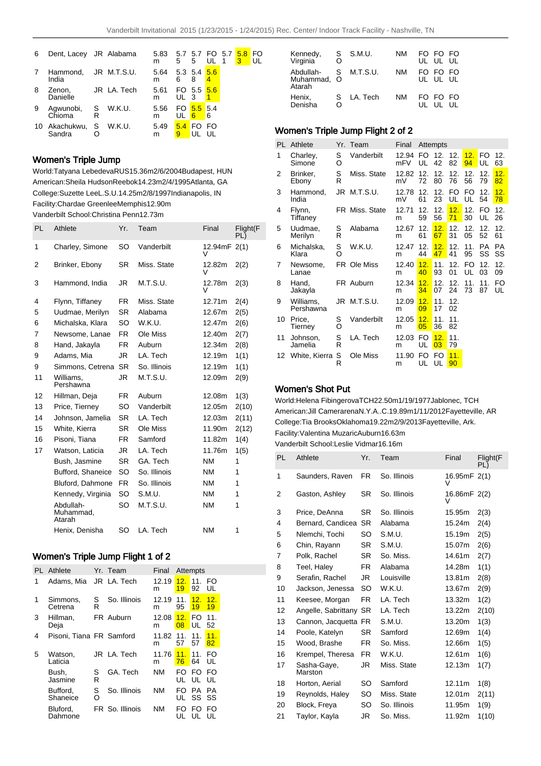FO UL

| 6 | Dent, Lacey JR Alabama  |   |             | 5.83<br>m | 5        | 5.7 5.7 FO 5.7<br>5 | UL | 5.8<br>3 |
|---|-------------------------|---|-------------|-----------|----------|---------------------|----|----------|
|   | Hammond,<br>India       |   | JR M.T.S.U. | 5.64<br>m | 6        | 5.3 5.4 5.6<br>8    | 4  |          |
| 8 | Zenon,<br>Danielle      |   | JR LA. Tech | 5.61<br>m | UL       | FO 5.5 5.6<br>- 3   |    |          |
| 9 | Agwunobi, S<br>Chioma   | R | W.K.U.      | 5.56<br>m | UL       | FO $5.5$ 5.4<br>6   | 6  |          |
|   | 10 Akachukwu,<br>Sandra | S | W.K.U.      | 5.49<br>m | 5.4<br>9 | FO                  | FO |          |

## Women's Triple Jump

World: Tatyana Lebedeva RUS 15.36m 2/6/2004 Budapest, HUN American: Sheila Hudson Reebok 14.23m 2/4/1995 Atlanta, GA College: Suzette Lee L.S.U. 14.25m 2/8/1997 Indianapolis, IN Facility: Chardae Greenlee Memphis 12.90m Vanderbilt School: Christina Penn 12.73m

| PL | Athlete                          | Yr.       | Team         | Final        | Flight(F<br>PL) |
|----|----------------------------------|-----------|--------------|--------------|-----------------|
| 1  | Charley, Simone                  | SO        | Vanderbilt   | 12.94mF<br>V | 2(1)            |
| 2  | Brinker, Ebony                   | SR        | Miss. State  | 12.82m<br>V  | 2(2)            |
| 3  | Hammond, India                   | JR        | M.T.S.U.     | 12.78m<br>V  | 2(3)            |
| 4  | Flynn, Tiffaney                  | FR.       | Miss. State  | 12.71m       | 2(4)            |
| 5  | Uudmae, Merilyn                  | SR.       | Alabama      | 12.67m       | 2(5)            |
| 6  | Michalska, Klara                 | SO        | W.K.U.       | 12.47m       | 2(6)            |
| 7  | Newsome, Lanae                   | FR.       | Ole Miss     | 12.40m       | 2(7)            |
| 8  | Hand, Jakayla                    | FR.       | Auburn       | 12.34m       | 2(8)            |
| 9  | Adams, Mia                       | JR.       | LA. Tech     | 12.19m       | 1(1)            |
| 9  | Simmons, Cetrena                 | <b>SR</b> | So. Illinois | 12.19m       | 1(1)            |
| 11 | Williams.<br>Pershawna           | JR        | M.T.S.U.     | 12.09m       | 2(9)            |
| 12 | Hillman, Deja                    | FR.       | Auburn       | 12.08m       | 1(3)            |
| 13 | Price, Tierney                   | SO.       | Vanderbilt   | 12.05m       | 2(10)           |
| 14 | Johnson, Jamelia                 | SR.       | LA. Tech     | 12.03m       | 2(11)           |
| 15 | White, Kierra                    | SR.       | Ole Miss     | 11.90m       | 2(12)           |
| 16 | Pisoni, Tiana                    | FR.       | Samford      | 11.82m       | 1(4)            |
| 17 | Watson, Laticia                  | JR        | LA. Tech     | 11.76m       | 1(5)            |
|    | Bush, Jasmine                    | <b>SR</b> | GA. Tech     | <b>NM</b>    | 1               |
|    | Bufford, Shaneice                | SO        | So. Illinois | <b>NM</b>    | 1               |
|    | Bluford, Dahmone                 | FR.       | So. Illinois | <b>NM</b>    | 1               |
|    | Kennedy, Virginia                | SO        | S.M.U.       | <b>NM</b>    | 1               |
|    | Abdullah-<br>Muhammad.<br>Atarah | SO        | M.T.S.U.     | <b>NM</b>    | 1               |
|    | Henix, Denisha                   | SO        | LA. Tech     | <b>NM</b>    | 1               |

## Women's Triple Jump Flight 1 of 2

|   | PL Athlete               |        | Yr. Team        | Final      |                        | Attempts  |           |  |
|---|--------------------------|--------|-----------------|------------|------------------------|-----------|-----------|--|
| 1 | Adams, Mia               |        | JR LA. Tech     | 12.19<br>m | 12.<br>19 <sup>°</sup> | 11.<br>92 | FO<br>UL  |  |
| 1 | Simmons,<br>Cetrena      | S<br>R | So. Illinois    | 12.19<br>m | 11.<br>95              | 12.<br>19 | 12.<br>19 |  |
| 3 | Hillman,<br>Deja         |        | FR Auburn       | 12.08<br>m | 12.<br>08              | FO.<br>UL | 11.<br>52 |  |
| 4 | Pisoni, Tiana FR Samford |        |                 | 11.82<br>m | 11.<br>57              | 11.<br>57 | 11.<br>82 |  |
| 5 | Watson,<br>Laticia       |        | JR LA. Tech     | 11.76<br>m | 11.<br>76              | 11.<br>64 | FO<br>UL  |  |
|   | Bush,<br>Jasmine         | S<br>R | GA. Tech        | NΜ         | FO.<br>UL              | FO.<br>UL | FO<br>UL  |  |
|   | Bufford,<br>Shaneice     | S<br>O | So. Illinois    | NΜ         | FO<br>UL               | PA<br>SS  | РA<br>SS  |  |
|   | Bluford,<br>Dahmone      |        | FR So. Illinois | NΜ         | FO<br>UL               | FO<br>UL  | FO<br>UL  |  |

| Kennedy,<br>Virginia               | Ω | S S.M.U.   | ΝM | FO FO FO<br>UL UL UL |  |
|------------------------------------|---|------------|----|----------------------|--|
| Abdullah-<br>Muhammad, O<br>Atarah | S | M.T.S.U.   | ΝM | FO FO FO<br>UL UL UL |  |
| Henix,<br>Denisha                  | Ω | S LA. Tech | ΝM | FO FO FO<br>UL UL UL |  |

### Women's Triple Jump Flight 2 of 2

| PI. | Athlete                |        | Yr. Team       | Final        |           | Attempts  |           |           |                 |                       |
|-----|------------------------|--------|----------------|--------------|-----------|-----------|-----------|-----------|-----------------|-----------------------|
| 1   | Charley,<br>Simone     | S<br>O | Vanderbilt     | 12.94<br>mFV | FO.<br>UL | 12.<br>42 | 12.<br>82 | 12.<br>94 | <b>FO</b><br>UL | 12.<br>63             |
| 2   | Brinker.<br>Ebony      | S<br>R | Miss. State    | 12.82<br>mV  | 12.<br>72 | 12.<br>80 | 12.<br>76 | 12.<br>56 | 12.<br>79       | 12.<br>82             |
| 3   | Hammond,<br>India      |        | JR M.T.S.U.    | 12.78<br>mV  | 12.<br>61 | 12.<br>23 | FO.<br>UL | FO.<br>UL | 12.<br>54       | 12.<br>78             |
| 4   | Flynn,<br>Tiffaney     |        | FR Miss. State | 12.71<br>m   | 12.<br>59 | 12.<br>56 | 12.<br>71 | 12.<br>30 | FO.<br>UL       | 12 <sub>1</sub><br>26 |
| 5   | Uudmae,<br>Merilyn     | S<br>R | Alabama        | 12.67<br>m   | 12.<br>61 | 12.<br>67 | 12.<br>31 | 12.<br>05 | 12.<br>52       | 12.<br>61             |
| 6   | Michalska,<br>Klara    | S<br>Ó | W.K.U.         | 12.47<br>m   | 12.<br>44 | 12.<br>47 | 12.<br>41 | 11.<br>95 | <b>PA</b><br>SS | <b>PA</b><br>SS       |
| 7   | Newsome,<br>Lanae      |        | FR Ole Miss    | 12.40<br>m   | 12.<br>40 | 11.<br>93 | 12.<br>01 | FO.<br>UL | 12.<br>03       | 12.<br>09             |
| 8   | Hand,<br>Jakayla       |        | FR Auburn      | 12.34<br>m   | 12.<br>34 | 12.<br>07 | 12.<br>24 | 11.<br>73 | 11.<br>87       | FO<br>UL              |
| 9   | Williams,<br>Pershawna |        | JR M.T.S.U.    | 12.09<br>m   | 12.<br>09 | 11.<br>17 | 12.<br>02 |           |                 |                       |
| 10  | Price,<br>Tierney      | S<br>O | Vanderbilt     | 12.05<br>m   | 12.<br>05 | 11.<br>36 | 11.<br>82 |           |                 |                       |
| 11  | Johnson,<br>Jamelia    | S<br>R | LA. Tech       | 12.03<br>m   | FO.<br>UL | 12.<br>03 | 11.<br>79 |           |                 |                       |
| 12  | White, Kierra          | S<br>R | Ole Miss       | 11.90<br>m   | FO<br>UL  | FO<br>UL  | 11.<br>90 |           |                 |                       |

### Women's Shot Put

World: Helena Fibingerova TCH 22.50m 1/19/1977 Jablonec, TCH American: Jill Camerarena N.Y.A..C. 19.89m 1/11/2012 Fayetteville, AR College: Tia Brooks Oklahoma 19.22m 2/9/2013 Fayetteville, Ark. Facility: Valentina Muzaric Auburn 16.63m

Vanderbilt School: Leslie Vidmar 16.16m

| PL | Athlete                | Yr.       | Team         | Final             | Flight(F<br>PL) |
|----|------------------------|-----------|--------------|-------------------|-----------------|
| 1  | Saunders, Raven        | FR.       | So. Illinois | 16.95mF 2(1)<br>V |                 |
| 2  | Gaston, Ashley         | SR        | So. Illinois | 16.86mF 2(2)<br>V |                 |
| 3  | Price, DeAnna          | SR        | So. Illinois | 15.95m            | 2(3)            |
| 4  | Bernard, Candicea      | <b>SR</b> | Alabama      | 15.24m            | 2(4)            |
| 5  | Nlemchi, Tochi         | SO        | S.M.U.       | 15.19m            | 2(5)            |
| 6  | Chin, Rayann           | SR        | S.M.U.       | 15.07m            | 2(6)            |
| 7  | Polk, Rachel           | SR        | So. Miss.    | 14.61m            | 2(7)            |
| 8  | Teel, Haley            | FR.       | Alabama      | 14.28m            | 1(1)            |
| 9  | Serafin, Rachel        | JR.       | Louisville   | 13.81m            | 2(8)            |
| 10 | Jackson, Jenessa       | <b>SO</b> | W.K.U.       | 13.67m            | 2(9)            |
| 11 | Keesee, Morgan         | <b>FR</b> | LA. Tech     | 13.32m            | 1(2)            |
| 12 | Angelle, Sabrittany SR |           | LA. Tech     | 13.22m            | 2(10)           |
| 13 | Cannon, Jacquetta FR   |           | S.M.U.       | 13.20m            | 1(3)            |
| 14 | Poole, Katelyn         | <b>SR</b> | Samford      | 12.69m            | 1(4)            |
| 15 | Wood, Brashe           | FR.       | So. Miss.    | 12.66m            | 1(5)            |
| 16 | Krempel, Theresa       | FR.       | W.K.U.       | 12.61m            | 1(6)            |
| 17 | Sasha-Gaye,<br>Marston | JR        | Miss. State  | 12.13m            | 1(7)            |
| 18 | Horton, Aerial         | SO        | Samford      | 12.11m            | 1(8)            |
| 19 | Reynolds, Haley        | SO        | Miss. State  | 12.01m            | 2(11)           |
| 20 | Block, Freya           | SO        | So. Illinois | 11.95m            | 1(9)            |
| 21 | Taylor, Kayla          | JR        | So. Miss.    | 11.92m            | 1(10)           |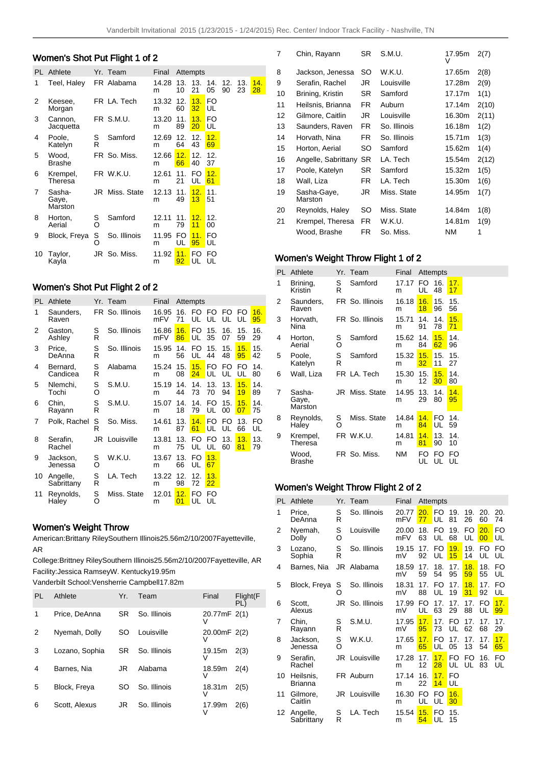# Women's Shot Put Flight 1 of 2

| PL. | Athlete                    |        | Yr. Team     | Final      |           | Attempts  |                       |           |           |           |
|-----|----------------------------|--------|--------------|------------|-----------|-----------|-----------------------|-----------|-----------|-----------|
| 1   | Teel, Haley                |        | FR Alabama   | 14.28<br>m | 13.<br>10 | 13.<br>21 | 14.<br>05             | 12.<br>90 | 13.<br>23 | 14.<br>28 |
| 2   | Keesee,<br>Morgan          |        | FR LA. Tech  | 13.32<br>m | 12.<br>60 | 13.<br>32 | FO<br>UL              |           |           |           |
| 3   | Cannon,<br>Jacquetta       |        | FR S.M.U.    | 13.20<br>m | 11.<br>89 | 13.<br>20 | FO<br>UL              |           |           |           |
| 4   | Poole,<br>Katelyn          | S<br>R | Samford      | 12.69<br>m | 12.<br>64 | 12.<br>43 | 12.<br>69             |           |           |           |
| 5   | Wood.<br><b>Brashe</b>     |        | FR So. Miss. | 12.66<br>m | 12.<br>66 | 12.<br>40 | 12 <sub>1</sub><br>37 |           |           |           |
| 6   | Krempel,<br>Theresa        |        | FR W.K.U.    | 12.61<br>m | 11.<br>21 | FO<br>UL  | 12.<br>61             |           |           |           |
| 7   | Sasha-<br>Gaye,<br>Marston | JR     | Miss. State  | 12.13<br>m | 11.<br>49 | 12.<br>13 | 11.<br>51             |           |           |           |
| 8   | Horton,<br>Aerial          | S<br>Ó | Samford      | 12.11<br>m | 11.<br>79 | 12.<br>11 | 12.<br>00             |           |           |           |
| 9   | Block, Freya               | S<br>O | So. Illinois | 11.95<br>m | FO.<br>UL | 11.<br>95 | FO<br>UL              |           |           |           |
| 10  | Taylor,<br>Kayla           |        | JR So. Miss. | 11.92<br>m | 11.<br>92 | FO.<br>UL | FO<br>UL              |           |           |           |

## Women's Shot Put Flight 2 of 2

| PL. | Athlete                |        | Yr. Team        | Final        |           | Attempts  |           |           |           |           |
|-----|------------------------|--------|-----------------|--------------|-----------|-----------|-----------|-----------|-----------|-----------|
| 1   | Saunders,<br>Raven     |        | FR So. Illinois | 16.95<br>mFV | 16.<br>71 | FO.<br>UL | FO.<br>UL | FO.<br>UL | FO.<br>UL | 16.<br>95 |
| 2   | Gaston,<br>Ashley      | S<br>R | So. Illinois    | 16.86<br>mFV | 16.<br>86 | FO.<br>UL | 15.<br>35 | 16.<br>07 | 15.<br>59 | 16.<br>29 |
| 3   | Price,<br>DeAnna       | S<br>R | So. Illinois    | 15.95<br>m   | 14.<br>56 | FO<br>UL  | 15.<br>44 | 15.<br>48 | 15.<br>95 | 15.<br>42 |
| 4   | Bernard,<br>Candicea   | S<br>R | Alabama         | 15.24<br>m   | 15.<br>08 | 15.<br>24 | FO<br>UL  | FO.<br>UL | FO.<br>UL | 14.<br>80 |
| 5   | Nlemchi,<br>Tochi      | S<br>O | S.M.U.          | 15.19<br>m   | 14.<br>44 | 14.<br>73 | 13.<br>70 | 13.<br>94 | 15.<br>19 | 14.<br>89 |
| 6   | Chin,<br>Rayann        | S<br>R | S.M.U.          | 15.07<br>m   | 14.<br>18 | 14.<br>79 | FO.<br>UL | 15.<br>00 | 15.<br>07 | 14.<br>75 |
| 7   | Polk, Rachel           | S<br>R | So. Miss.       | 14.61<br>m   | 13.<br>87 | 14.<br>61 | FO<br>UL  | FO<br>UL  | 13.<br>66 | FO<br>UL  |
| 8   | Serafin,<br>Rachel     |        | JR Louisville   | 13.81<br>m   | 13.<br>75 | FO.<br>UL | FO.<br>UL | 13.<br>60 | 13.<br>81 | 13.<br>79 |
| 9   | Jackson,<br>Jenessa    | S<br>O | W.K.U.          | 13.67<br>m   | 13.<br>66 | FO<br>UL  | 13.<br>67 |           |           |           |
| 10  | Angelle,<br>Sabrittany | S<br>R | LA. Tech        | 13.22<br>m   | 12.<br>98 | 12.<br>72 | 13.<br>22 |           |           |           |
| 11  | Reynolds,<br>Haley     | S<br>O | Miss. State     | 12.01<br>m   | 12.<br>01 | FO<br>UL  | FO<br>UL  |           |           |           |

## Women's Weight Throw

American: Brittany Riley Southern Illinois 25.56m 2/10/2007 Fayetteville, AR

College: Brittney Riley Southern Illinois 25.56m 2/10/2007 Fayetteville, AR Facility: Jessica Ramsey W. Kentucky 19.95m

Vanderbilt School: Vensherrie Campbell 17.82m

| PL. | Athlete        | Yr. | Team         | Final        | $F$ light( $F$<br>PL) |
|-----|----------------|-----|--------------|--------------|-----------------------|
| 1   | Price, DeAnna  | SR. | So. Illinois | 20.77mF 2(1) |                       |
| 2   | Nyemah, Dolly  | SO  | Louisville   | 20.00mF 2(2) |                       |
| 3   | Lozano, Sophia | SR. | So. Illinois | 19.15m<br>V  | 2(3)                  |
| 4   | Barnes, Nia    | JR  | Alabama      | 18.59m<br>ν  | 2(4)                  |
| 5   | Block, Freya   | SO  | So. Illinois | 18.31m<br>V  | 2(5)                  |
| 6   | Scott, Alexus  | JR  | So. Illinois | 17.99m<br>V  | 2(6)                  |

| 7  | Chin, Rayann           | SR  | S.M.U.       | 17.95m<br>v | 2(7)  |
|----|------------------------|-----|--------------|-------------|-------|
| 8  | Jackson, Jenessa       | SO  | W.K.U.       | 17.65m      | 2(8)  |
| 9  | Serafin, Rachel        | JR  | Louisville   | 17.28m      | 2(9)  |
| 10 | Brining, Kristin       | SR  | Samford      | 17.17m      | 1(1)  |
| 11 | Heilsnis, Brianna      | FR. | Auburn       | 17.14m      | 2(10) |
| 12 | Gilmore, Caitlin       | JR  | Louisville   | 16.30m      | 2(11) |
| 13 | Saunders, Raven        | FR. | So. Illinois | 16.18m      | 1(2)  |
| 14 | Horvath, Nina          | FR. | So. Illinois | 15.71m      | 1(3)  |
| 15 | Horton, Aerial         | SO  | Samford      | 15.62m      | 1(4)  |
| 16 | Angelle, Sabrittany    | SR  | LA. Tech     | 15.54m      | 2(12) |
| 17 | Poole, Katelyn         | SR  | Samford      | 15.32m      | 1(5)  |
| 18 | Wall, Liza             | FR  | LA. Tech     | 15.30m      | 1(6)  |
| 19 | Sasha-Gaye,<br>Marston | JR  | Miss. State  | 14.95m      | 1(7)  |
| 20 | Reynolds, Haley        | SO  | Miss. State  | 14.84m      | 1(8)  |
| 21 | Krempel, Theresa       | FR  | W.K.U.       | 14.81m      | 1(9)  |
|    | Wood, Brashe           | FR  | So. Miss.    | <b>NM</b>   | 1     |

## Women's Weight Throw Flight 1 of 2

| PL | Athlete                    |        | Yr. Team        | Final      |           | Attempts  |           |
|----|----------------------------|--------|-----------------|------------|-----------|-----------|-----------|
| 1  | Brining,<br>Kristin        | S<br>R | Samford         | 17.17<br>m | FO.<br>UL | 16.<br>48 | 17.<br>17 |
| 2  | Saunders,<br>Raven         |        | FR So. Illinois | 16.18<br>m | 16.<br>18 | 15.<br>96 | 15.<br>56 |
| 3  | Horvath,<br>Nina           |        | FR So. Illinois | 15.71<br>m | 14.<br>91 | 14.<br>78 | 15.<br>71 |
| 4  | Horton,<br>Aerial          | S<br>Ó | Samford         | 15.62<br>m | 14.<br>84 | 15.<br>62 | 14.<br>96 |
| 5  | Poole,<br>Katelyn          | S<br>R | Samford         | 15.32<br>m | 15.<br>32 | 15.<br>11 | 15.<br>27 |
| 6  | Wall, Liza                 |        | FR LA. Tech     | 15.30<br>m | 15.<br>12 | 15.<br>30 | 14.<br>80 |
| 7  | Sasha-<br>Gaye,<br>Marston | JR     | Miss. State     | 14.95<br>m | 13.<br>29 | 14.<br>80 | 14.<br>95 |
| 8  | Reynolds,<br>Haley         | S<br>O | Miss. State     | 14.84<br>m | 14.<br>84 | FO<br>UL  | 14.<br>59 |
| 9  | Krempel,<br>Theresa        |        | FR W.K.U.       | 14.81<br>m | 14.<br>81 | 13.<br>90 | 14.<br>10 |
|    | Wood,<br>Brashe            |        | FR So. Miss.    | ΝM         | FO<br>UL  | FO<br>UL  | FO<br>UL  |

# Women's Weight Throw Flight 2 of 2

| PL | Athlete                |        | Yr. Team      | Final        |            | Attempts              |                       |                       |           |                 |
|----|------------------------|--------|---------------|--------------|------------|-----------------------|-----------------------|-----------------------|-----------|-----------------|
| 1  | Price.<br>DeAnna       | S<br>R | So. Illinois  | 20.77<br>mFV | 20.1<br>77 | FO.<br>UL             | 19.<br>81             | 19.<br>26             | 20.<br>60 | 20.<br>74       |
| 2  | Nyemah,<br>Dolly       | S<br>O | Louisville    | 20.00<br>mFV | 18.<br>63  | FO.<br>UL             | 19.<br>68             | FO<br>UL              | 20.<br>00 | <b>FO</b><br>UL |
| 3  | Lozano.<br>Sophia      | S<br>R | So. Illinois  | 19.15<br>mV  | 17.<br>92  | FO.<br>UL             | 19.<br>15             | 19.<br>14             | FO.<br>UL | <b>FO</b><br>UL |
| 4  | Barnes, Nia            | JR.    | Alabama       | 18.59<br>mV  | 17.<br>59  | 18.<br>54             | 17.<br>95             | 18.<br>59             | 18.<br>55 | FO<br>UL        |
| 5  | Block, Freya           | S<br>O | So. Illinois  | 18.31<br>mV  | 17.<br>88  | FO.<br>UL             | 17.<br>19             | 18.<br>31             | 17.<br>92 | FO<br>UL        |
| 6  | Scott.<br>Alexus       | JR     | So. Illinois  | 17.99<br>mV  | FO.<br>UL  | 17.<br>63             | 17.<br>29             | 17.<br>88             | FO.<br>UL | 17.<br>99       |
| 7  | Chin,<br>Rayann        | S<br>R | S.M.U.        | 17.95<br>mV  | 17.<br>95  | 17.<br>73             | FO<br>UL              | 17.<br>62             | 17.<br>68 | 17.<br>29       |
| 8  | Jackson,<br>Jenessa    | S<br>O | W.K.U.        | 17.65<br>m   | 17.<br>65  | FO.<br>UL             | 17 <sub>1</sub><br>05 | 17 <sub>1</sub><br>13 | 17.<br>54 | 17.<br>65       |
| 9  | Serafin,<br>Rachel     | JR.    | Louisville    | 17.28<br>m   | 17.<br>12  | 17.<br>28             | FO<br>UL              | FO.<br>UL             | 16.<br>83 | FO<br>UL        |
| 10 | Heilsnis.<br>Brianna   |        | FR Auburn     | 17.14<br>m   | 16.<br>22  | 17 <sub>1</sub><br>14 | FΟ<br>UL              |                       |           |                 |
| 11 | Gilmore,<br>Caitlin    |        | JR Louisville | 16.30<br>m   | FO<br>UL   | FO.<br>UL             | 16.<br>30             |                       |           |                 |
| 12 | Angelle,<br>Sabrittany | S<br>R | LA. Tech      | 15.54<br>m   | 15.<br>54  | FO<br>UL              | 15.<br>15             |                       |           |                 |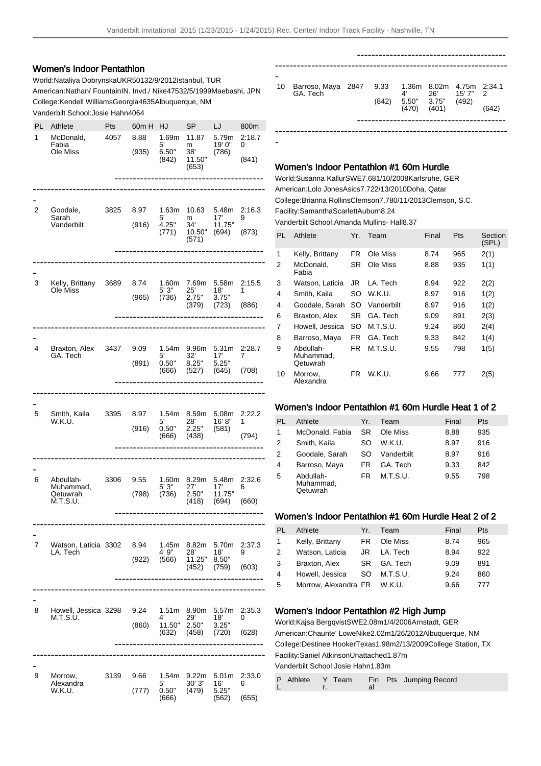-

## Women's Indoor Pentathlon

World: Nataliya Dobrynska UKR 5013 2/9/2012 Istanbul, TUR American: Nathan/ Fountain IN. Invd./ Nike 4753 2/5/1999 Maebashi, JPN College: Kendell Williams Georgia 4635 Albuquerque, NM Vanderbilt School: Josie Hahn 4064

| PL<br>1 | Athlete<br>McDonald,<br>Fabia<br>Ole Miss      | Pts<br>4057 | 60m H<br>8.88<br>(935) | HJ<br>1.69m<br>5'<br>6.50"<br>(842) | SP<br>11.87<br>m<br>38'<br>11.50"<br>(653) | LJ<br>5.79m<br>19' 0"<br>(786)             | 800m<br>2:18.7<br>0<br>(841) |
|---------|------------------------------------------------|-------------|------------------------|-------------------------------------|--------------------------------------------|--------------------------------------------|------------------------------|
| 2       | Goodale,<br>Sarah<br>Vanderbilt                | 3825        | 8.97<br>(916)          | 1.63m<br>5'<br>4.25"<br>(771)       | 10.63<br>m<br>34'<br>10.50"<br>(571)       | 5.48m<br>17'<br>11.75"<br>(694)            | 2:16.3<br>9<br>(873)         |
| 3       | Kelly, Brittany<br>Ole Miss                    | 3689        | 8.74<br>(965)          | 1.60m<br>5' 3"<br>(736)             | 7.69m<br>25'<br>2.75"<br>(379)             | 5.58m<br>18'<br>3.75"<br>(723)             | 2:15.5<br>1<br>(886)         |
| 4       | Braxton, Alex<br>GA. Tech                      | 3437        | 9.09<br>(891)          | 1.54m<br>5'<br>0.50"<br>(666)       | 9.96m<br>32'<br>8.25"<br>(527)             | 5.31 <sub>m</sub><br>17'<br>5.25"<br>(645) | 2:28.7<br>7<br>(708)         |
| 5       | Smith, Kaila<br>W.K.U.                         | 3395        | 8.97<br>(916)          | 1.54m<br>5'<br>0.50"<br>(666)       | 8.59m<br>28'<br>2.25"<br>(438)             | 5.08m<br>16'8"<br>(581)                    | 2:22.2<br>1<br>(794)         |
| 6       | Abdullah-<br>Muhammad.<br>Qetuwrah<br>M.T.S.U. | 3306        | 9.55<br>(798)          | 1.60m<br>5' 3"<br>(736)             | 8.29m<br>27'<br>2.50"<br>(418)             | 5.48m<br>17'<br>11.75"<br>(694)            | 2:32.6<br>6<br>(660)         |
| 7       | Watson, Laticia 3302<br>LA. Tech               |             | 8.94<br>(922)          | 1.45m<br>4' 9"<br>(566)             | 8.82m<br>28'<br>11.25"<br>(452)            | 5.70m<br>18'<br>8.50"<br>(759)             | 2:37.3<br>9<br>(603)         |
| 8       | Howell, Jessica 3298<br>M.T.S.U.               |             | 9.24<br>(860)          | 1.51m<br>4'<br>11.50"<br>(632)      | 8.90m<br>29'<br>2.50"<br>(458)             | 5.57m<br>18'<br>3.25"<br>(720)             | 2:35.3<br>0<br>(628)         |
| 9       | Morrow,<br>Alexandra<br>W.K.U.                 | 3139        | 9.66<br>(777)          | 1.54m<br>5'<br>0.50"<br>(666)       | 9.22m<br>30'3''<br>(479)                   | 5.01m<br>16'<br>5.25"<br>(562)             | 2:33.0<br>6<br>(655)         |

| -  |                                |      |                                          |             |       |       |
|----|--------------------------------|------|------------------------------------------|-------------|-------|-------|
| 10 | Barroso, Maya 2847<br>GA. Tech | 9.33 | 1.36m 8.02m 4.75m 2:34.1<br>$4^{\prime}$ | 26' 15'7" 2 |       |       |
|    |                                |      | $(842)$ 5.50" 3.75"<br>$(470)$ $(401)$   |             | (492) |       |
|    |                                |      |                                          |             |       | (642) |
|    |                                |      |                                          |             |       |       |
|    |                                |      |                                          |             |       |       |

## Women's Indoor Pentathlon #1 60m Hurdle

World: Susanna Kallur SWE 7.68 1/10/2008 Karlsruhe, GER American: Lolo Jones Asics 7.72 2/13/2010 Doha, Qatar College: Brianna Rollins Clemson 7.78 0/11/2013 Clemson, S.C. Facility: SamanthaScarlett Auburn 8.24

Vanderbilt School: Amanda Mullins- Hall 8.37

| PL | Athlete                            | Yr. | Team       | Final | Pts | Section<br>(SPL) |
|----|------------------------------------|-----|------------|-------|-----|------------------|
| 1  | Kelly, Brittany                    | FR. | Ole Miss   | 8.74  | 965 | 2(1)             |
| 2  | McDonald.<br>Fabia                 | SR  | Ole Miss   | 8.88  | 935 | 1(1)             |
| 3  | Watson, Laticia                    | JR  | LA. Tech   | 8.94  | 922 | 2(2)             |
| 4  | Smith, Kaila                       | SO. | W.K.U.     | 8.97  | 916 | 1(2)             |
| 4  | Goodale, Sarah                     | SO. | Vanderbilt | 8.97  | 916 | 1(2)             |
| 6  | Braxton, Alex                      | SR. | GA. Tech   | 9.09  | 891 | 2(3)             |
| 7  | Howell, Jessica                    | SO. | M.T.S.U.   | 9.24  | 860 | 2(4)             |
| 8  | Barroso, Maya                      | FR. | GA. Tech   | 9.33  | 842 | 1(4)             |
| 9  | Abdullah-<br>Muhammad.<br>Qetuwrah | FR. | M.T.S.U.   | 9.55  | 798 | 1(5)             |
| 10 | Morrow,<br>Alexandra               | FR  | W.K.U.     | 9.66  | 777 | 2(5)             |

#### Women's Indoor Pentathlon #1 60m Hurdle Heat 1 of 2

| PI | Athlete                            | Yr.       | Team       | Final | Pts |
|----|------------------------------------|-----------|------------|-------|-----|
| 1  | McDonald, Fabia                    | <b>SR</b> | Ole Miss   | 8.88  | 935 |
| 2  | Smith, Kaila                       | SO        | W.K.U.     | 8.97  | 916 |
| 2  | Goodale, Sarah                     | SO        | Vanderbilt | 8.97  | 916 |
| 4  | Barroso, Maya                      | FR        | GA. Tech   | 9.33  | 842 |
| 5  | Abdullah-<br>Muhammad,<br>Qetuwrah | FR        | M.T.S.U.   | 9.55  | 798 |

#### Women's Indoor Pentathlon #1 60m Hurdle Heat 2 of 2

| <b>PL</b>    | Athlete                     | Yr. | Team     | Final | <b>Pts</b> |
|--------------|-----------------------------|-----|----------|-------|------------|
| $\mathbf{1}$ | Kelly, Brittany             | FR  | Ole Miss | 8.74  | 965        |
| 2            | Watson, Laticia             | JR. | LA. Tech | 8.94  | 922        |
| 3            | Braxton, Alex               | SR. | GA. Tech | 9.09  | 891        |
| 4            | Howell, Jessica             | SO. | M.T.S.U. | 9.24  | 860        |
| 5            | Morrow, Alexandra FR W.K.U. |     |          | 9.66  | 777        |
|              |                             |     |          |       |            |

### Women's Indoor Pentathlon #2 High Jump

World: Kajsa Bergqvist SWE 2.08m 1/4/2006 Arnstadt, GER American: Chaunte' Lowe Nike 2.02m 1/26/2012 Albuquerque, NM College: Destinee Hooker Texas 1.98m 2/13/2009 College Station, TX Facility: Saniel Atkinson Unattached 1.87m Vanderbilt School: Josie Hahn 1.83m

|  |  |  | P Athlete Y Team Fin Pts Jumping Record |  |
|--|--|--|-----------------------------------------|--|
|--|--|--|-----------------------------------------|--|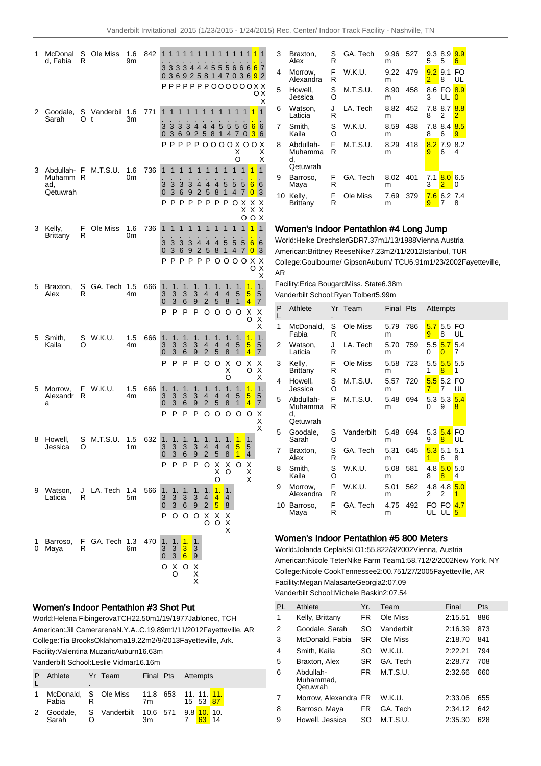| 1      | McDonal<br>d, Fabia                      | S<br>R  | Ole Miss       | 1.6<br>9m | 842 | 1<br>3                         | 1                                |                                                      |                  |                               | 1                                   | 1<br>1<br>3 3 3 4 4 4 5 5 5 6 6 6 6 7<br>0 3 6 9 2 5 8 1 4 7 0 3 6 <mark>9</mark> 2<br>$PPPPPPPPOOOOOOXX$ | 1                                   | 1                            |                       |                                                               | ОΧ<br>Χ                                                    |
|--------|------------------------------------------|---------|----------------|-----------|-----|--------------------------------|----------------------------------|------------------------------------------------------|------------------|-------------------------------|-------------------------------------|-----------------------------------------------------------------------------------------------------------|-------------------------------------|------------------------------|-----------------------|---------------------------------------------------------------|------------------------------------------------------------|
| 2      | Goodale,<br>Sarah                        | S<br>Ω  | Vanderbil<br>t | 1.6<br>Зm | 771 | 1<br>3<br>0                    | 1<br>3<br>3                      | 1<br>3<br>6                                          | 1<br>3<br>9      | 1<br>44                       | 1                                   | 1<br>1<br>4 5<br>2 5 8 1<br>Р Р Р Р Р О О О О Х О О                                                       | 1<br>5<br>$\overline{4}$            | 1<br>5<br>7<br>X<br>O        | 1<br>6<br>0           | 1<br>6<br>3                                                   | 1<br>6<br>6<br>Χ<br>Χ<br>X                                 |
| 3      | Abdullah- F<br>Muhamm<br>ad,<br>Qetuwrah | R       | M.T.S.U.       | 1.6<br>0m | 736 | 1<br>3<br>0<br>P               | 1<br>3<br>3<br>Ρ                 | 1<br>3<br>6<br>P                                     | 1<br>3<br>9<br>P | 1<br>4<br>$\overline{2}$<br>P | 1<br>4<br>$5^{\circ}$<br>P          | 1<br>4<br>8<br>P                                                                                          | 1<br>5<br>1<br>P                    | 1<br>5<br>4<br>O             | 1<br>5<br>7<br>Х<br>X | 1<br>6<br>$\overline{0}$<br>Χ<br>Χ                            | $\overline{1}$<br>6<br>3<br>Χ<br>Χ                         |
| 3      | Kelly,<br>Brittany                       | F<br>R  | Ole Miss       | 1.6<br>0m | 736 | 1<br>3<br>$\Omega$<br>P        | 1<br>3<br>3<br>P                 | 1<br>3<br>6                                          | 1<br>3<br>9      | 1<br>4<br>2                   | 1<br>4<br>5<br>PPPP                 | 1<br>4<br>8                                                                                               | 1<br>5<br>1<br>$0000$               | 1<br>5<br>4                  | O<br>1<br>5<br>7      | $\circ$<br>1<br>6<br>$\overline{0}$<br>X<br>O                 | Х<br>1<br>6<br>3<br>Х<br>Χ                                 |
| 5      | Braxton,<br>Alex                         | S<br>R  | GA. Tech 1.5   | 4m        | 666 | 1.<br>3<br>$\overline{0}$<br>P | 1.<br>3<br>3<br>P                | 1.<br>3<br>6<br>P                                    |                  | 1.<br>3<br>9<br>P             | 1.<br>4<br>2<br>O                   | 1.<br>4<br>5<br>O                                                                                         | 1.<br>4<br>8<br>O                   | 1.<br>5<br>1<br>O            |                       | 1.<br>5<br>4<br>х<br>O                                        | Χ<br>1.<br>5<br>7<br>X<br>Χ<br>X                           |
| 5      | Smith,<br>Kaila                          | S<br>O  | W.K.U.         | 1.5<br>4m | 666 | 1.<br>3<br>0<br>P              | 1.<br>3<br>3<br>P                | 1.<br>3<br>6<br>P                                    |                  | 1.<br>3<br>9<br>P             | 1.<br>4<br>2<br>O                   | 1.<br>4<br>5<br>O                                                                                         | 1.<br>4<br>8<br>Χ<br>Χ              | 1.<br>5<br>1<br>O            |                       | 1.<br>5<br>4<br>Χ<br>O                                        | 1.<br>5<br>7<br>Х<br>Х                                     |
| 5      | Morrow,<br>Alexandr<br>a                 | F.<br>R | W.K.U.         | 1.5<br>4m | 666 | 1.<br>3<br>0<br>P              | 1.<br>3<br>3<br>P                | 1.<br>3<br>6<br>P                                    |                  | 1.<br>3<br>9<br>P             | 1.<br>4<br>2<br>O                   | 1.<br>4<br>5<br>O                                                                                         | O<br>1.<br>4<br>8<br>O              | 1.<br>5<br>1<br>O            |                       | 1.<br>$\overline{\mathbf{5}}$<br>4<br>O                       | $\bar{\mathsf{x}}$<br>$\mathbf 1$<br>5<br>7<br>X<br>X<br>X |
| 8      | Howell,<br>Jessica                       | S<br>O  | M.T.S.U.       | 1.5<br>1m | 632 | 1.<br>3<br>0<br>P              | 1.<br>3<br>$\mathcal{L}$<br>P    | 1.<br>3<br>$\kappa$<br>P                             |                  | 1.<br>3<br>$\mathbf{Q}$<br>P  | 1.<br>4<br>$\mathcal{P}$<br>O       | 1.<br>4<br>5 <sup>5</sup><br>X<br>X                                                                       | 1.<br>$\overline{4}$<br>8<br>X<br>O | 1.<br>5<br>$\mathbf{1}$<br>O |                       | 1.<br>5<br>$4\overline{ }$<br>$\frac{\mathsf{X}}{\mathsf{X}}$ |                                                            |
| 9      | Watson,<br>Laticia                       | R       | J LA. Tech     | 1.4<br>5m | 566 | 1.<br>3<br>0<br>P              | 1.<br>3<br>3<br>O                | 1.<br>3<br>6<br>O                                    |                  | 1.<br>3<br>9<br>O             | 1.<br>4<br>$\overline{2}$<br>X<br>O | O<br>$\overline{1}$ .<br>4<br>5<br>X<br>O                                                                 | 1.<br>4<br>8<br>Χ<br>X<br>X         |                              |                       | X                                                             |                                                            |
| 1<br>0 | Barroso,<br>Maya                         | R       | F GA. Tech     | 1.3<br>6m | 470 | 1.<br>$\frac{3}{0}$<br>O       | 1.<br>3<br>3<br>$\delta_{\rm O}$ | 1.<br>$\overline{\mathbf{3}}$<br>$6\phantom{1}$<br>O |                  | 1.<br>3<br>9<br>X<br>X<br>X   |                                     |                                                                                                           |                                     |                              |                       |                                                               |                                                            |

### Women's Indoor Pentathlon #3 Shot Put

World: Helena Fibingerova TCH 22.50m 1/19/1977 Jablonec, TCH American: Jill Camerarena N.Y.A..C. 19.89m 1/11/2012 Fayetteville, AR College: Tia Brooks Oklahoma 19.22m 2/9/2013 Fayetteville, Ark. Facility: Valentina Muzaric Auburn 16.63m

| Vanderbilt School: Leslie Vidmar 16.16m |
|-----------------------------------------|
|-----------------------------------------|

| P | Athlete                                               | $\blacksquare$ | Yr Team |    | Final Pts Attempts |          |
|---|-------------------------------------------------------|----------------|---------|----|--------------------|----------|
|   | Fabia                                                 |                |         | 7m |                    | 15 53 87 |
|   | 2 Goodale, S Vanderbilt 10.6 571 9.8 10. 10.<br>Sarah |                |         | 3m |                    | -14      |

| 3  | Braxton,<br>Alex                       | S<br>R | GA. Tech | 9.96<br>m | 527 | 5        | 9.3 8.9<br>5 | 9.9<br>6              |
|----|----------------------------------------|--------|----------|-----------|-----|----------|--------------|-----------------------|
| 4  | Morrow,<br>Alexandra                   | F<br>R | W.K.U.   | 9.22<br>m | 479 | 9.2<br>2 | 9.1<br>8     | FO<br>UL              |
| 5  | Howell.<br>Jessica                     | S<br>O | M.T.S.U. | 8.90<br>m | 458 | 8.6<br>3 | FO.<br>UL    | 8.9<br>$\Omega$       |
| 6  | Watson,<br>Laticia                     | J<br>R | LA. Tech | 8.82<br>m | 452 | 7.8<br>8 | 8.7<br>2     | 8.8<br>$\overline{2}$ |
| 7  | Smith.<br>Kaila                        | S<br>O | W.K.U.   | 8.59<br>m | 438 | 7.8<br>8 | 8.4<br>6     | 8.5<br>9              |
| 8  | Abdullah-<br>Muhamma<br>d.<br>Qetuwrah | F<br>R | M.T.S.U. | 8.29<br>m | 418 | 8.2<br>9 | 7.9<br>6     | 8.2<br>4              |
| 9  | Barroso,<br>Maya                       | F<br>R | GA. Tech | 8.02<br>m | 401 | 7.1<br>3 | 8.0<br>2     | 6.5<br>0              |
| 10 | Kelly,<br>Brittany                     | F<br>R | Ole Miss | 7.69<br>m | 379 | 7.6<br>9 | 6.2          | 7.4<br>8              |

## Women's Indoor Pentathlon #4 Long Jump

World: Heike Drechsler GDR 7.37m 1/13/1988 Vienna Austria American: Brittney Reese Nike 7.23m 2/11/2012 Istanbul, TUR College: Goulbourne/ Gipson Auburn/ TCU 6.91m 1/23/2002 Fayetteville, AR

Facility: Erica Bougard Miss. State 6.38m Vanderbilt School: Ryan Tolbert 5.99m

| P<br>L | Athlete                                |         | Yr Team    | Final Pts |     |          | Attempts               |          |
|--------|----------------------------------------|---------|------------|-----------|-----|----------|------------------------|----------|
| 1      | McDonald,<br>Fabia                     | S<br>R  | Ole Miss   | 5.79<br>m | 786 | 9        | $5.75.5$ FO<br>8       | UL       |
| 2      | Watson,<br>Laticia                     | J<br>R  | LA. Tech   | 5.70<br>m | 759 | 0        | $5.5\,5.7$<br>$\Omega$ | 5.4<br>7 |
| 3      | Kelly,<br><b>Brittany</b>              | F<br>R  | Ole Miss   | 5.58<br>m | 723 | 1        | 5.5 5.5 5.5<br>8       | 1        |
| 4      | Howell.<br>Jessica                     | S<br>റ  | M.T.S.U.   | 5.57<br>m | 720 | 7        | $5.5$ 5.2 FO<br>7      | UL       |
| 5      | Abdullah-<br>Muhamma<br>d,<br>Qetuwrah | F.<br>R | M.T.S.U.   | 5.48<br>m | 694 | 0        | 5.35.3<br>9            | 5.4<br>8 |
| 5      | Goodale,<br>Sarah                      | S<br>O  | Vanderbilt | 5.48<br>m | 694 | 9        | 5.3 5.4 FO<br>8        | UL       |
| 7      | Braxton,<br>Alex                       | S<br>R  | GA. Tech   | 5.31<br>m | 645 | 1        | $5.3\,5.1$<br>6        | 5.1<br>8 |
| 8      | Smith.<br>Kaila                        | S<br>റ  | W.K.U.     | 5.08<br>m | 581 | 4.8<br>8 | 5.0<br>8               | 5.0<br>4 |
| 9      | Morrow,<br>Alexandra                   | F<br>R  | W.K.U.     | 5.01<br>m | 562 | 2        | $4.8$ 4.8<br>2         | 5.0<br>1 |
| 10     | Barroso,<br>Maya                       | F<br>R  | GA. Tech   | 4.75<br>m | 492 |          | FO FO<br>UL UL         | 4.7<br>5 |

### Women's Indoor Pentathlon #5 800 Meters

World: Jolanda Ceplak SLO 1:55.82 2/3/2002 Vienna, Austria American: Nicole Teter Nike Farm Team 1:58.71 2/2/2002 New York, NY College: Nicole Cook Tennessee 2:00.75 1/27/2005 Fayetteville, AR Facility: Megan Malasarte Georgia 2:07.09 Vanderbilt School: Michele Baskin 2:07.54

| PL | Athlete                            | Yr.       | Team       | Final   | <b>Pts</b> |
|----|------------------------------------|-----------|------------|---------|------------|
| 1  | Kelly, Brittany                    | FR        | Ole Miss   | 2:15.51 | 886        |
| 2  | Goodale, Sarah                     | SO        | Vanderbilt | 2:16.39 | 873        |
| 3  | McDonald, Fabia                    | SR        | Ole Miss   | 2:18.70 | 841        |
| 4  | Smith, Kaila                       | SO        | W.K.U.     | 2:22.21 | 794        |
| 5  | Braxton, Alex                      | <b>SR</b> | GA Tech    | 2:28.77 | 708        |
| 6  | Abdullah-<br>Muhammad.<br>Qetuwrah | FR        | M.T.S.U.   | 2:32.66 | 660        |
| 7  | Morrow. Alexandra FR               |           | W.K.U.     | 2:33.06 | 655        |
| 8  | Barroso, Maya                      | FR        | GA. Tech   | 2:34.12 | 642        |
| 9  | Howell, Jessica                    | SO        | M.T.S.U.   | 2:35.30 | 628        |